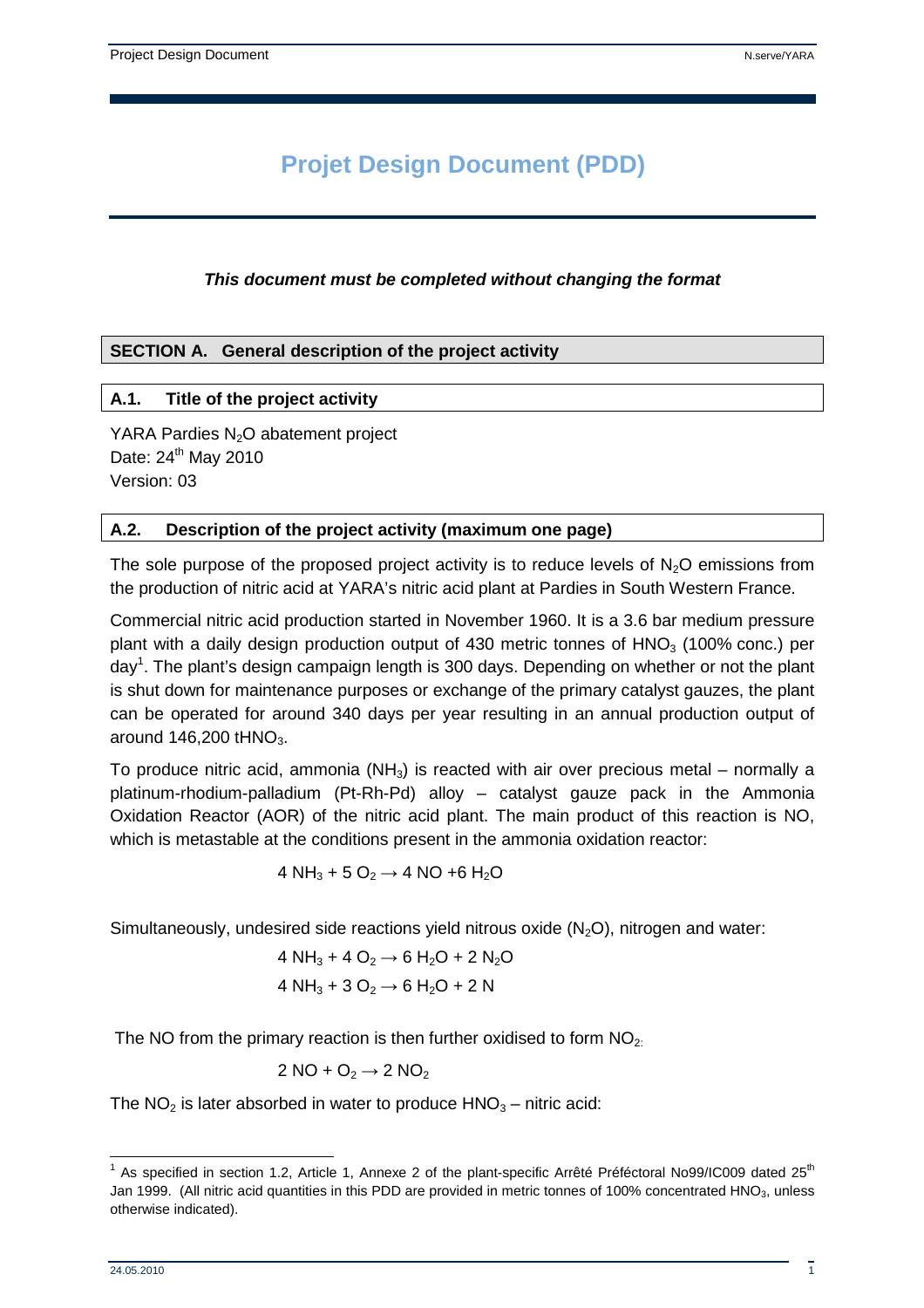# **Projet Design Document (PDD)**

#### **This document must be completed without changing the format**

#### **SECTION A. General description of the project activity**

#### **A.1. Title of the project activity**

YARA Pardies N<sub>2</sub>O abatement project Date:  $24<sup>th</sup>$  May 2010 Version: 03

#### **A.2. Description of the project activity (maximum one page)**

The sole purpose of the proposed project activity is to reduce levels of  $N<sub>2</sub>O$  emissions from the production of nitric acid at YARA's nitric acid plant at Pardies in South Western France.

Commercial nitric acid production started in November 1960. It is a 3.6 bar medium pressure plant with a daily design production output of 430 metric tonnes of  $HNO<sub>3</sub>$  (100% conc.) per day<sup>1</sup>. The plant's design campaign length is 300 days. Depending on whether or not the plant is shut down for maintenance purposes or exchange of the primary catalyst gauzes, the plant can be operated for around 340 days per year resulting in an annual production output of around  $146,200$  tHNO<sub>3</sub>.

To produce nitric acid, ammonia (NH<sub>3</sub>) is reacted with air over precious metal – normally a platinum-rhodium-palladium (Pt-Rh-Pd) alloy – catalyst gauze pack in the Ammonia Oxidation Reactor (AOR) of the nitric acid plant. The main product of this reaction is NO, which is metastable at the conditions present in the ammonia oxidation reactor:

$$
4 NH_3 + 5 O_2 \rightarrow 4 NO + 6 H_2 O
$$

Simultaneously, undesired side reactions yield nitrous oxide  $(N_2O)$ , nitrogen and water:

$$
4 NH_3 + 4 O_2 \rightarrow 6 H_2O + 2 N_2O
$$

$$
4 NH_3 + 3 O_2 \rightarrow 6 H_2O + 2 N
$$

The NO from the primary reaction is then further oxidised to form  $NO<sub>2</sub>$ :

$$
2\,\text{NO} + \text{O}_2 \rightarrow 2\,\text{NO}_2
$$

The  $NO<sub>2</sub>$  is later absorbed in water to produce  $HNO<sub>3</sub> -$  nitric acid:

 <sup>1</sup> As specified in section 1.2, Article 1, Annexe 2 of the plant-specific Arrêté Préféctoral No99/IC009 dated 25<sup>th</sup> Jan 1999. (All nitric acid quantities in this PDD are provided in metric tonnes of 100% concentrated HNO<sub>3</sub>, unless otherwise indicated).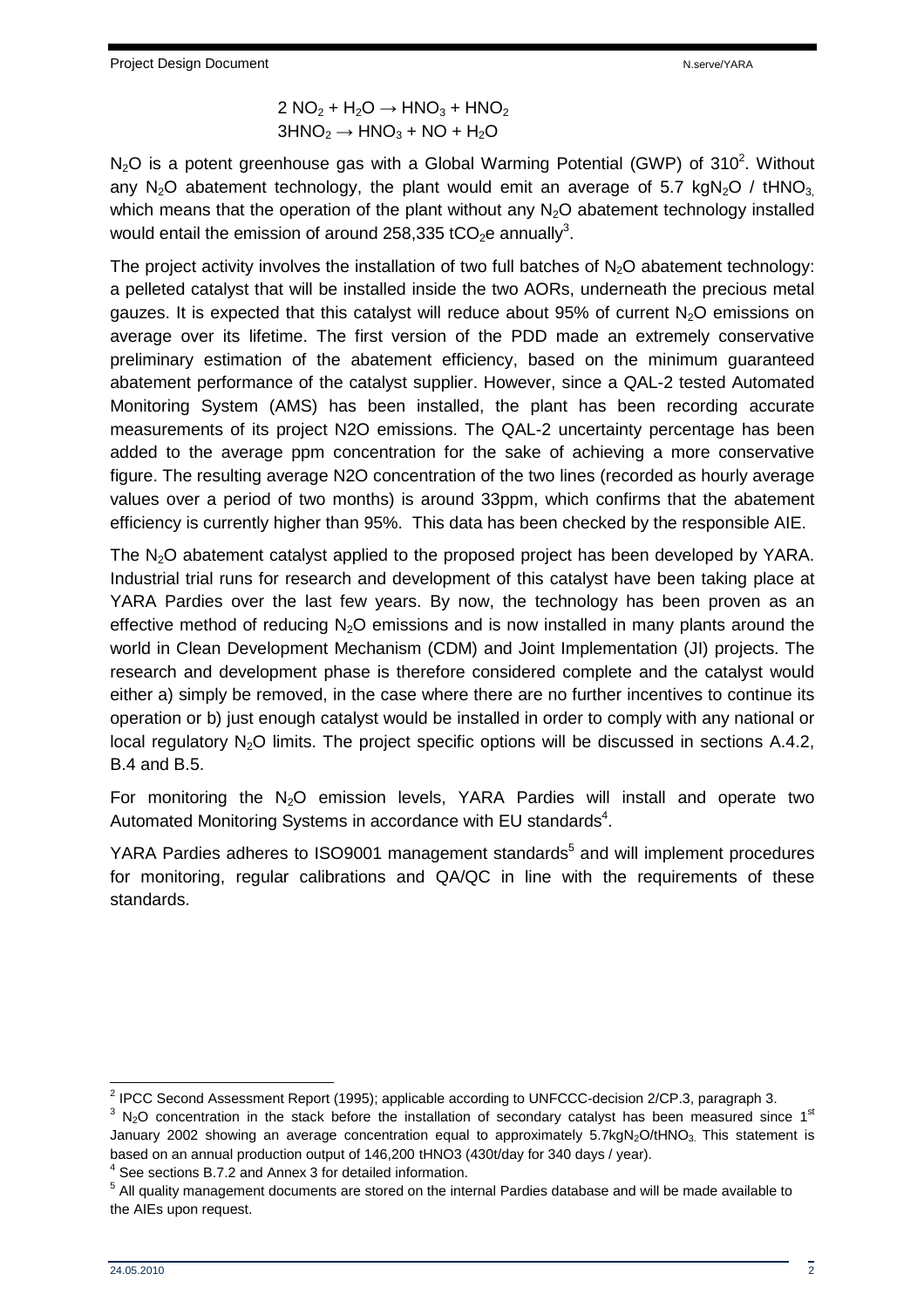$$
2 NO2 + H2O \rightarrow HNO3 + HNO2
$$

$$
3HNO2 \rightarrow HNO3 + NO + H2O
$$

 $N_2O$  is a potent greenhouse gas with a Global Warming Potential (GWP) of 310<sup>2</sup>. Without any N<sub>2</sub>O abatement technology, the plant would emit an average of 5.7 kgN<sub>2</sub>O / tHNO<sub>3</sub> which means that the operation of the plant without any  $N_2O$  abatement technology installed would entail the emission of around 258,335 tCO<sub>2</sub>e annually<sup>3</sup>.

The project activity involves the installation of two full batches of  $N_2O$  abatement technology: a pelleted catalyst that will be installed inside the two AORs, underneath the precious metal gauzes. It is expected that this catalyst will reduce about 95% of current  $N_2O$  emissions on average over its lifetime. The first version of the PDD made an extremely conservative preliminary estimation of the abatement efficiency, based on the minimum guaranteed abatement performance of the catalyst supplier. However, since a QAL-2 tested Automated Monitoring System (AMS) has been installed, the plant has been recording accurate measurements of its project N2O emissions. The QAL-2 uncertainty percentage has been added to the average ppm concentration for the sake of achieving a more conservative figure. The resulting average N2O concentration of the two lines (recorded as hourly average values over a period of two months) is around 33ppm, which confirms that the abatement efficiency is currently higher than 95%. This data has been checked by the responsible AIE.

The  $N<sub>2</sub>O$  abatement catalyst applied to the proposed project has been developed by YARA. Industrial trial runs for research and development of this catalyst have been taking place at YARA Pardies over the last few years. By now, the technology has been proven as an effective method of reducing  $N<sub>2</sub>O$  emissions and is now installed in many plants around the world in Clean Development Mechanism (CDM) and Joint Implementation (JI) projects. The research and development phase is therefore considered complete and the catalyst would either a) simply be removed, in the case where there are no further incentives to continue its operation or b) just enough catalyst would be installed in order to comply with any national or local regulatory  $N_2O$  limits. The project specific options will be discussed in sections A.4.2, B.4 and B.5.

For monitoring the  $N_2O$  emission levels, YARA Pardies will install and operate two Automated Monitoring Systems in accordance with EU standards<sup>4</sup>.

YARA Pardies adheres to ISO9001 management standards<sup>5</sup> and will implement procedures for monitoring, regular calibrations and QA/QC in line with the requirements of these standards.

 2 IPCC Second Assessment Report (1995); applicable according to UNFCCC-decision 2/CP.3, paragraph 3.

 $3$  N<sub>2</sub>O concentration in the stack before the installation of secondary catalyst has been measured since 1<sup>st</sup> January 2002 showing an average concentration equal to approximately 5.7kgN<sub>2</sub>O/tHNO<sub>3</sub>. This statement is based on an annual production output of 146,200 tHNO3 (430t/day for 340 days / year).

<sup>&</sup>lt;sup>4</sup> See sections B.7.2 and Annex 3 for detailed information.

<sup>&</sup>lt;sup>5</sup> All quality management documents are stored on the internal Pardies database and will be made available to the AIEs upon request.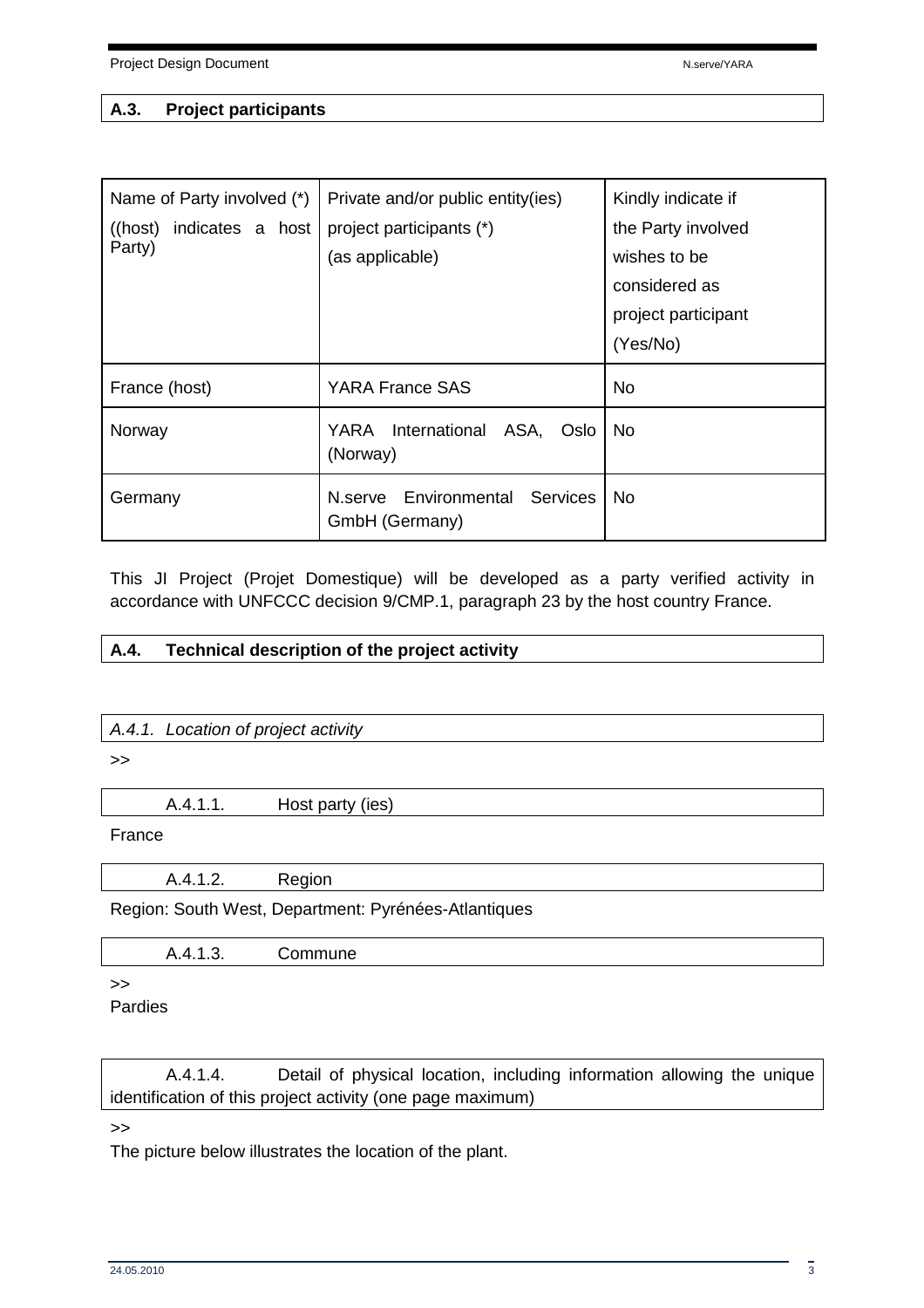#### **A.3. Project participants**

| Name of Party involved (*)<br>indicates a host<br>$($ (host)<br>Party) | Private and/or public entity(ies)<br>project participants (*)<br>(as applicable) | Kindly indicate if<br>the Party involved<br>wishes to be<br>considered as<br>project participant<br>(Yes/No) |
|------------------------------------------------------------------------|----------------------------------------------------------------------------------|--------------------------------------------------------------------------------------------------------------|
| France (host)                                                          | <b>YARA France SAS</b>                                                           | <b>No</b>                                                                                                    |
| Norway                                                                 | YARA<br>International<br>ASA,<br>Oslo<br>(Norway)                                | <b>No</b>                                                                                                    |
| Germany                                                                | Environmental<br>Services<br>N.serve<br>GmbH (Germany)                           | No.                                                                                                          |

This JI Project (Projet Domestique) will be developed as a party verified activity in accordance with UNFCCC decision 9/CMP.1, paragraph 23 by the host country France.

#### **A.4. Technical description of the project activity**

A.4.1. Location of project activity

>>

A.4.1.1. Host party (ies)

#### France

A.4.1.2. Region

Region: South West, Department: Pyrénées-Atlantiques

| . . |  |
|-----|--|
|     |  |

#### >>

Pardies

 A.4.1.4. Detail of physical location, including information allowing the unique identification of this project activity (one page maximum)

>>

The picture below illustrates the location of the plant.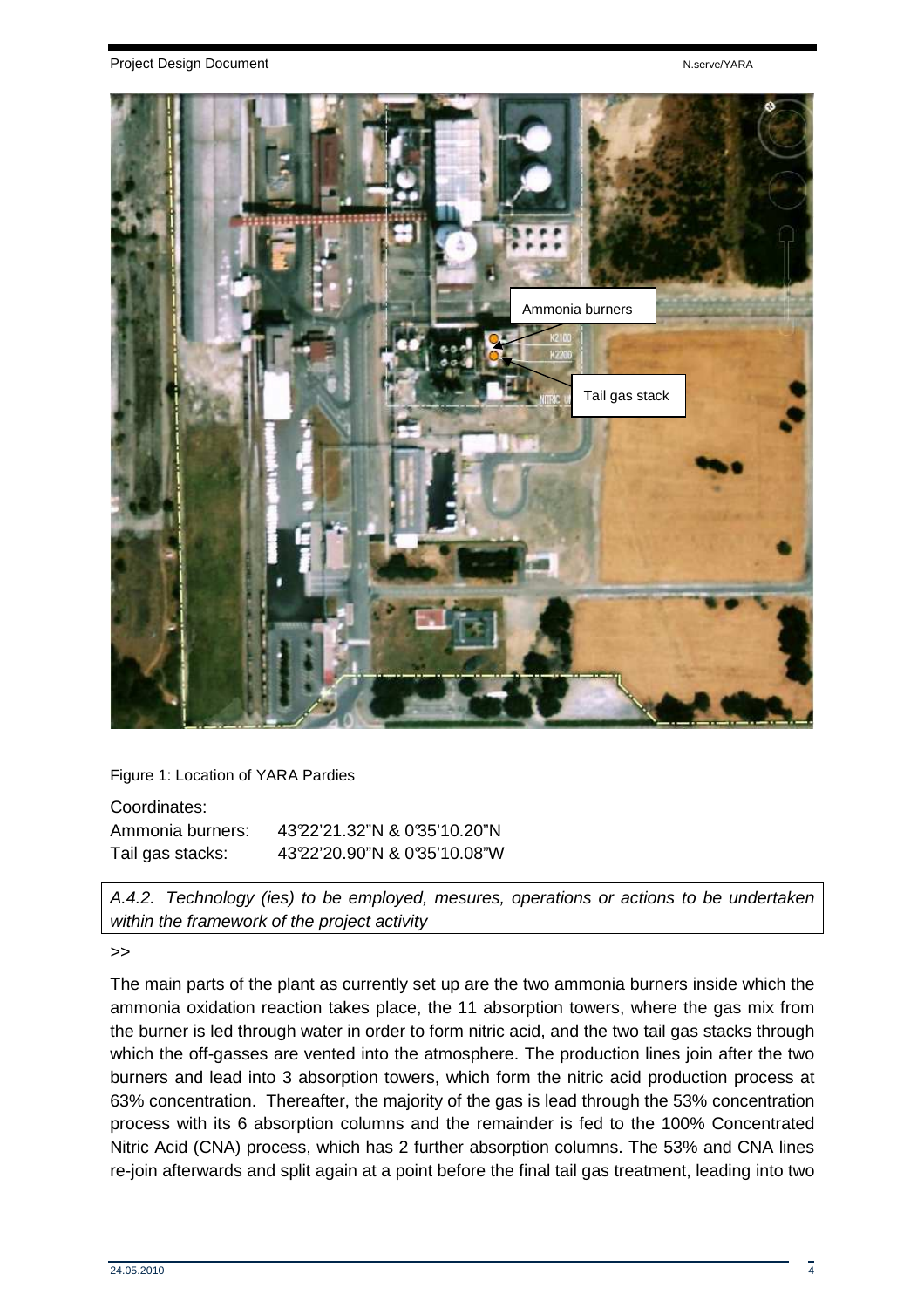

Figure 1: Location of YARA Pardies

| Coordinates:     |                             |
|------------------|-----------------------------|
| Ammonia burners: | 4322'21.32"N & 0'35'10.20"N |
| Tail gas stacks: | 4322'20.90"N & 0'35'10.08"W |

A.4.2. Technology (ies) to be employed, mesures, operations or actions to be undertaken within the framework of the project activity

>>

The main parts of the plant as currently set up are the two ammonia burners inside which the ammonia oxidation reaction takes place, the 11 absorption towers, where the gas mix from the burner is led through water in order to form nitric acid, and the two tail gas stacks through which the off-gasses are vented into the atmosphere. The production lines join after the two burners and lead into 3 absorption towers, which form the nitric acid production process at 63% concentration. Thereafter, the majority of the gas is lead through the 53% concentration process with its 6 absorption columns and the remainder is fed to the 100% Concentrated Nitric Acid (CNA) process, which has 2 further absorption columns. The 53% and CNA lines re-join afterwards and split again at a point before the final tail gas treatment, leading into two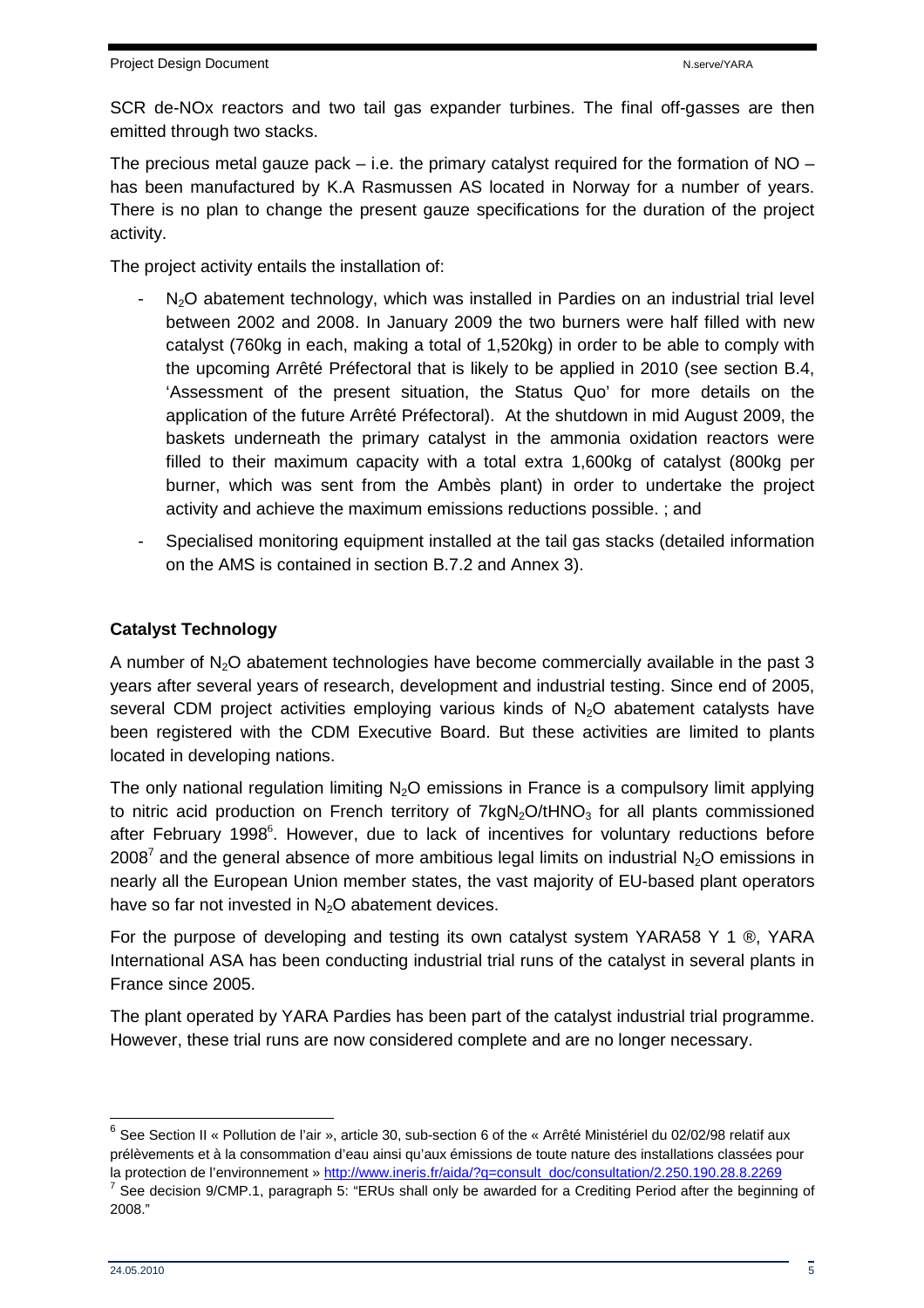SCR de-NOx reactors and two tail gas expander turbines. The final off-gasses are then emitted through two stacks.

The precious metal gauze pack  $-$  i.e. the primary catalyst required for the formation of NO  $$ has been manufactured by K.A Rasmussen AS located in Norway for a number of years. There is no plan to change the present gauze specifications for the duration of the project activity.

The project activity entails the installation of:

- $N<sub>2</sub>O$  abatement technology, which was installed in Pardies on an industrial trial level between 2002 and 2008. In January 2009 the two burners were half filled with new catalyst (760kg in each, making a total of 1,520kg) in order to be able to comply with the upcoming Arrêté Préfectoral that is likely to be applied in 2010 (see section B.4, 'Assessment of the present situation, the Status Quo' for more details on the application of the future Arrêté Préfectoral). At the shutdown in mid August 2009, the baskets underneath the primary catalyst in the ammonia oxidation reactors were filled to their maximum capacity with a total extra 1,600kg of catalyst (800kg per burner, which was sent from the Ambès plant) in order to undertake the project activity and achieve the maximum emissions reductions possible. ; and
- Specialised monitoring equipment installed at the tail gas stacks (detailed information on the AMS is contained in section B.7.2 and Annex 3).

## **Catalyst Technology**

A number of  $N<sub>2</sub>O$  abatement technologies have become commercially available in the past 3 years after several years of research, development and industrial testing. Since end of 2005, several CDM project activities employing various kinds of  $N<sub>2</sub>O$  abatement catalysts have been registered with the CDM Executive Board. But these activities are limited to plants located in developing nations.

The only national regulation limiting  $N_2O$  emissions in France is a compulsory limit applying to nitric acid production on French territory of  $7kgN<sub>2</sub>O/tHNO<sub>3</sub>$  for all plants commissioned after February 1998<sup>6</sup>. However, due to lack of incentives for voluntary reductions before 2008<sup>7</sup> and the general absence of more ambitious legal limits on industrial N<sub>2</sub>O emissions in nearly all the European Union member states, the vast majority of EU-based plant operators have so far not invested in  $N_2O$  abatement devices.

For the purpose of developing and testing its own catalyst system YARA58 Y 1 ®, YARA International ASA has been conducting industrial trial runs of the catalyst in several plants in France since 2005.

The plant operated by YARA Pardies has been part of the catalyst industrial trial programme. However, these trial runs are now considered complete and are no longer necessary.

 $\overline{\phantom{a}}$ 

 $^6$  See Section II « Pollution de l'air », article 30, sub-section 6 of the « Arrêté Ministériel du 02/02/98 relatif aux prélèvements et à la consommation d'eau ainsi qu'aux émissions de toute nature des installations classées pour la protection de l'environnement » http://www.ineris.fr/aida/?q=consult\_doc/consultation/2.250.190.28.8.2269

<sup>&</sup>lt;sup>7</sup> See decision 9/CMP.1, paragraph 5: "ERUs shall only be awarded for a Crediting Period after the beginning of 2008."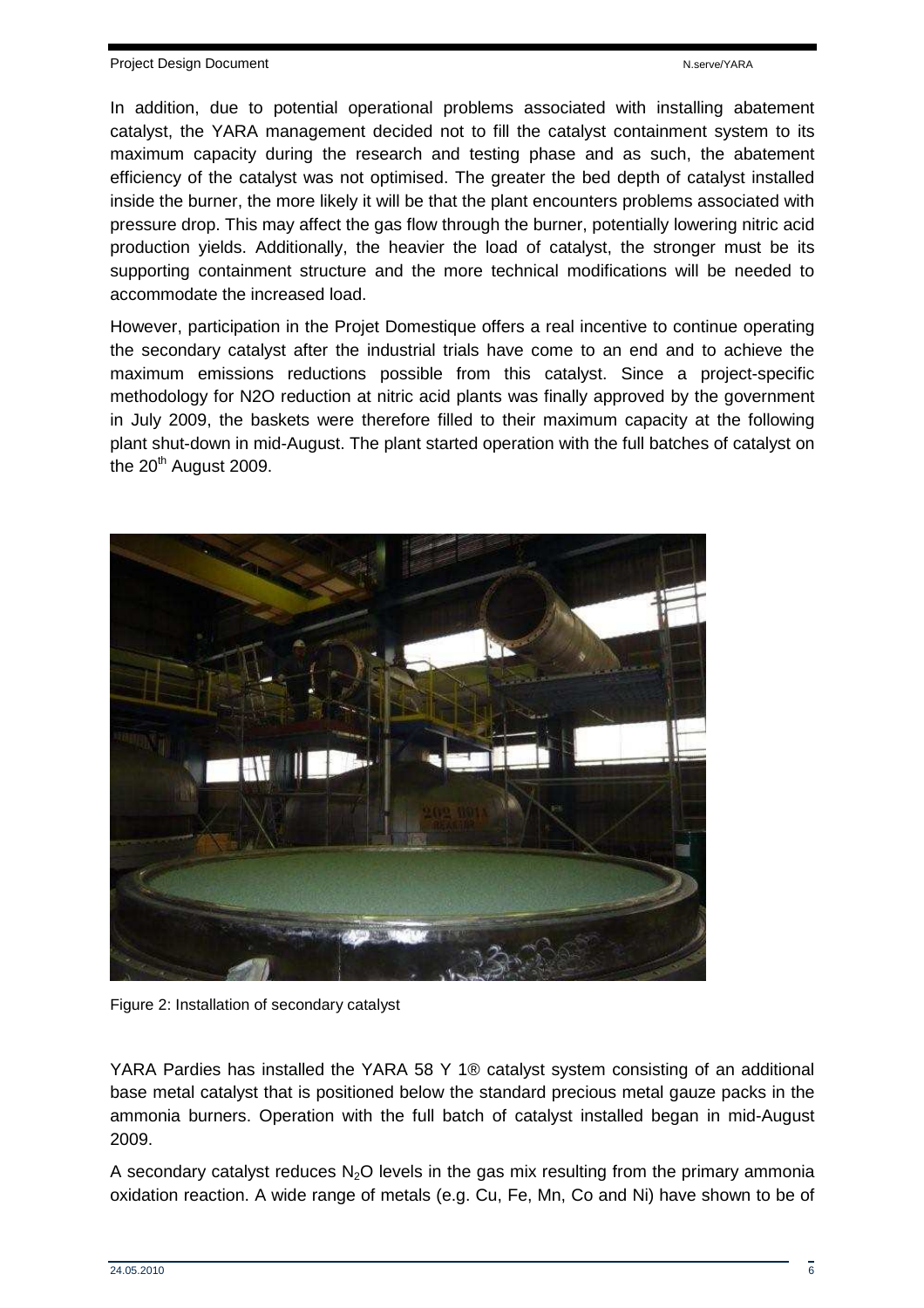In addition, due to potential operational problems associated with installing abatement catalyst, the YARA management decided not to fill the catalyst containment system to its maximum capacity during the research and testing phase and as such, the abatement efficiency of the catalyst was not optimised. The greater the bed depth of catalyst installed inside the burner, the more likely it will be that the plant encounters problems associated with pressure drop. This may affect the gas flow through the burner, potentially lowering nitric acid production yields. Additionally, the heavier the load of catalyst, the stronger must be its supporting containment structure and the more technical modifications will be needed to accommodate the increased load.

However, participation in the Projet Domestique offers a real incentive to continue operating the secondary catalyst after the industrial trials have come to an end and to achieve the maximum emissions reductions possible from this catalyst. Since a project-specific methodology for N2O reduction at nitric acid plants was finally approved by the government in July 2009, the baskets were therefore filled to their maximum capacity at the following plant shut-down in mid-August. The plant started operation with the full batches of catalyst on the  $20<sup>th</sup>$  August 2009.



Figure 2: Installation of secondary catalyst

YARA Pardies has installed the YARA 58 Y 1® catalyst system consisting of an additional base metal catalyst that is positioned below the standard precious metal gauze packs in the ammonia burners. Operation with the full batch of catalyst installed began in mid-August 2009.

A secondary catalyst reduces N<sub>2</sub>O levels in the gas mix resulting from the primary ammonia oxidation reaction. A wide range of metals (e.g. Cu, Fe, Mn, Co and Ni) have shown to be of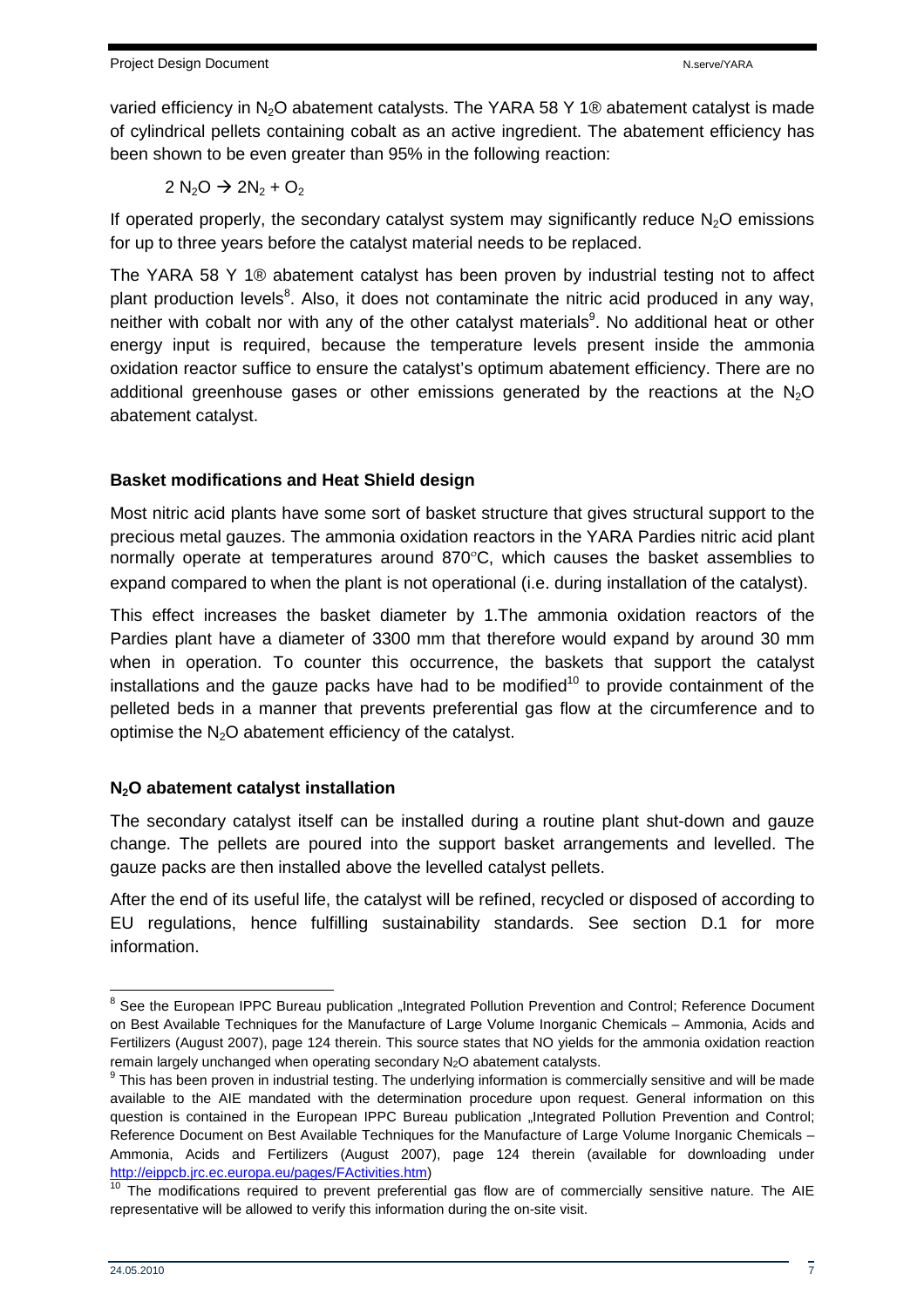varied efficiency in  $N_2O$  abatement catalysts. The YARA 58 Y 1<sup>®</sup> abatement catalyst is made of cylindrical pellets containing cobalt as an active ingredient. The abatement efficiency has been shown to be even greater than 95% in the following reaction:

$$
2\ N_2O \rightarrow 2N_2 + O_2
$$

If operated properly, the secondary catalyst system may significantly reduce  $N_2O$  emissions for up to three years before the catalyst material needs to be replaced.

The YARA 58 Y 1® abatement catalyst has been proven by industrial testing not to affect plant production levels<sup>8</sup>. Also, it does not contaminate the nitric acid produced in any way, neither with cobalt nor with any of the other catalyst materials<sup>9</sup>. No additional heat or other energy input is required, because the temperature levels present inside the ammonia oxidation reactor suffice to ensure the catalyst's optimum abatement efficiency. There are no additional greenhouse gases or other emissions generated by the reactions at the  $N_2O$ abatement catalyst.

#### **Basket modifications and Heat Shield design**

Most nitric acid plants have some sort of basket structure that gives structural support to the precious metal gauzes. The ammonia oxidation reactors in the YARA Pardies nitric acid plant normally operate at temperatures around 870ºC, which causes the basket assemblies to expand compared to when the plant is not operational (i.e. during installation of the catalyst).

This effect increases the basket diameter by 1.The ammonia oxidation reactors of the Pardies plant have a diameter of 3300 mm that therefore would expand by around 30 mm when in operation. To counter this occurrence, the baskets that support the catalyst installations and the gauze packs have had to be modified<sup>10</sup> to provide containment of the pelleted beds in a manner that prevents preferential gas flow at the circumference and to optimise the  $N<sub>2</sub>O$  abatement efficiency of the catalyst.

## **N2O abatement catalyst installation**

The secondary catalyst itself can be installed during a routine plant shut-down and gauze change. The pellets are poured into the support basket arrangements and levelled. The gauze packs are then installed above the levelled catalyst pellets.

After the end of its useful life, the catalyst will be refined, recycled or disposed of according to EU regulations, hence fulfilling sustainability standards. See section D.1 for more information.

ENERGY BREAD CONDENSITY CONTROL TREAD THE SUPPON THE SUPPON BREAD THE SUPPON SECTION And Control; Reference Document<br>The See the European IPPC Bureau publication "Integrated Pollution Prevention and Control; Reference Docu on Best Available Techniques for the Manufacture of Large Volume Inorganic Chemicals – Ammonia, Acids and Fertilizers (August 2007), page 124 therein. This source states that NO yields for the ammonia oxidation reaction remain largely unchanged when operating secondary N<sub>2</sub>O abatement catalysts.

 $9$  This has been proven in industrial testing. The underlying information is commercially sensitive and will be made available to the AIE mandated with the determination procedure upon request. General information on this question is contained in the European IPPC Bureau publication ..Integrated Pollution Prevention and Control; Reference Document on Best Available Techniques for the Manufacture of Large Volume Inorganic Chemicals – Ammonia, Acids and Fertilizers (August 2007), page 124 therein (available for downloading under http://eippcb.jrc.ec.europa.eu/pages/FActivities.htm)

 $10$  The modifications required to prevent preferential gas flow are of commercially sensitive nature. The AIE representative will be allowed to verify this information during the on-site visit.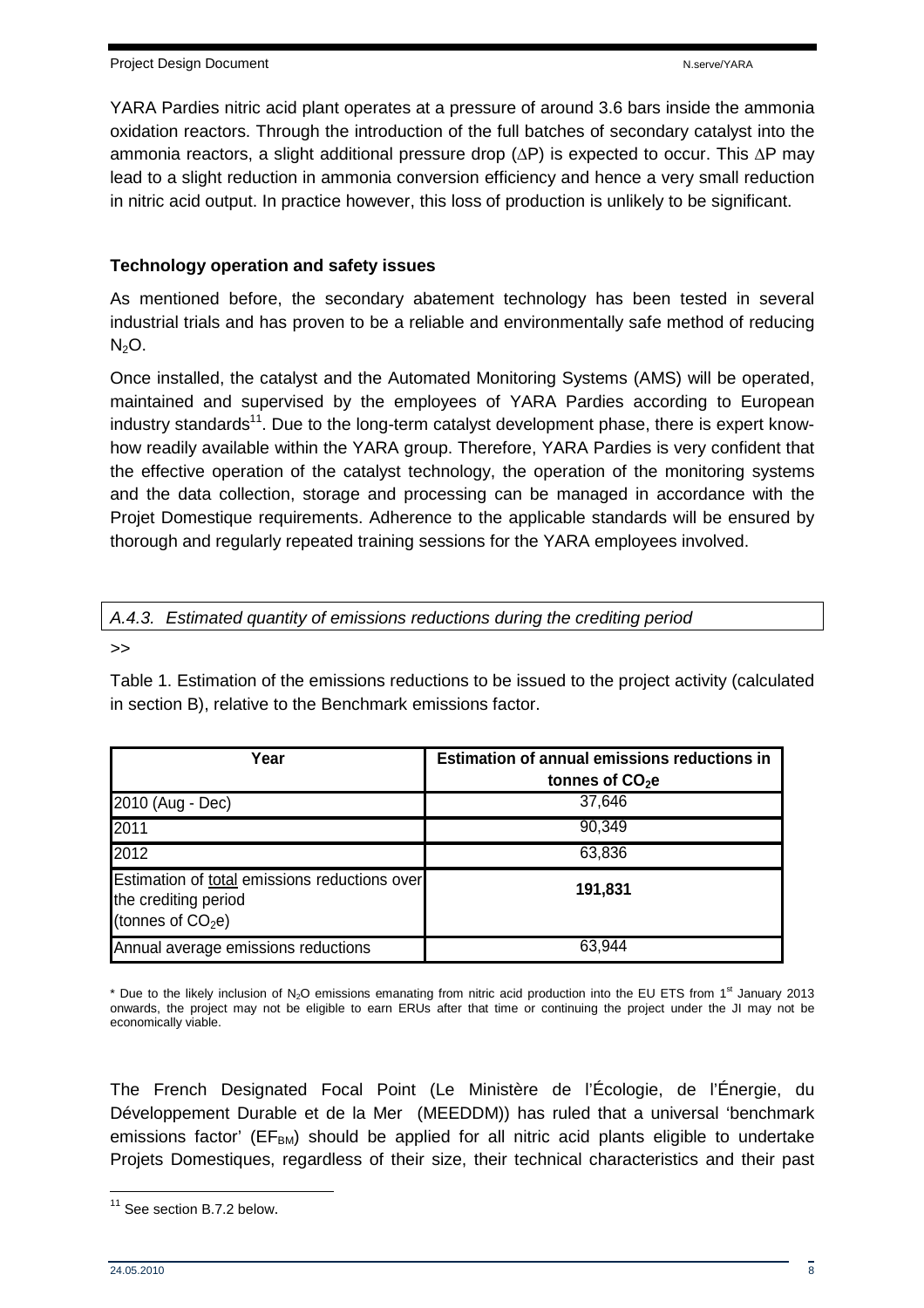YARA Pardies nitric acid plant operates at a pressure of around 3.6 bars inside the ammonia oxidation reactors. Through the introduction of the full batches of secondary catalyst into the ammonia reactors, a slight additional pressure drop (∆P) is expected to occur. This ∆P may lead to a slight reduction in ammonia conversion efficiency and hence a very small reduction in nitric acid output. In practice however, this loss of production is unlikely to be significant.

#### **Technology operation and safety issues**

As mentioned before, the secondary abatement technology has been tested in several industrial trials and has proven to be a reliable and environmentally safe method of reducing  $N_2O$ .

Once installed, the catalyst and the Automated Monitoring Systems (AMS) will be operated, maintained and supervised by the employees of YARA Pardies according to European industry standards<sup>11</sup>. Due to the long-term catalyst development phase, there is expert knowhow readily available within the YARA group. Therefore, YARA Pardies is very confident that the effective operation of the catalyst technology, the operation of the monitoring systems and the data collection, storage and processing can be managed in accordance with the Projet Domestique requirements. Adherence to the applicable standards will be ensured by thorough and regularly repeated training sessions for the YARA employees involved.

#### A.4.3. Estimated quantity of emissions reductions during the crediting period

>>

Table 1. Estimation of the emissions reductions to be issued to the project activity (calculated in section B), relative to the Benchmark emissions factor.

| Year                                                                                         | <b>Estimation of annual emissions reductions in</b><br>tonnes of CO <sub>2</sub> e |  |  |  |  |
|----------------------------------------------------------------------------------------------|------------------------------------------------------------------------------------|--|--|--|--|
| 2010 (Aug - Dec)                                                                             | 37,646                                                                             |  |  |  |  |
| 2011                                                                                         | 90,349                                                                             |  |  |  |  |
| 2012                                                                                         | 63,836                                                                             |  |  |  |  |
| Estimation of total emissions reductions over<br>the crediting period<br>(tonnes of $CO2e$ ) | 191,831                                                                            |  |  |  |  |
| Annual average emissions reductions                                                          | 63,944                                                                             |  |  |  |  |

\* Due to the likely inclusion of  $N_2O$  emissions emanating from nitric acid production into the EU ETS from 1<sup>st</sup> January 2013 onwards, the project may not be eligible to earn ERUs after that time or continuing the project under the JI may not be economically viable.

The French Designated Focal Point (Le Ministère de l'Écologie, de l'Énergie, du Développement Durable et de la Mer (MEEDDM)) has ruled that a universal 'benchmark emissions factor' ( $EF<sub>BM</sub>$ ) should be applied for all nitric acid plants eligible to undertake Projets Domestiques, regardless of their size, their technical characteristics and their past

<sup>&</sup>lt;sup>11</sup> See section B.7.2 below.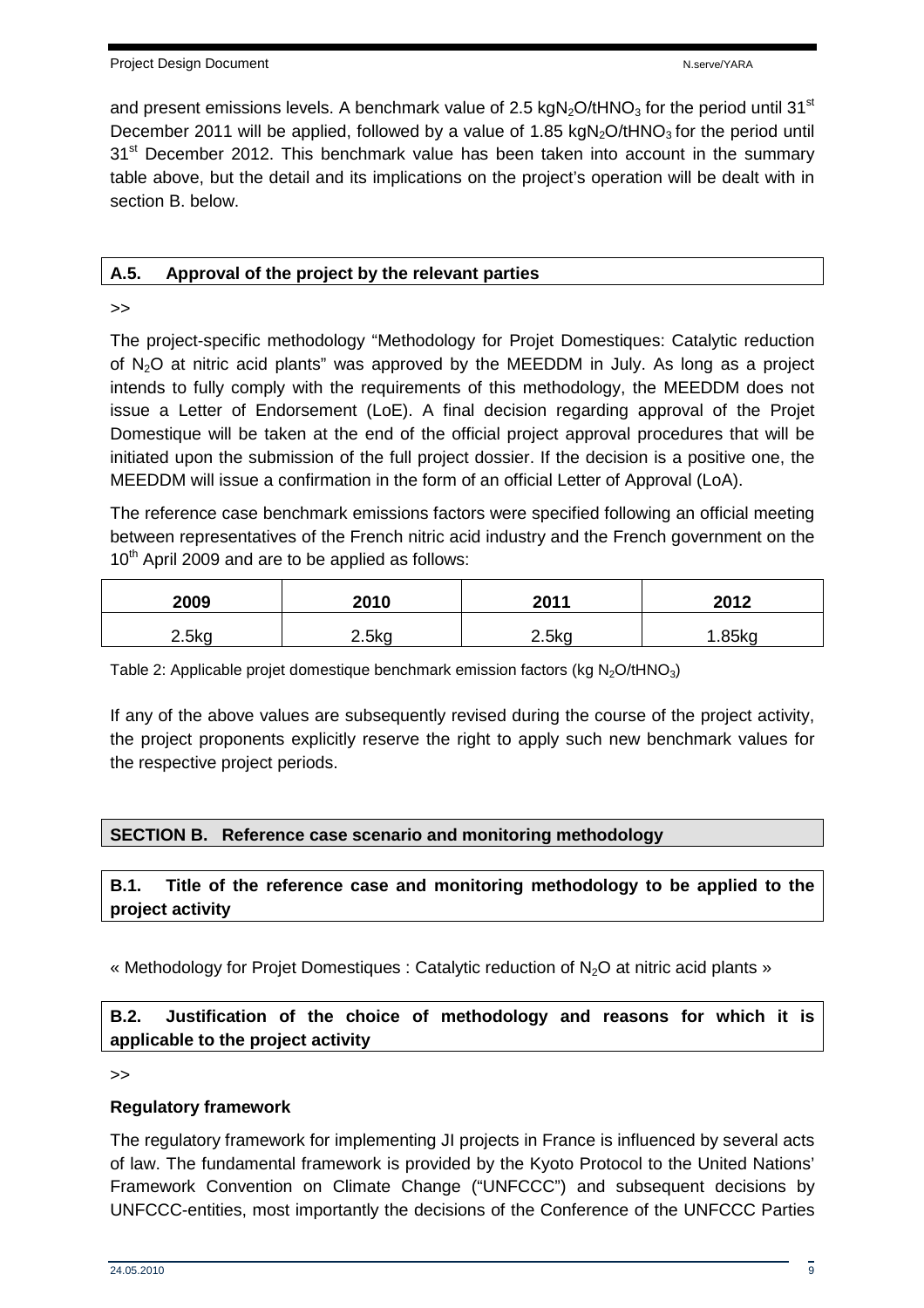and present emissions levels. A benchmark value of 2.5 kgN<sub>2</sub>O/tHNO<sub>3</sub> for the period until 31<sup>st</sup> December 2011 will be applied, followed by a value of 1.85 kgN<sub>2</sub>O/tHNO<sub>3</sub> for the period until 31<sup>st</sup> December 2012. This benchmark value has been taken into account in the summary table above, but the detail and its implications on the project's operation will be dealt with in section B. below.

#### **A.5. Approval of the project by the relevant parties**

>>

The project-specific methodology "Methodology for Projet Domestiques: Catalytic reduction of  $N_2$ O at nitric acid plants" was approved by the MEEDDM in July. As long as a project intends to fully comply with the requirements of this methodology, the MEEDDM does not issue a Letter of Endorsement (LoE). A final decision regarding approval of the Projet Domestique will be taken at the end of the official project approval procedures that will be initiated upon the submission of the full project dossier. If the decision is a positive one, the MEEDDM will issue a confirmation in the form of an official Letter of Approval (LoA).

The reference case benchmark emissions factors were specified following an official meeting between representatives of the French nitric acid industry and the French government on the  $10<sup>th</sup>$  April 2009 and are to be applied as follows:

| 2009     | 2010              | 2011  | 2012    |
|----------|-------------------|-------|---------|
| $2.5$ kg | 2.5 <sub>kq</sub> | 2.5kg | $85$ ka |

Table 2: Applicable projet domestique benchmark emission factors (kg  $N<sub>2</sub>O/tHNO<sub>3</sub>$ )

If any of the above values are subsequently revised during the course of the project activity, the project proponents explicitly reserve the right to apply such new benchmark values for the respective project periods.

#### **SECTION B. Reference case scenario and monitoring methodology**

#### **B.1. Title of the reference case and monitoring methodology to be applied to the project activity**

« Methodology for Projet Domestiques : Catalytic reduction of N2O at nitric acid plants »

**B.2. Justification of the choice of methodology and reasons for which it is applicable to the project activity** 

>>

#### **Regulatory framework**

The regulatory framework for implementing JI projects in France is influenced by several acts of law. The fundamental framework is provided by the Kyoto Protocol to the United Nations' Framework Convention on Climate Change ("UNFCCC") and subsequent decisions by UNFCCC-entities, most importantly the decisions of the Conference of the UNFCCC Parties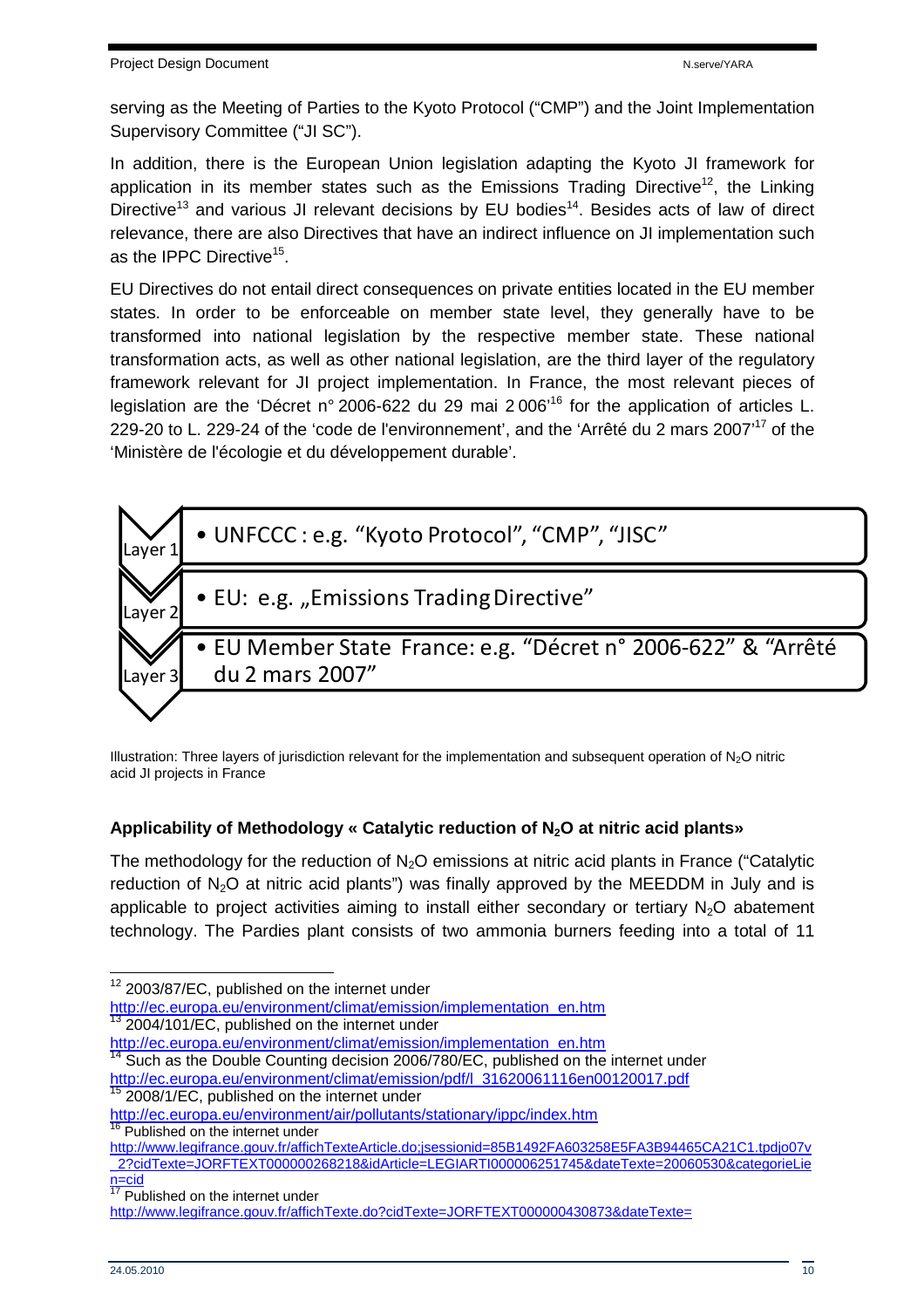serving as the Meeting of Parties to the Kyoto Protocol ("CMP") and the Joint Implementation Supervisory Committee ("JI SC").

In addition, there is the European Union legislation adapting the Kyoto JI framework for application in its member states such as the Emissions Trading Directive<sup>12</sup>, the Linking Directive<sup>13</sup> and various JI relevant decisions by EU bodies<sup>14</sup>. Besides acts of law of direct relevance, there are also Directives that have an indirect influence on JI implementation such as the IPPC Directive<sup>15</sup>.

EU Directives do not entail direct consequences on private entities located in the EU member states. In order to be enforceable on member state level, they generally have to be transformed into national legislation by the respective member state. These national transformation acts, as well as other national legislation, are the third layer of the regulatory framework relevant for JI project implementation. In France, the most relevant pieces of legislation are the 'Décret n° 2006-622 du 29 mai 2006'<sup>16</sup> for the application of articles L. 229-20 to L. 229-24 of the 'code de l'environnement', and the 'Arrêté du 2 mars 2007'<sup>17</sup> of the 'Ministère de l'écologie et du développement durable'.



Illustration: Three layers of jurisdiction relevant for the implementation and subsequent operation of  $N_2O$  nitric acid JI projects in France

## **Applicability of Methodology « Catalytic reduction of N2O at nitric acid plants»**

The methodology for the reduction of  $N_2O$  emissions at nitric acid plants in France ("Catalytic reduction of N<sub>2</sub>O at nitric acid plants") was finally approved by the MEEDDM in July and is applicable to project activities aiming to install either secondary or tertiary  $N<sub>2</sub>O$  abatement technology. The Pardies plant consists of two ammonia burners feeding into a total of 11

http://ec.europa.eu/environment/climat/emission/implementation\_en.htm 2004/101/EC, published on the internet under

http://www.legifrance.gouv.fr/affichTexteArticle.do;jsessionid=85B1492FA603258E5FA3B94465CA21C1.tpdjo07v \_2?cidTexte=JORFTEXT000000268218&idArticle=LEGIARTI000006251745&dateTexte=20060530&categorieLie  $n = \frac{1}{17}$ 

<sup>&</sup>lt;sup>12</sup> 2003/87/EC, published on the internet under

http://ec.europa.eu/environment/climat/emission/implementation\_en.htm  $14$  Such as the Double Counting decision 2006/780/EC, published on the internet under

http://ec.europa.eu/environment/climat/emission/pdf/l\_31620061116en00120017.pdf <sup>15</sup> 2008/1/EC, published on the internet under

http://ec.europa.eu/environment/air/pollutants/stationary/ippc/index.htm <sup>16</sup> Published on the internet under

Published on the internet under

http://www.legifrance.gouv.fr/affichTexte.do?cidTexte=JORFTEXT000000430873&dateTexte=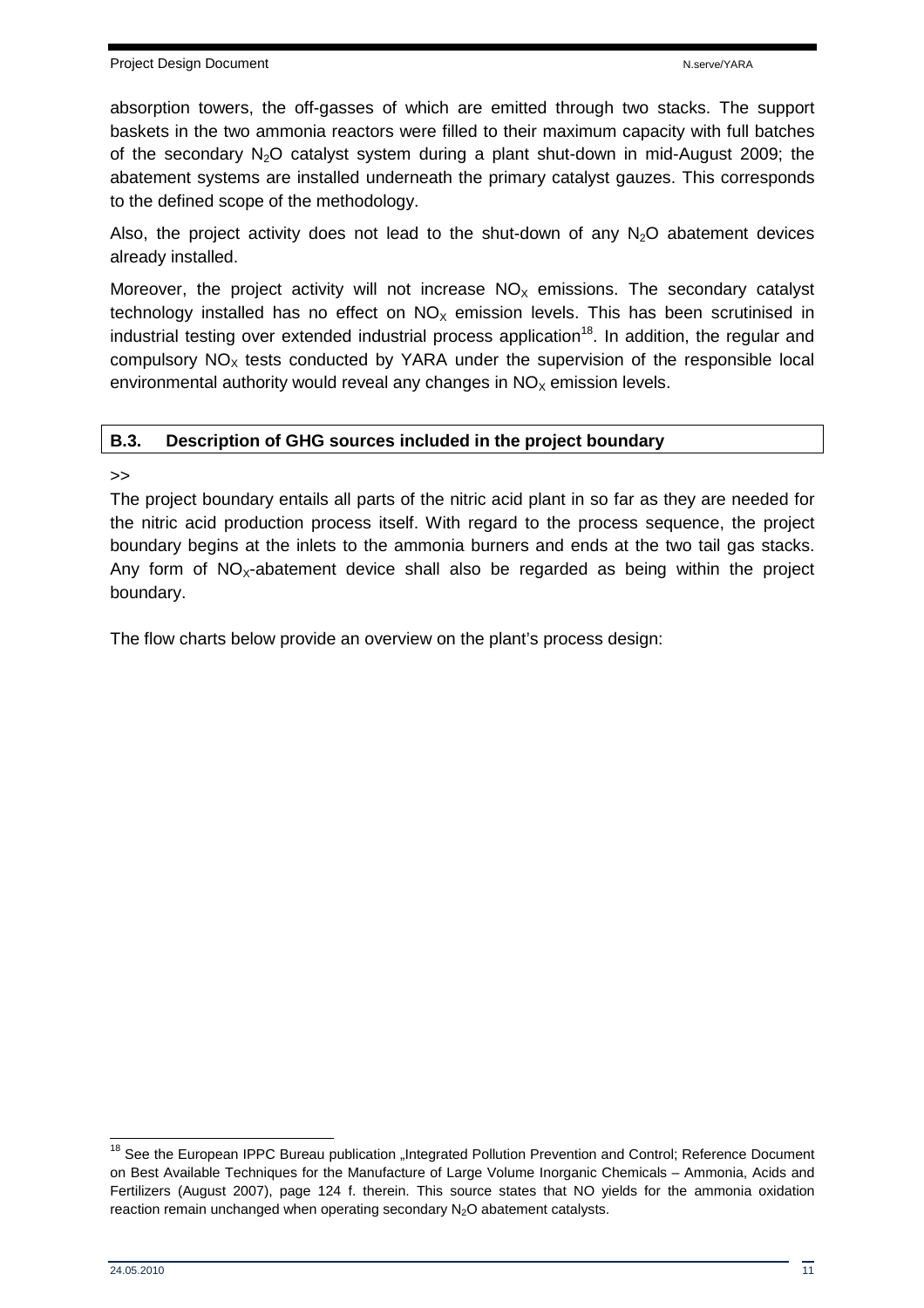absorption towers, the off-gasses of which are emitted through two stacks. The support baskets in the two ammonia reactors were filled to their maximum capacity with full batches of the secondary  $N_2O$  catalyst system during a plant shut-down in mid-August 2009; the abatement systems are installed underneath the primary catalyst gauzes. This corresponds to the defined scope of the methodology.

Also, the project activity does not lead to the shut-down of any  $N<sub>2</sub>O$  abatement devices already installed.

Moreover, the project activity will not increase  $NO<sub>x</sub>$  emissions. The secondary catalyst technology installed has no effect on  $NO<sub>x</sub>$  emission levels. This has been scrutinised in industrial testing over extended industrial process application<sup>18</sup>. In addition, the regular and compulsory  $NO<sub>x</sub>$  tests conducted by YARA under the supervision of the responsible local environmental authority would reveal any changes in  $NO<sub>x</sub>$  emission levels.

## **B.3. Description of GHG sources included in the project boundary**

>>

The project boundary entails all parts of the nitric acid plant in so far as they are needed for the nitric acid production process itself. With regard to the process sequence, the project boundary begins at the inlets to the ammonia burners and ends at the two tail gas stacks. Any form of  $NO<sub>x</sub>$ -abatement device shall also be regarded as being within the project boundary.

The flow charts below provide an overview on the plant's process design:

<sup>&</sup>lt;sup>18</sup> See the European IPPC Bureau publication "Integrated Pollution Prevention and Control; Reference Document on Best Available Techniques for the Manufacture of Large Volume Inorganic Chemicals – Ammonia, Acids and Fertilizers (August 2007), page 124 f. therein. This source states that NO yields for the ammonia oxidation reaction remain unchanged when operating secondary N<sub>2</sub>O abatement catalysts.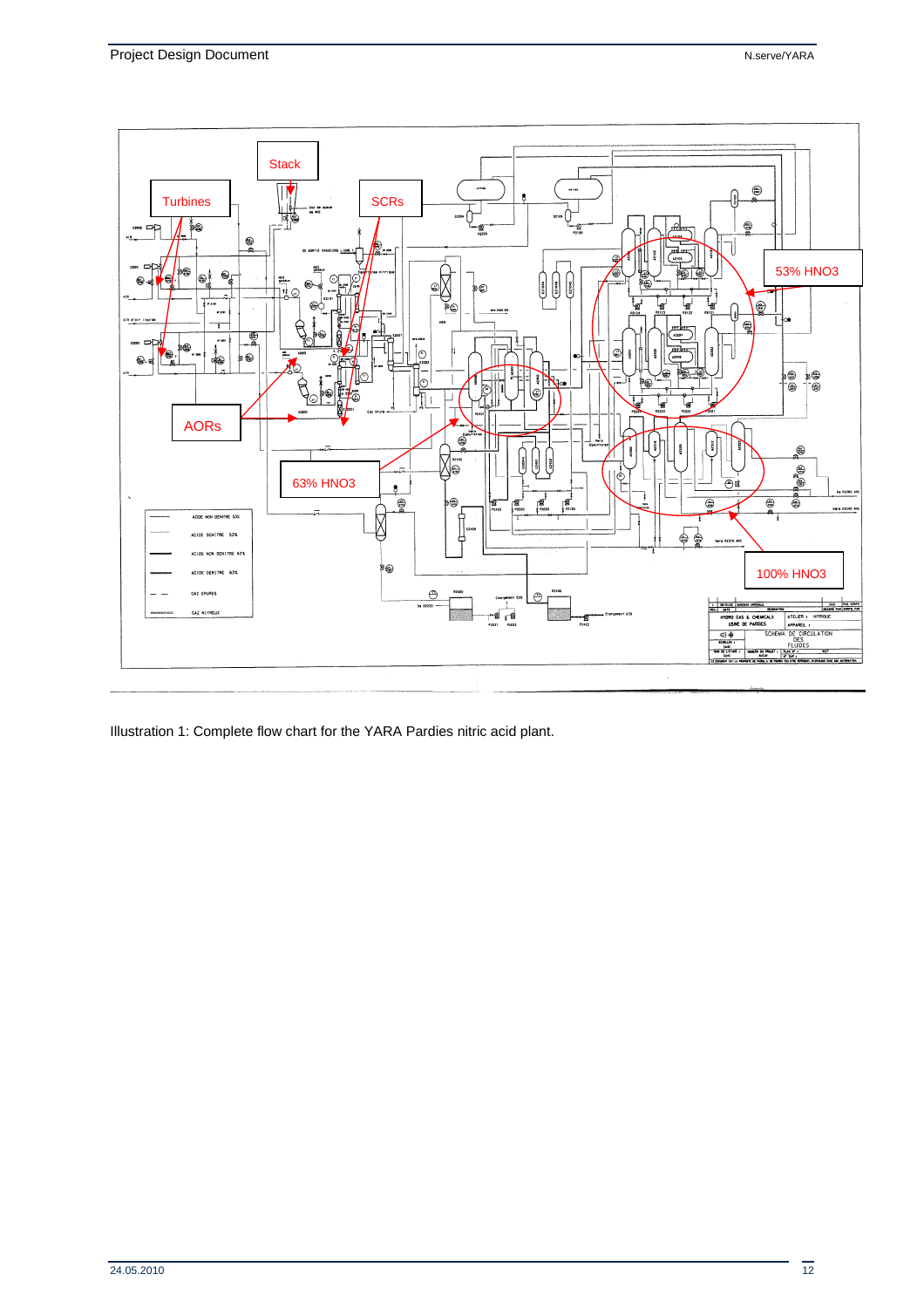

Illustration 1: Complete flow chart for the YARA Pardies nitric acid plant.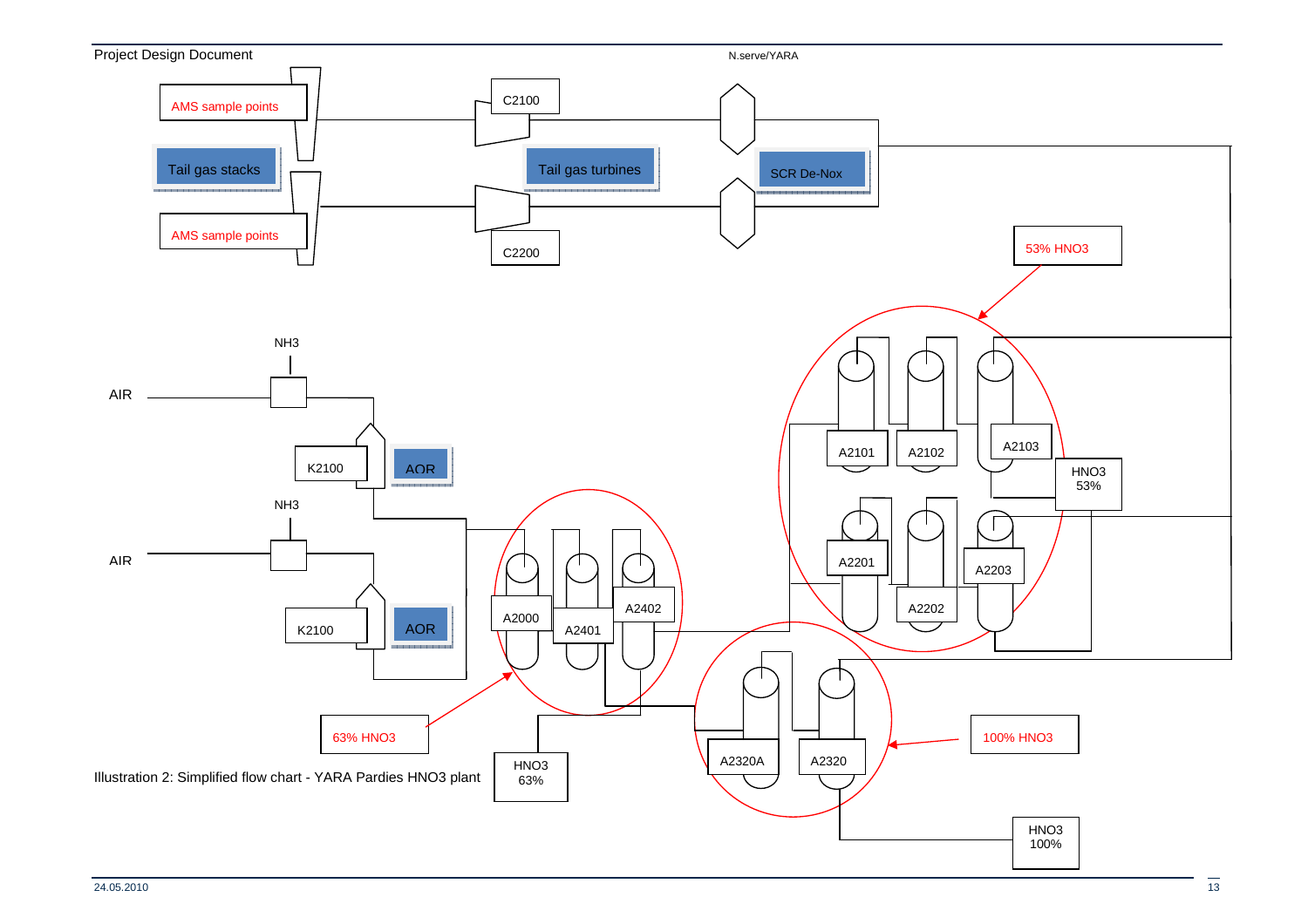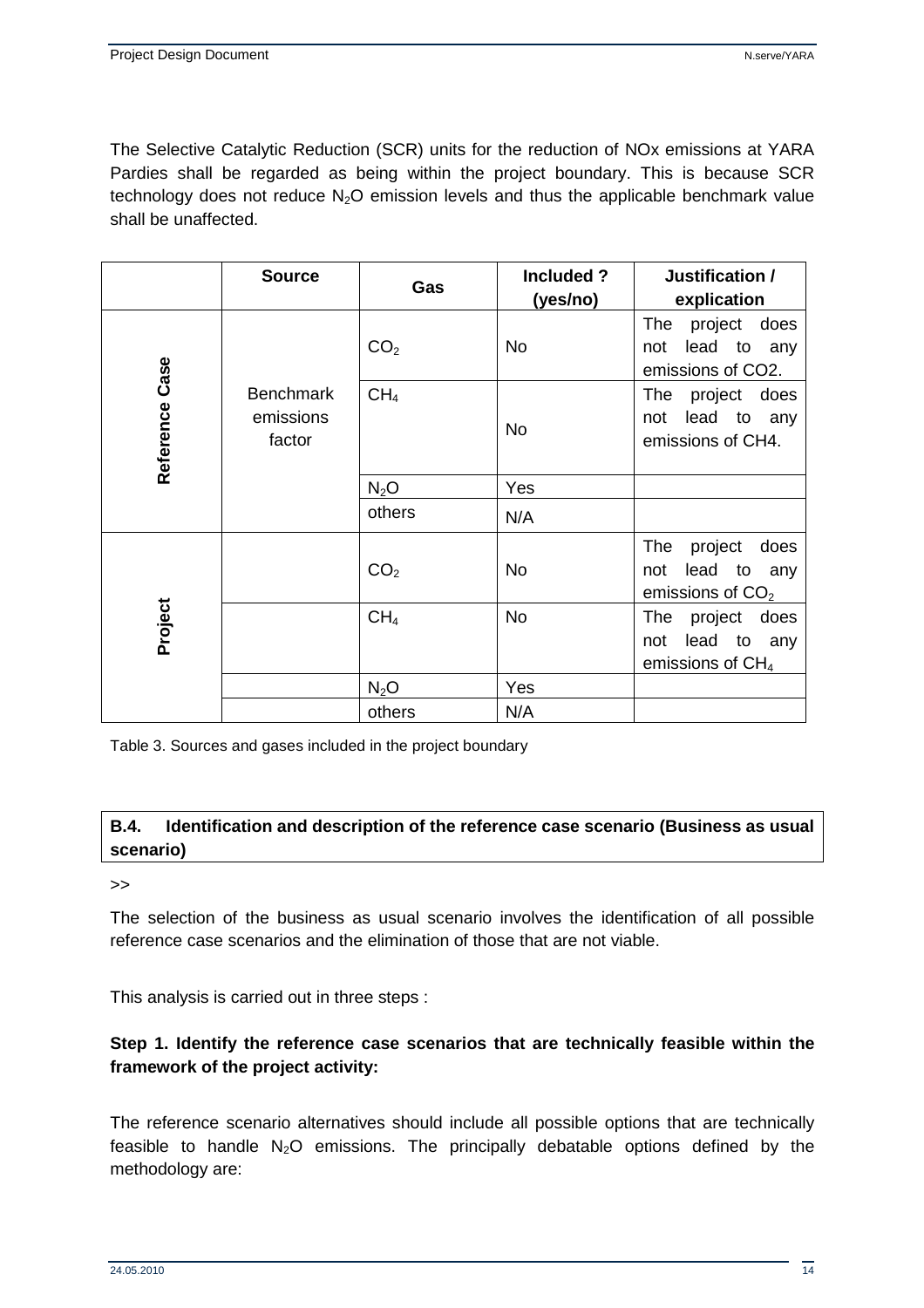The Selective Catalytic Reduction (SCR) units for the reduction of NOx emissions at YARA Pardies shall be regarded as being within the project boundary. This is because SCR technology does not reduce  $N_2O$  emission levels and thus the applicable benchmark value shall be unaffected.

|                | <b>Source</b>                           | Gas             | Included ?<br>(yes/no) | Justification /<br>explication                                        |  |  |  |  |
|----------------|-----------------------------------------|-----------------|------------------------|-----------------------------------------------------------------------|--|--|--|--|
| Reference Case |                                         | CO <sub>2</sub> | <b>No</b>              | The<br>project<br>does<br>lead to<br>not<br>any<br>emissions of CO2.  |  |  |  |  |
|                | <b>Benchmark</b><br>emissions<br>factor | CH <sub>4</sub> | <b>No</b>              | The<br>project<br>does<br>lead to<br>not<br>any<br>emissions of CH4.  |  |  |  |  |
|                |                                         | $N_2O$          | Yes                    |                                                                       |  |  |  |  |
|                |                                         | others          | N/A                    |                                                                       |  |  |  |  |
|                |                                         | CO <sub>2</sub> | <b>No</b>              | The<br>project<br>does<br>lead to<br>not<br>any<br>emissions of $CO2$ |  |  |  |  |
| Project        |                                         | CH <sub>4</sub> | <b>No</b>              | The project<br>does<br>lead to<br>not<br>any<br>emissions of $CH4$    |  |  |  |  |
|                |                                         | $N_2O$          | Yes                    |                                                                       |  |  |  |  |
|                |                                         | others          | N/A                    |                                                                       |  |  |  |  |

Table 3. Sources and gases included in the project boundary

#### **B.4. Identification and description of the reference case scenario (Business as usual scenario)**

>>

The selection of the business as usual scenario involves the identification of all possible reference case scenarios and the elimination of those that are not viable.

This analysis is carried out in three steps :

#### **Step 1. Identify the reference case scenarios that are technically feasible within the framework of the project activity:**

The reference scenario alternatives should include all possible options that are technically feasible to handle  $N_2O$  emissions. The principally debatable options defined by the methodology are: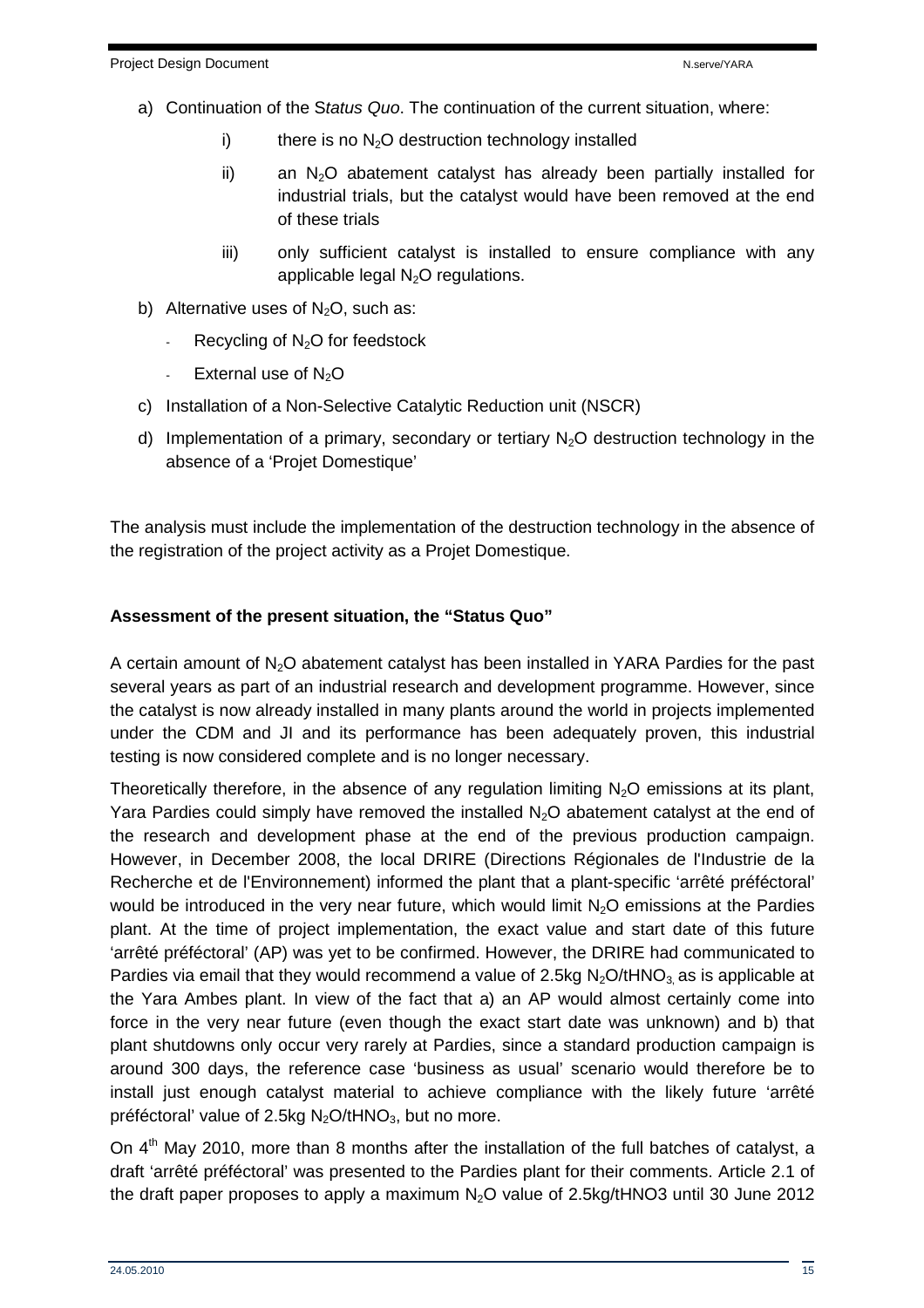- a) Continuation of the Status Quo. The continuation of the current situation, where:
	- i) there is no  $N<sub>2</sub>O$  destruction technology installed
	- $ii)$  an N<sub>2</sub>O abatement catalyst has already been partially installed for industrial trials, but the catalyst would have been removed at the end of these trials
	- iii) only sufficient catalyst is installed to ensure compliance with any applicable legal  $N_2O$  regulations.
- b) Alternative uses of  $N_2O$ , such as:
	- Recycling of  $N<sub>2</sub>O$  for feedstock
	- External use of  $N<sub>2</sub>O$
- c) Installation of a Non-Selective Catalytic Reduction unit (NSCR)
- d) Implementation of a primary, secondary or tertiary  $N_2O$  destruction technology in the absence of a 'Projet Domestique'

The analysis must include the implementation of the destruction technology in the absence of the registration of the project activity as a Projet Domestique.

#### **Assessment of the present situation, the "Status Quo"**

A certain amount of  $N_2O$  abatement catalyst has been installed in YARA Pardies for the past several years as part of an industrial research and development programme. However, since the catalyst is now already installed in many plants around the world in projects implemented under the CDM and JI and its performance has been adequately proven, this industrial testing is now considered complete and is no longer necessary.

Theoretically therefore, in the absence of any regulation limiting  $N<sub>2</sub>O$  emissions at its plant, Yara Pardies could simply have removed the installed  $N_2O$  abatement catalyst at the end of the research and development phase at the end of the previous production campaign. However, in December 2008, the local DRIRE (Directions Régionales de l'Industrie de la Recherche et de l'Environnement) informed the plant that a plant-specific 'arrêté préféctoral' would be introduced in the very near future, which would limit  $N_2O$  emissions at the Pardies plant. At the time of project implementation, the exact value and start date of this future 'arrêté préféctoral' (AP) was yet to be confirmed. However, the DRIRE had communicated to Pardies via email that they would recommend a value of 2.5kg  $N_2O/HNO_3$  as is applicable at the Yara Ambes plant. In view of the fact that a) an AP would almost certainly come into force in the very near future (even though the exact start date was unknown) and b) that plant shutdowns only occur very rarely at Pardies, since a standard production campaign is around 300 days, the reference case 'business as usual' scenario would therefore be to install just enough catalyst material to achieve compliance with the likely future 'arrêté préféctoral' value of 2.5kg  $N_2O/tHNO_3$ , but no more.

On  $4<sup>th</sup>$  May 2010, more than 8 months after the installation of the full batches of catalyst, a draft 'arrêté préféctoral' was presented to the Pardies plant for their comments. Article 2.1 of the draft paper proposes to apply a maximum  $N<sub>2</sub>O$  value of 2.5kg/tHNO3 until 30 June 2012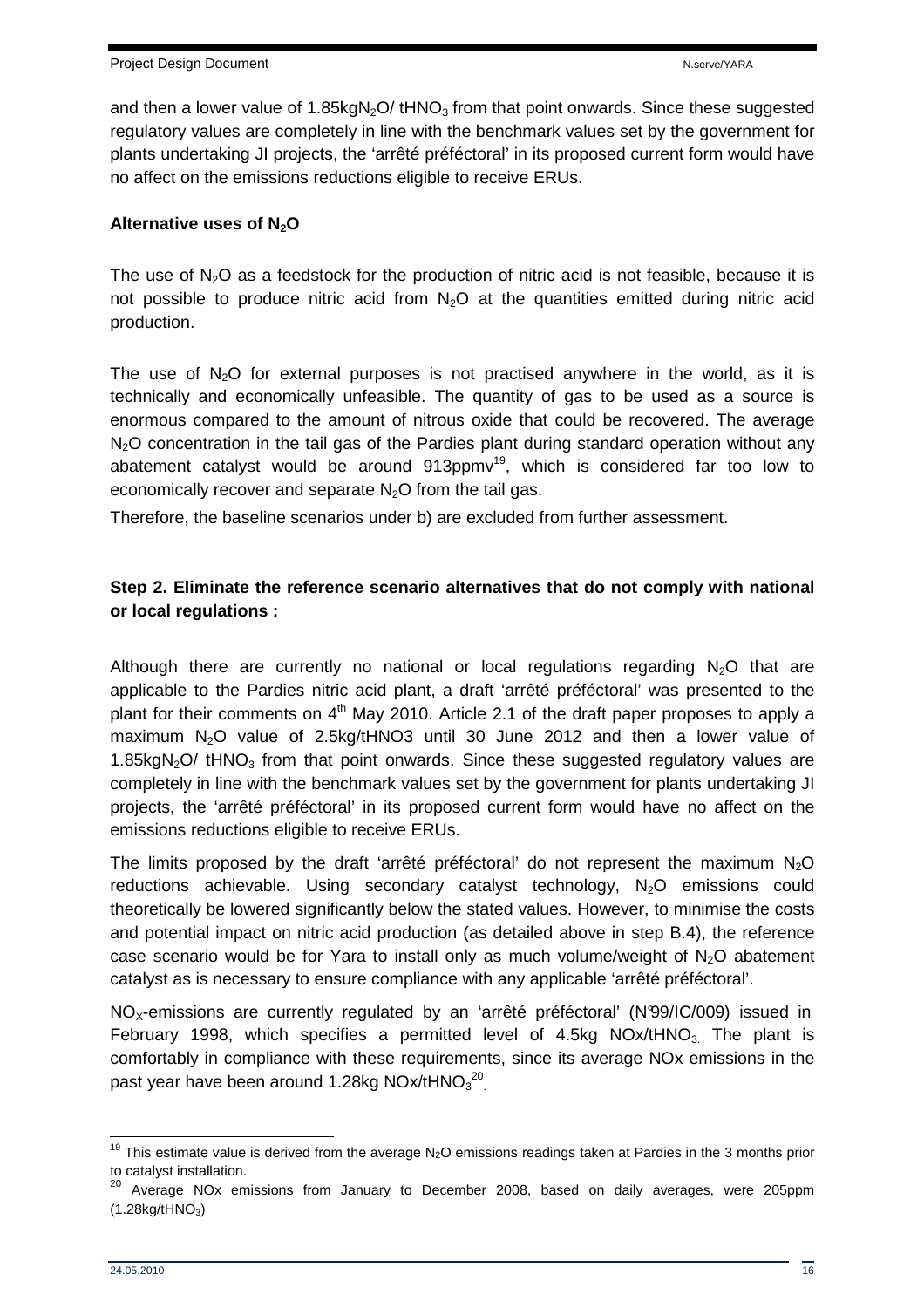and then a lower value of  $1.85$ kgN<sub>2</sub>O/ tHNO<sub>3</sub> from that point onwards. Since these suggested regulatory values are completely in line with the benchmark values set by the government for plants undertaking JI projects, the 'arrêté préféctoral' in its proposed current form would have no affect on the emissions reductions eligible to receive ERUs.

#### **Alternative uses of N2O**

The use of  $N_2O$  as a feedstock for the production of nitric acid is not feasible, because it is not possible to produce nitric acid from  $N<sub>2</sub>O$  at the quantities emitted during nitric acid production.

The use of  $N<sub>2</sub>O$  for external purposes is not practised anywhere in the world, as it is technically and economically unfeasible. The quantity of gas to be used as a source is enormous compared to the amount of nitrous oxide that could be recovered. The average  $N<sub>2</sub>O$  concentration in the tail gas of the Pardies plant during standard operation without any abatement catalyst would be around  $913$ ppmv<sup>19</sup>, which is considered far too low to economically recover and separate  $N<sub>2</sub>O$  from the tail gas.

Therefore, the baseline scenarios under b) are excluded from further assessment.

## **Step 2. Eliminate the reference scenario alternatives that do not comply with national or local regulations :**

Although there are currently no national or local regulations regarding  $N<sub>2</sub>O$  that are applicable to the Pardies nitric acid plant, a draft 'arrêté préféctoral' was presented to the plant for their comments on  $4<sup>th</sup>$  May 2010. Article 2.1 of the draft paper proposes to apply a maximum  $N_2O$  value of 2.5kg/tHNO3 until 30 June 2012 and then a lower value of 1.85 $kgN<sub>2</sub>O$  tHNO<sub>3</sub> from that point onwards. Since these suggested regulatory values are completely in line with the benchmark values set by the government for plants undertaking JI projects, the 'arrêté préféctoral' in its proposed current form would have no affect on the emissions reductions eligible to receive ERUs.

The limits proposed by the draft 'arrêté préféctoral' do not represent the maximum  $N<sub>2</sub>O$ reductions achievable. Using secondary catalyst technology,  $N_2O$  emissions could theoretically be lowered significantly below the stated values. However, to minimise the costs and potential impact on nitric acid production (as detailed above in step B.4), the reference case scenario would be for Yara to install only as much volume/weight of  $N_2O$  abatement catalyst as is necessary to ensure compliance with any applicable 'arrêté préféctoral'.

NO<sub>x</sub>-emissions are currently regulated by an 'arrêté préféctoral' (N°99/IC/009) issued in February 1998, which specifies a permitted level of 4.5kg  $NOx/tHNO<sub>3</sub>$ . The plant is comfortably in compliance with these requirements, since its average NOx emissions in the past year have been around 1.28kg NOx/tHNO $_3^{\rm 20}$ 

<sup>&</sup>lt;sup>19</sup> This estimate value is derived from the average N<sub>2</sub>O emissions readings taken at Pardies in the 3 months prior to catalyst installation.

 $20$  Average NOx emissions from January to December 2008, based on daily averages, were 205ppm  $(1.28$ kg/tHNO<sub>3</sub>)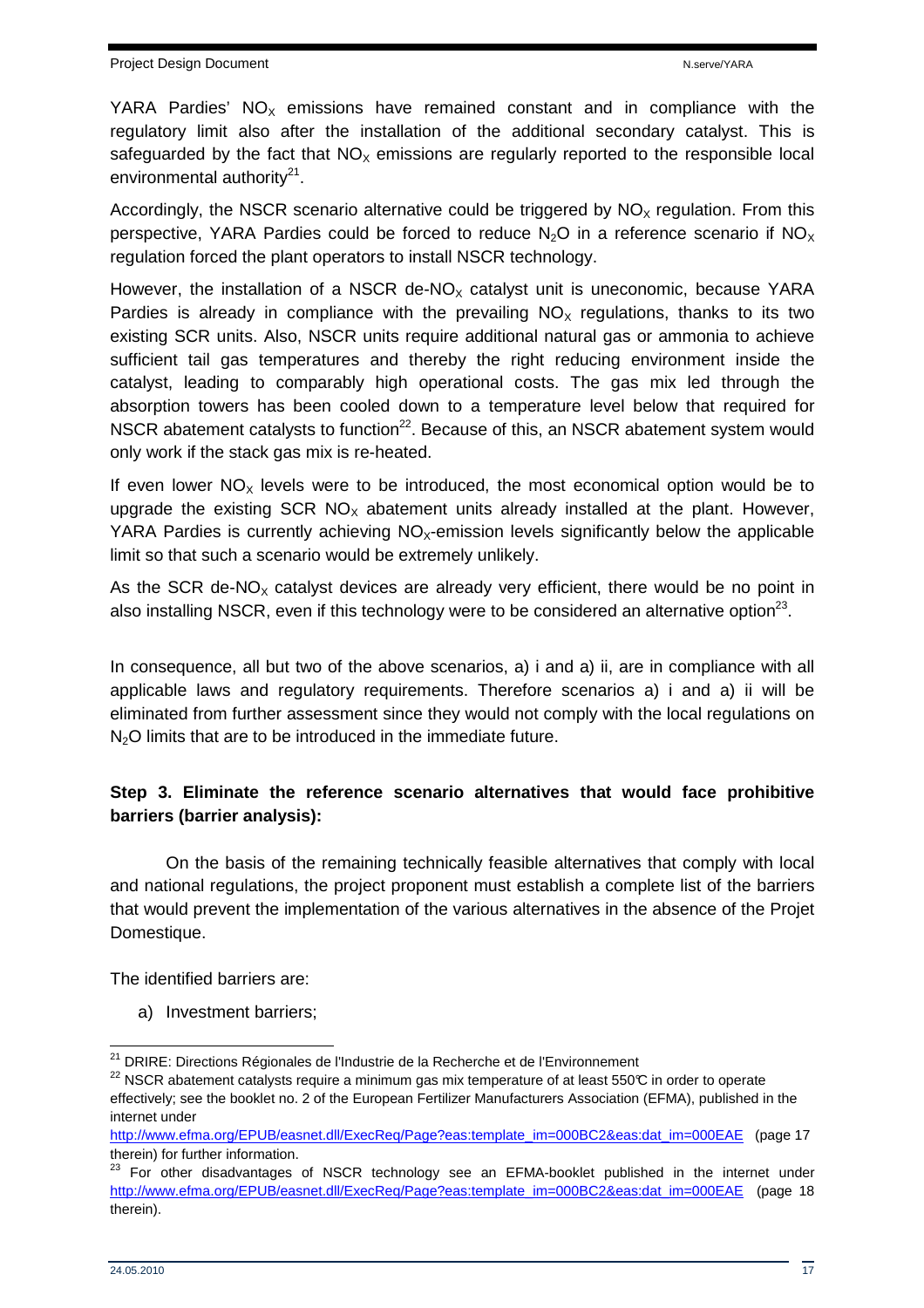YARA Pardies'  $NO<sub>x</sub>$  emissions have remained constant and in compliance with the regulatory limit also after the installation of the additional secondary catalyst. This is safeguarded by the fact that  $NO<sub>x</sub>$  emissions are regularly reported to the responsible local environmental authority<sup>21</sup>.

Accordingly, the NSCR scenario alternative could be triggered by  $NO<sub>x</sub>$  regulation. From this perspective, YARA Pardies could be forced to reduce  $N_2O$  in a reference scenario if  $NO_x$ regulation forced the plant operators to install NSCR technology.

However, the installation of a NSCR de-NO<sub>x</sub> catalyst unit is uneconomic, because YARA Pardies is already in compliance with the prevailing  $NO<sub>x</sub>$  regulations, thanks to its two existing SCR units. Also, NSCR units require additional natural gas or ammonia to achieve sufficient tail gas temperatures and thereby the right reducing environment inside the catalyst, leading to comparably high operational costs. The gas mix led through the absorption towers has been cooled down to a temperature level below that required for NSCR abatement catalysts to function<sup>22</sup>. Because of this, an NSCR abatement system would only work if the stack gas mix is re-heated.

If even lower  $NO<sub>x</sub>$  levels were to be introduced, the most economical option would be to upgrade the existing  $SCR NO<sub>x</sub>$  abatement units already installed at the plant. However, YARA Pardies is currently achieving  $NO<sub>x</sub>$ -emission levels significantly below the applicable limit so that such a scenario would be extremely unlikely.

As the SCR de-NO<sub>x</sub> catalyst devices are already very efficient, there would be no point in also installing NSCR, even if this technology were to be considered an alternative option<sup>23</sup>.

In consequence, all but two of the above scenarios, a) i and a) ii, are in compliance with all applicable laws and regulatory requirements. Therefore scenarios a) i and a) ii will be eliminated from further assessment since they would not comply with the local regulations on  $N<sub>2</sub>O$  limits that are to be introduced in the immediate future.

## **Step 3. Eliminate the reference scenario alternatives that would face prohibitive barriers (barrier analysis):**

On the basis of the remaining technically feasible alternatives that comply with local and national regulations, the project proponent must establish a complete list of the barriers that would prevent the implementation of the various alternatives in the absence of the Projet Domestique.

The identified barriers are:

a) Investment barriers;

 $\overline{\phantom{a}}$ <sup>21</sup> DRIRE: Directions Régionales de l'Industrie de la Recherche et de l'Environnement

 $^{22}$  NSCR abatement catalysts require a minimum gas mix temperature of at least 550°C in order to operate effectively; see the booklet no. 2 of the European Fertilizer Manufacturers Association (EFMA), published in the internet under

http://www.efma.org/EPUB/easnet.dll/ExecReq/Page?eas:template\_im=000BC2&eas:dat\_im=000EAE (page 17 therein) for further information.

<sup>&</sup>lt;sup>23</sup> For other disadvantages of NSCR technology see an EFMA-booklet published in the internet under http://www.efma.org/EPUB/easnet.dll/ExecReq/Page?eas:template\_im=000BC2&eas:dat\_im=000EAE (page 18 therein).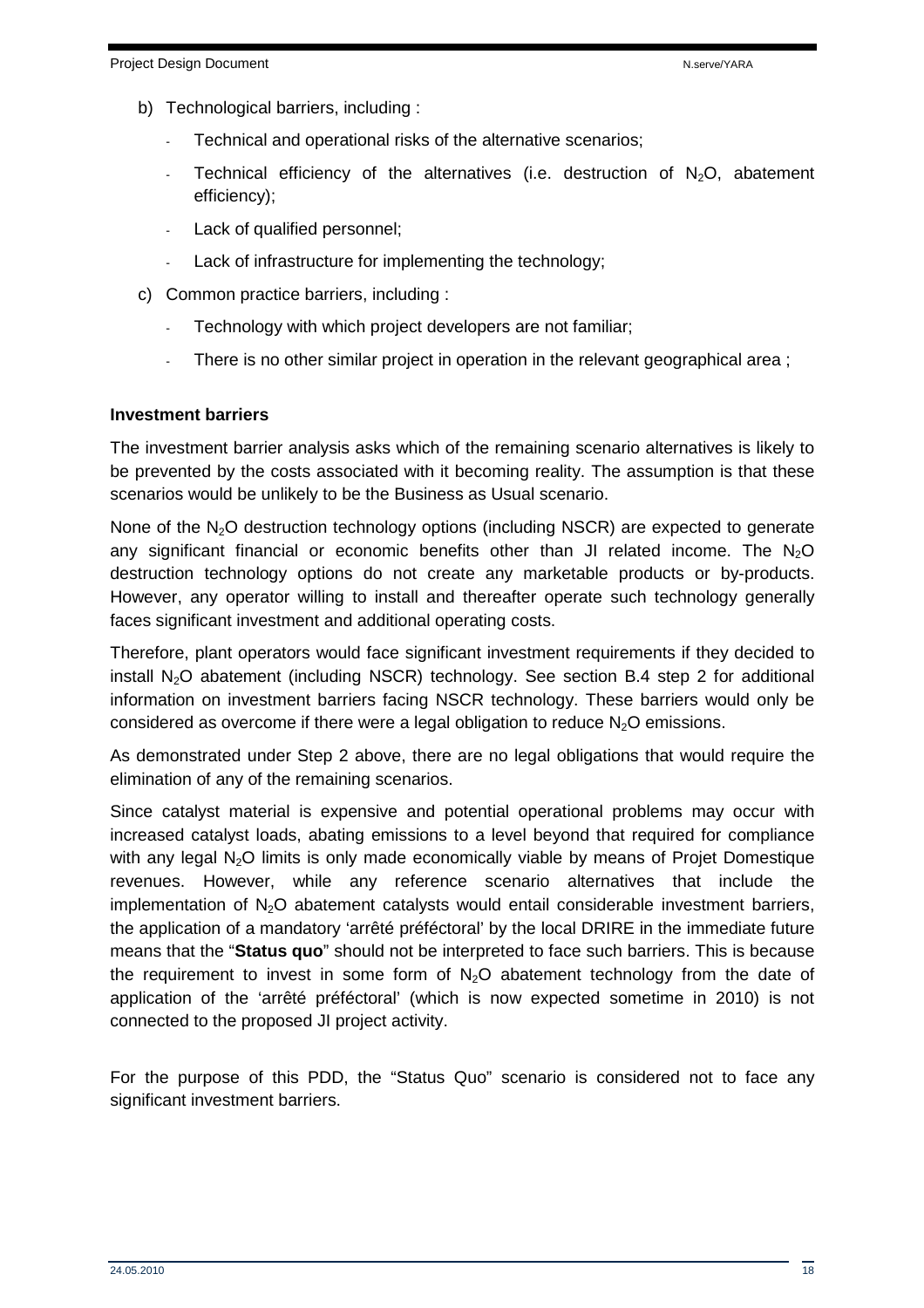- b) Technological barriers, including :
	- Technical and operational risks of the alternative scenarios;
	- Technical efficiency of the alternatives (i.e. destruction of  $N_2O$ , abatement efficiency);
	- Lack of qualified personnel;
	- Lack of infrastructure for implementing the technology;
- c) Common practice barriers, including :
	- Technology with which project developers are not familiar;
	- There is no other similar project in operation in the relevant geographical area;

#### **Investment barriers**

The investment barrier analysis asks which of the remaining scenario alternatives is likely to be prevented by the costs associated with it becoming reality. The assumption is that these scenarios would be unlikely to be the Business as Usual scenario.

None of the  $N<sub>2</sub>O$  destruction technology options (including NSCR) are expected to generate any significant financial or economic benefits other than JI related income. The  $N_2O$ destruction technology options do not create any marketable products or by-products. However, any operator willing to install and thereafter operate such technology generally faces significant investment and additional operating costs.

Therefore, plant operators would face significant investment requirements if they decided to install  $N_2O$  abatement (including NSCR) technology. See section B.4 step 2 for additional information on investment barriers facing NSCR technology. These barriers would only be considered as overcome if there were a legal obligation to reduce  $N_2O$  emissions.

As demonstrated under Step 2 above, there are no legal obligations that would require the elimination of any of the remaining scenarios.

Since catalyst material is expensive and potential operational problems may occur with increased catalyst loads, abating emissions to a level beyond that required for compliance with any legal N<sub>2</sub>O limits is only made economically viable by means of Projet Domestique revenues. However, while any reference scenario alternatives that include the implementation of  $N_2O$  abatement catalysts would entail considerable investment barriers, the application of a mandatory 'arrêté préféctoral' by the local DRIRE in the immediate future means that the "**Status quo**" should not be interpreted to face such barriers. This is because the requirement to invest in some form of  $N_2O$  abatement technology from the date of application of the 'arrêté préféctoral' (which is now expected sometime in 2010) is not connected to the proposed JI project activity.

For the purpose of this PDD, the "Status Quo" scenario is considered not to face any significant investment barriers.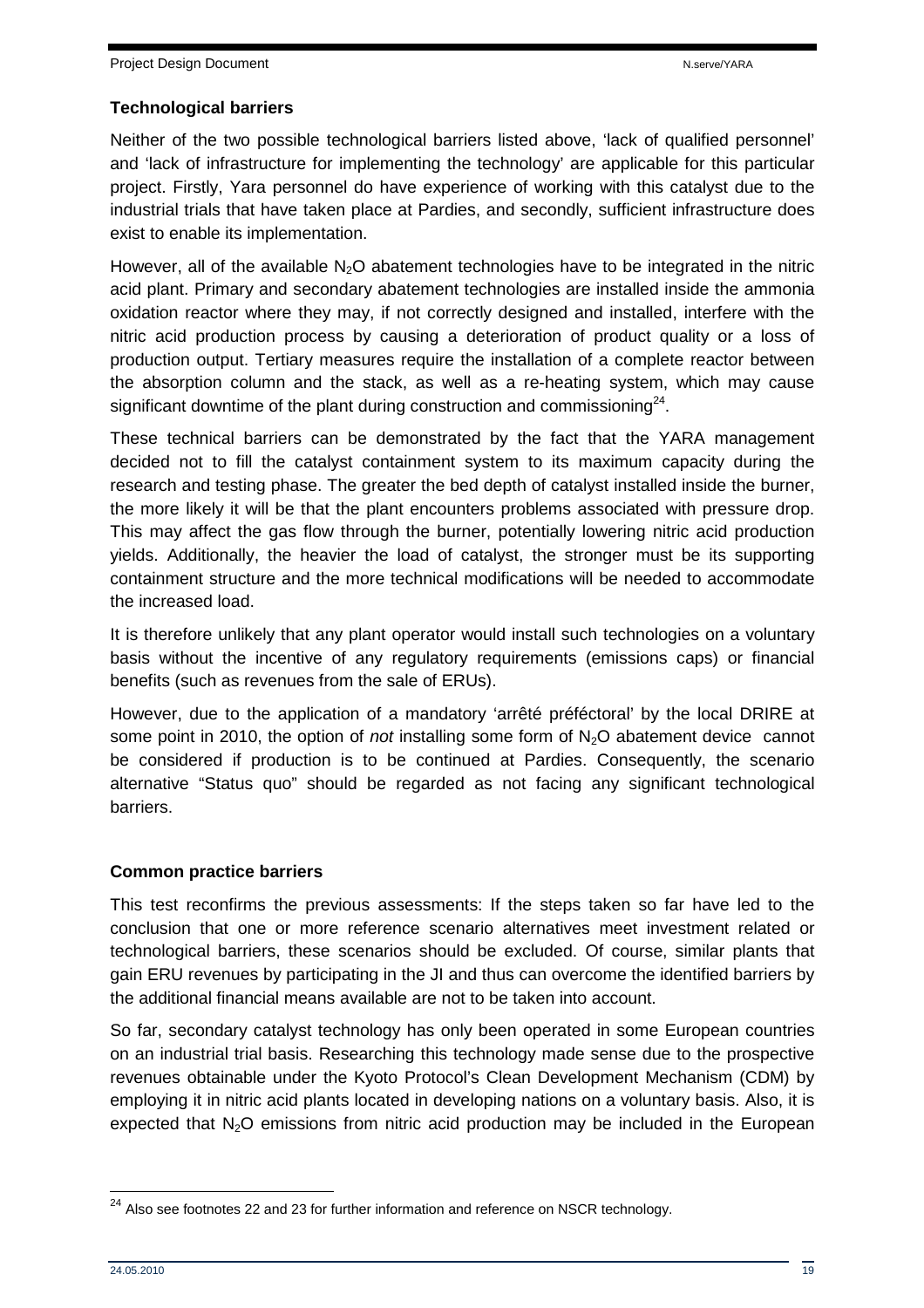#### **Technological barriers**

Neither of the two possible technological barriers listed above, 'lack of qualified personnel' and 'lack of infrastructure for implementing the technology' are applicable for this particular project. Firstly, Yara personnel do have experience of working with this catalyst due to the industrial trials that have taken place at Pardies, and secondly, sufficient infrastructure does exist to enable its implementation.

However, all of the available  $N<sub>2</sub>O$  abatement technologies have to be integrated in the nitric acid plant. Primary and secondary abatement technologies are installed inside the ammonia oxidation reactor where they may, if not correctly designed and installed, interfere with the nitric acid production process by causing a deterioration of product quality or a loss of production output. Tertiary measures require the installation of a complete reactor between the absorption column and the stack, as well as a re-heating system, which may cause significant downtime of the plant during construction and commissioning $^{24}$ .

These technical barriers can be demonstrated by the fact that the YARA management decided not to fill the catalyst containment system to its maximum capacity during the research and testing phase. The greater the bed depth of catalyst installed inside the burner, the more likely it will be that the plant encounters problems associated with pressure drop. This may affect the gas flow through the burner, potentially lowering nitric acid production yields. Additionally, the heavier the load of catalyst, the stronger must be its supporting containment structure and the more technical modifications will be needed to accommodate the increased load.

It is therefore unlikely that any plant operator would install such technologies on a voluntary basis without the incentive of any regulatory requirements (emissions caps) or financial benefits (such as revenues from the sale of ERUs).

However, due to the application of a mandatory 'arrêté préféctoral' by the local DRIRE at some point in 2010, the option of *not* installing some form of  $N<sub>2</sub>O$  abatement device cannot be considered if production is to be continued at Pardies. Consequently, the scenario alternative "Status quo" should be regarded as not facing any significant technological barriers.

## **Common practice barriers**

This test reconfirms the previous assessments: If the steps taken so far have led to the conclusion that one or more reference scenario alternatives meet investment related or technological barriers, these scenarios should be excluded. Of course, similar plants that gain ERU revenues by participating in the JI and thus can overcome the identified barriers by the additional financial means available are not to be taken into account.

So far, secondary catalyst technology has only been operated in some European countries on an industrial trial basis. Researching this technology made sense due to the prospective revenues obtainable under the Kyoto Protocol's Clean Development Mechanism (CDM) by employing it in nitric acid plants located in developing nations on a voluntary basis. Also, it is expected that  $N_2O$  emissions from nitric acid production may be included in the European

 $\overline{\phantom{a}}$  $24$  Also see footnotes 22 and 23 for further information and reference on NSCR technology.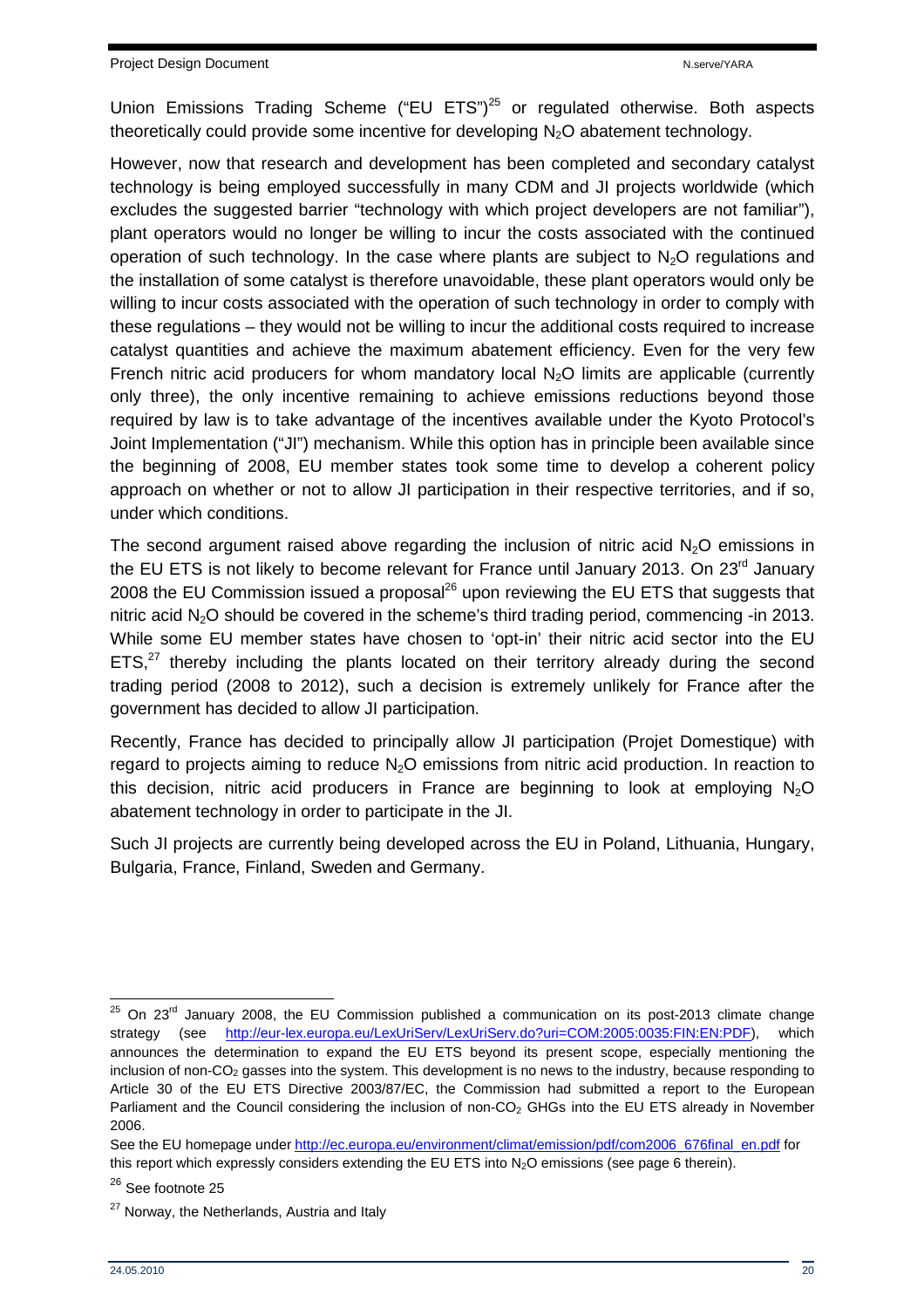Union Emissions Trading Scheme ("EU ETS")<sup>25</sup> or regulated otherwise. Both aspects theoretically could provide some incentive for developing  $N_2O$  abatement technology.

However, now that research and development has been completed and secondary catalyst technology is being employed successfully in many CDM and JI projects worldwide (which excludes the suggested barrier "technology with which project developers are not familiar"), plant operators would no longer be willing to incur the costs associated with the continued operation of such technology. In the case where plants are subject to  $N_2O$  regulations and the installation of some catalyst is therefore unavoidable, these plant operators would only be willing to incur costs associated with the operation of such technology in order to comply with these regulations – they would not be willing to incur the additional costs required to increase catalyst quantities and achieve the maximum abatement efficiency. Even for the very few French nitric acid producers for whom mandatory local  $N<sub>2</sub>O$  limits are applicable (currently only three), the only incentive remaining to achieve emissions reductions beyond those required by law is to take advantage of the incentives available under the Kyoto Protocol's Joint Implementation ("JI") mechanism. While this option has in principle been available since the beginning of 2008, EU member states took some time to develop a coherent policy approach on whether or not to allow JI participation in their respective territories, and if so, under which conditions.

The second argument raised above regarding the inclusion of nitric acid  $N<sub>2</sub>O$  emissions in the EU ETS is not likely to become relevant for France until January 2013. On 23<sup>rd</sup> January 2008 the EU Commission issued a proposal $^{26}$  upon reviewing the EU ETS that suggests that nitric acid  $N_2O$  should be covered in the scheme's third trading period, commencing -in 2013. While some EU member states have chosen to 'opt-in' their nitric acid sector into the EU  $ETS<sub>1</sub><sup>27</sup>$  thereby including the plants located on their territory already during the second trading period (2008 to 2012), such a decision is extremely unlikely for France after the government has decided to allow JI participation.

Recently, France has decided to principally allow JI participation (Projet Domestique) with regard to projects aiming to reduce  $N<sub>2</sub>O$  emissions from nitric acid production. In reaction to this decision, nitric acid producers in France are beginning to look at employing  $N_2O$ abatement technology in order to participate in the JI.

Such JI projects are currently being developed across the EU in Poland, Lithuania, Hungary, Bulgaria, France, Finland, Sweden and Germany.

 $\overline{\phantom{a}}$  $25$  On 23<sup>rd</sup> January 2008, the EU Commission published a communication on its post-2013 climate change strategy (see http://eur-lex.europa.eu/LexUriServ/LexUriServ.do?uri=COM:2005:0035:FIN:EN:PDF), which announces the determination to expand the EU ETS beyond its present scope, especially mentioning the inclusion of non-CO2 gasses into the system. This development is no news to the industry, because responding to Article 30 of the EU ETS Directive 2003/87/EC, the Commission had submitted a report to the European Parliament and the Council considering the inclusion of non-CO<sub>2</sub> GHGs into the EU ETS already in November 2006.

See the EU homepage under http://ec.europa.eu/environment/climat/emission/pdf/com2006\_676final\_en.pdf for this report which expressly considers extending the EU ETS into  $N_2O$  emissions (see page 6 therein).

<sup>&</sup>lt;sup>26</sup> See footnote 25

 $27$  Norway, the Netherlands, Austria and Italy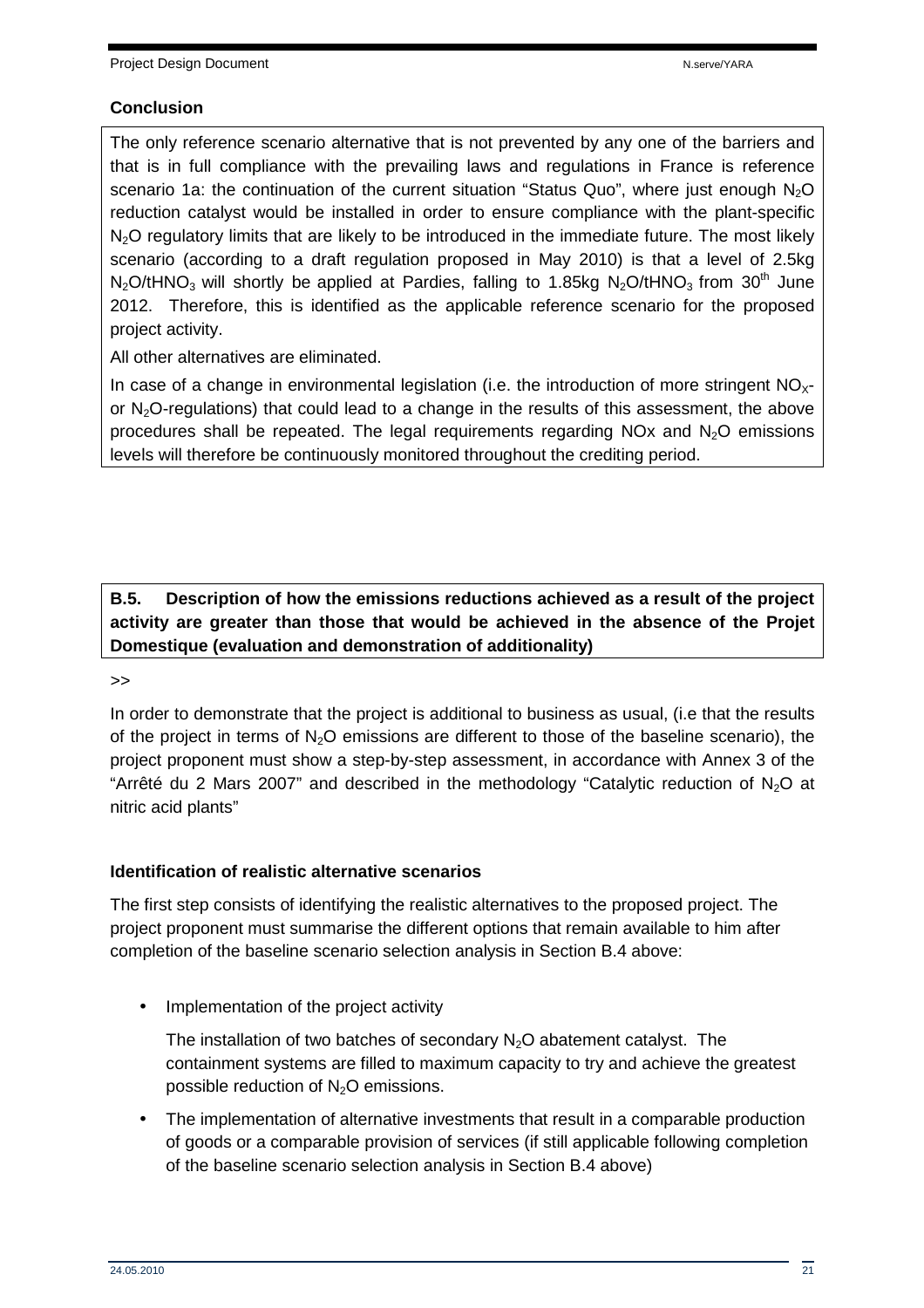#### **Conclusion**

The only reference scenario alternative that is not prevented by any one of the barriers and that is in full compliance with the prevailing laws and regulations in France is reference scenario 1a: the continuation of the current situation "Status Quo", where just enough  $N_2O$ reduction catalyst would be installed in order to ensure compliance with the plant-specific  $N<sub>2</sub>O$  regulatory limits that are likely to be introduced in the immediate future. The most likely scenario (according to a draft regulation proposed in May 2010) is that a level of 2.5kg  $N_2O$ /tHNO<sub>3</sub> will shortly be applied at Pardies, falling to 1.85kg N<sub>2</sub>O/tHNO<sub>3</sub> from 30<sup>th</sup> June 2012. Therefore, this is identified as the applicable reference scenario for the proposed project activity.

All other alternatives are eliminated.

In case of a change in environmental legislation (i.e. the introduction of more stringent  $NO<sub>x</sub>$ or  $N<sub>2</sub>O$ -regulations) that could lead to a change in the results of this assessment, the above procedures shall be repeated. The legal requirements regarding NOx and  $N_2O$  emissions levels will therefore be continuously monitored throughout the crediting period.

**B.5. Description of how the emissions reductions achieved as a result of the project activity are greater than those that would be achieved in the absence of the Projet Domestique (evaluation and demonstration of additionality)** 

#### >>

In order to demonstrate that the project is additional to business as usual, (i.e that the results of the project in terms of  $N<sub>2</sub>O$  emissions are different to those of the baseline scenario), the project proponent must show a step-by-step assessment, in accordance with Annex 3 of the "Arrêté du 2 Mars 2007" and described in the methodology "Catalytic reduction of  $N_2O$  at nitric acid plants"

#### **Identification of realistic alternative scenarios**

The first step consists of identifying the realistic alternatives to the proposed project. The project proponent must summarise the different options that remain available to him after completion of the baseline scenario selection analysis in Section B.4 above:

• Implementation of the project activity

The installation of two batches of secondary  $N<sub>2</sub>O$  abatement catalyst. The containment systems are filled to maximum capacity to try and achieve the greatest possible reduction of  $N_2O$  emissions.

• The implementation of alternative investments that result in a comparable production of goods or a comparable provision of services (if still applicable following completion of the baseline scenario selection analysis in Section B.4 above)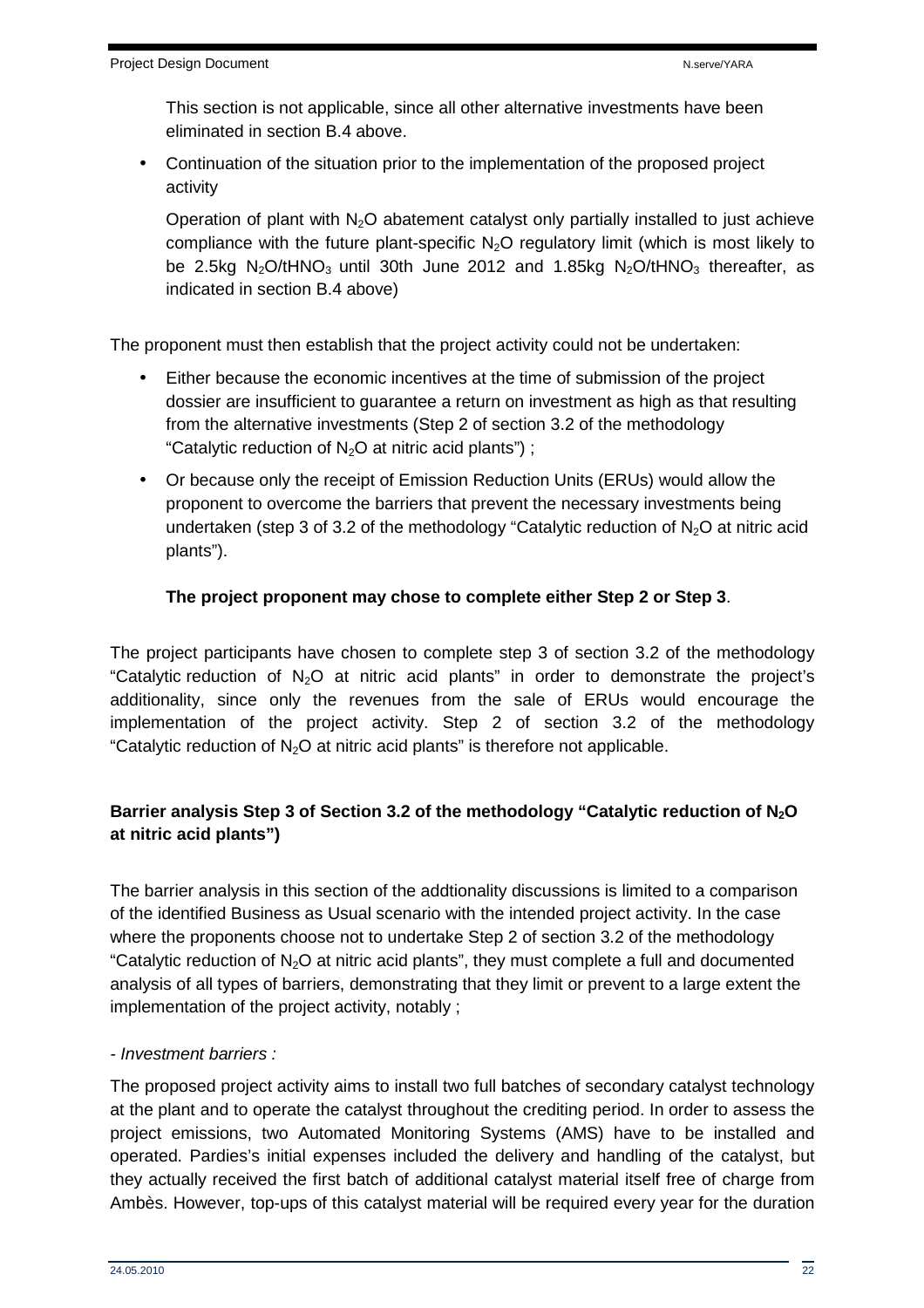This section is not applicable, since all other alternative investments have been eliminated in section B.4 above.

• Continuation of the situation prior to the implementation of the proposed project activity

Operation of plant with  $N_2O$  abatement catalyst only partially installed to just achieve compliance with the future plant-specific  $N_2O$  regulatory limit (which is most likely to be 2.5kg N<sub>2</sub>O/tHNO<sub>3</sub> until 30th June 2012 and 1.85kg N<sub>2</sub>O/tHNO<sub>3</sub> thereafter, as indicated in section B.4 above)

The proponent must then establish that the project activity could not be undertaken:

- Either because the economic incentives at the time of submission of the project dossier are insufficient to guarantee a return on investment as high as that resulting from the alternative investments (Step 2 of section 3.2 of the methodology "Catalytic reduction of  $N_2O$  at nitric acid plants");
- Or because only the receipt of Emission Reduction Units (ERUs) would allow the proponent to overcome the barriers that prevent the necessary investments being undertaken (step 3 of 3.2 of the methodology "Catalytic reduction of  $N_2O$  at nitric acid plants").

#### **The project proponent may chose to complete either Step 2 or Step 3**.

The project participants have chosen to complete step 3 of section 3.2 of the methodology "Catalytic reduction of  $N_2O$  at nitric acid plants" in order to demonstrate the project's additionality, since only the revenues from the sale of ERUs would encourage the implementation of the project activity. Step 2 of section 3.2 of the methodology "Catalytic reduction of  $N<sub>2</sub>O$  at nitric acid plants" is therefore not applicable.

## **Barrier analysis Step 3 of Section 3.2 of the methodology "Catalytic reduction of N2O at nitric acid plants")**

The barrier analysis in this section of the addtionality discussions is limited to a comparison of the identified Business as Usual scenario with the intended project activity. In the case where the proponents choose not to undertake Step 2 of section 3.2 of the methodology "Catalytic reduction of  $N_2O$  at nitric acid plants", they must complete a full and documented analysis of all types of barriers, demonstrating that they limit or prevent to a large extent the implementation of the project activity, notably ;

#### - Investment barriers :

The proposed project activity aims to install two full batches of secondary catalyst technology at the plant and to operate the catalyst throughout the crediting period. In order to assess the project emissions, two Automated Monitoring Systems (AMS) have to be installed and operated. Pardies's initial expenses included the delivery and handling of the catalyst, but they actually received the first batch of additional catalyst material itself free of charge from Ambès. However, top-ups of this catalyst material will be required every year for the duration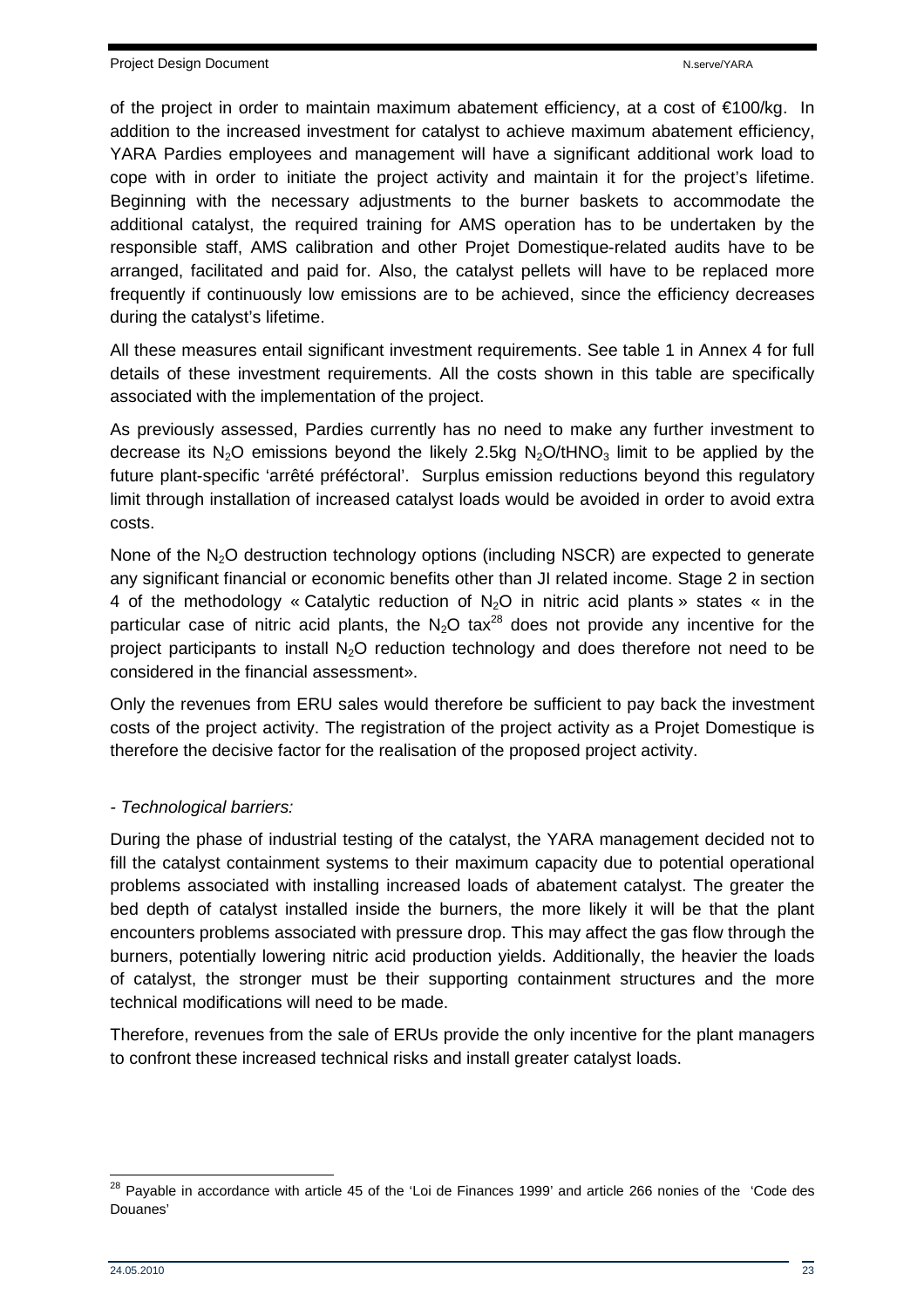of the project in order to maintain maximum abatement efficiency, at a cost of €100/kg. In addition to the increased investment for catalyst to achieve maximum abatement efficiency, YARA Pardies employees and management will have a significant additional work load to cope with in order to initiate the project activity and maintain it for the project's lifetime. Beginning with the necessary adjustments to the burner baskets to accommodate the additional catalyst, the required training for AMS operation has to be undertaken by the responsible staff, AMS calibration and other Projet Domestique-related audits have to be arranged, facilitated and paid for. Also, the catalyst pellets will have to be replaced more frequently if continuously low emissions are to be achieved, since the efficiency decreases during the catalyst's lifetime.

All these measures entail significant investment requirements. See table 1 in Annex 4 for full details of these investment requirements. All the costs shown in this table are specifically associated with the implementation of the project.

As previously assessed, Pardies currently has no need to make any further investment to decrease its N<sub>2</sub>O emissions beyond the likely 2.5kg N<sub>2</sub>O/tHNO<sub>3</sub> limit to be applied by the future plant-specific 'arrêté préféctoral'. Surplus emission reductions beyond this regulatory limit through installation of increased catalyst loads would be avoided in order to avoid extra costs.

None of the  $N<sub>2</sub>O$  destruction technology options (including NSCR) are expected to generate any significant financial or economic benefits other than JI related income. Stage 2 in section 4 of the methodology « Catalytic reduction of  $N_2O$  in nitric acid plants » states « in the particular case of nitric acid plants, the  $N_2O$  tax<sup>28</sup> does not provide any incentive for the project participants to install  $N<sub>2</sub>O$  reduction technology and does therefore not need to be considered in the financial assessment».

Only the revenues from ERU sales would therefore be sufficient to pay back the investment costs of the project activity. The registration of the project activity as a Projet Domestique is therefore the decisive factor for the realisation of the proposed project activity.

#### - Technological barriers:

During the phase of industrial testing of the catalyst, the YARA management decided not to fill the catalyst containment systems to their maximum capacity due to potential operational problems associated with installing increased loads of abatement catalyst. The greater the bed depth of catalyst installed inside the burners, the more likely it will be that the plant encounters problems associated with pressure drop. This may affect the gas flow through the burners, potentially lowering nitric acid production yields. Additionally, the heavier the loads of catalyst, the stronger must be their supporting containment structures and the more technical modifications will need to be made.

Therefore, revenues from the sale of ERUs provide the only incentive for the plant managers to confront these increased technical risks and install greater catalyst loads.

  $^{28}$  Payable in accordance with article 45 of the 'Loi de Finances 1999' and article 266 nonies of the 'Code des Douanes'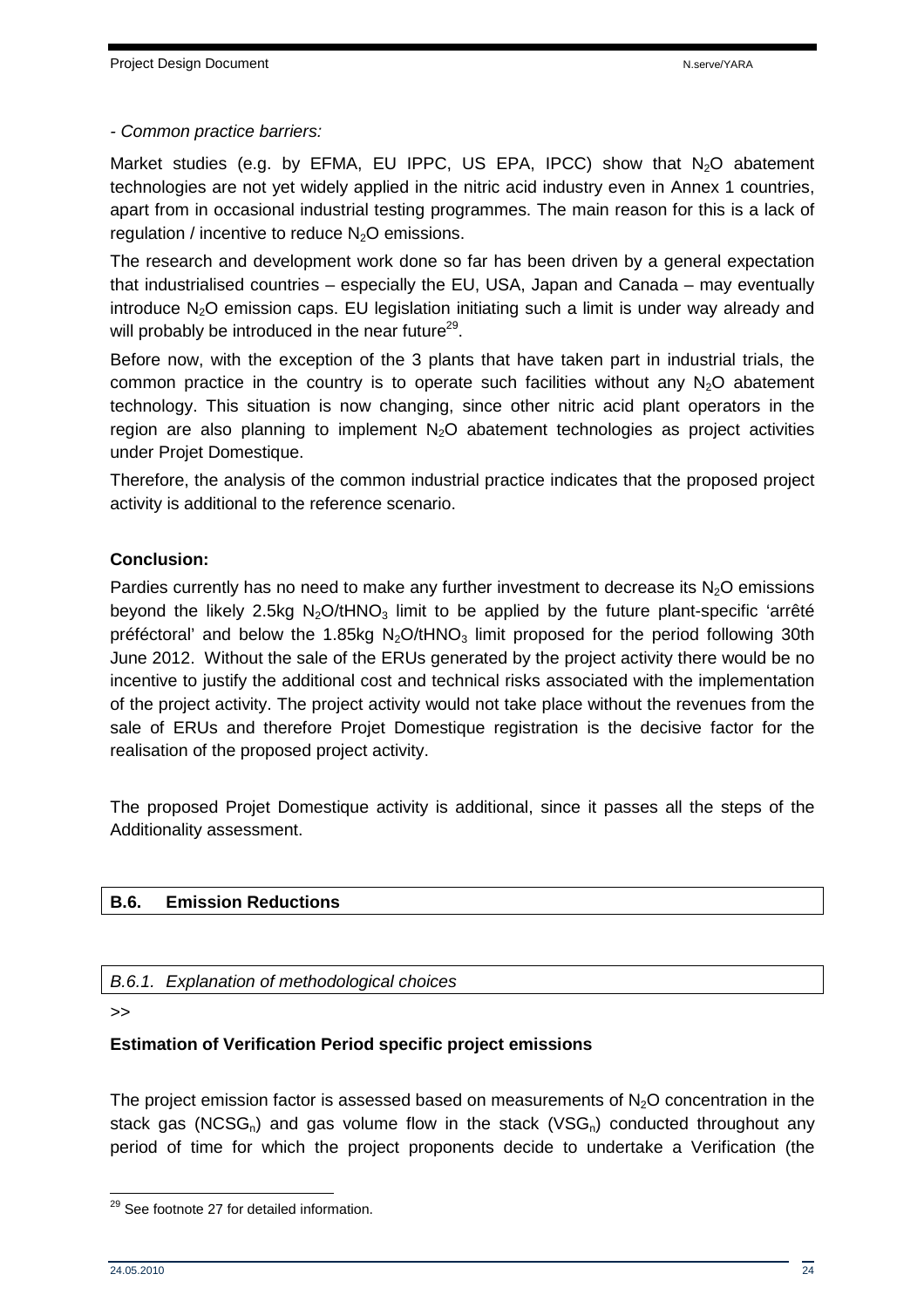- Common practice barriers:

Market studies (e.g. by EFMA, EU IPPC, US EPA, IPCC) show that  $N<sub>2</sub>O$  abatement technologies are not yet widely applied in the nitric acid industry even in Annex 1 countries, apart from in occasional industrial testing programmes. The main reason for this is a lack of regulation / incentive to reduce  $N<sub>2</sub>O$  emissions.

The research and development work done so far has been driven by a general expectation that industrialised countries – especially the EU, USA, Japan and Canada – may eventually introduce  $N_2O$  emission caps. EU legislation initiating such a limit is under way already and will probably be introduced in the near future $^{29}$ .

Before now, with the exception of the 3 plants that have taken part in industrial trials, the common practice in the country is to operate such facilities without any  $N<sub>2</sub>O$  abatement technology. This situation is now changing, since other nitric acid plant operators in the region are also planning to implement  $N_2O$  abatement technologies as project activities under Projet Domestique.

Therefore, the analysis of the common industrial practice indicates that the proposed project activity is additional to the reference scenario.

#### **Conclusion:**

Pardies currently has no need to make any further investment to decrease its  $N<sub>2</sub>O$  emissions beyond the likely 2.5kg  $N_2O/tHNO_3$  limit to be applied by the future plant-specific 'arrêté préféctoral' and below the 1.85kg  $N_2O/tHNO_3$  limit proposed for the period following 30th June 2012. Without the sale of the ERUs generated by the project activity there would be no incentive to justify the additional cost and technical risks associated with the implementation of the project activity. The project activity would not take place without the revenues from the sale of ERUs and therefore Projet Domestique registration is the decisive factor for the realisation of the proposed project activity.

The proposed Projet Domestique activity is additional, since it passes all the steps of the Additionality assessment.

## **B.6. Emission Reductions**

B.6.1. Explanation of methodological choices

>>

#### **Estimation of Verification Period specific project emissions**

The project emission factor is assessed based on measurements of  $N<sub>2</sub>O$  concentration in the stack gas (NCSG<sub>n</sub>) and gas volume flow in the stack (VSG<sub>n</sub>) conducted throughout any period of time for which the project proponents decide to undertake a Verification (the

 $\overline{\phantom{a}}$ <sup>29</sup> See footnote 27 for detailed information.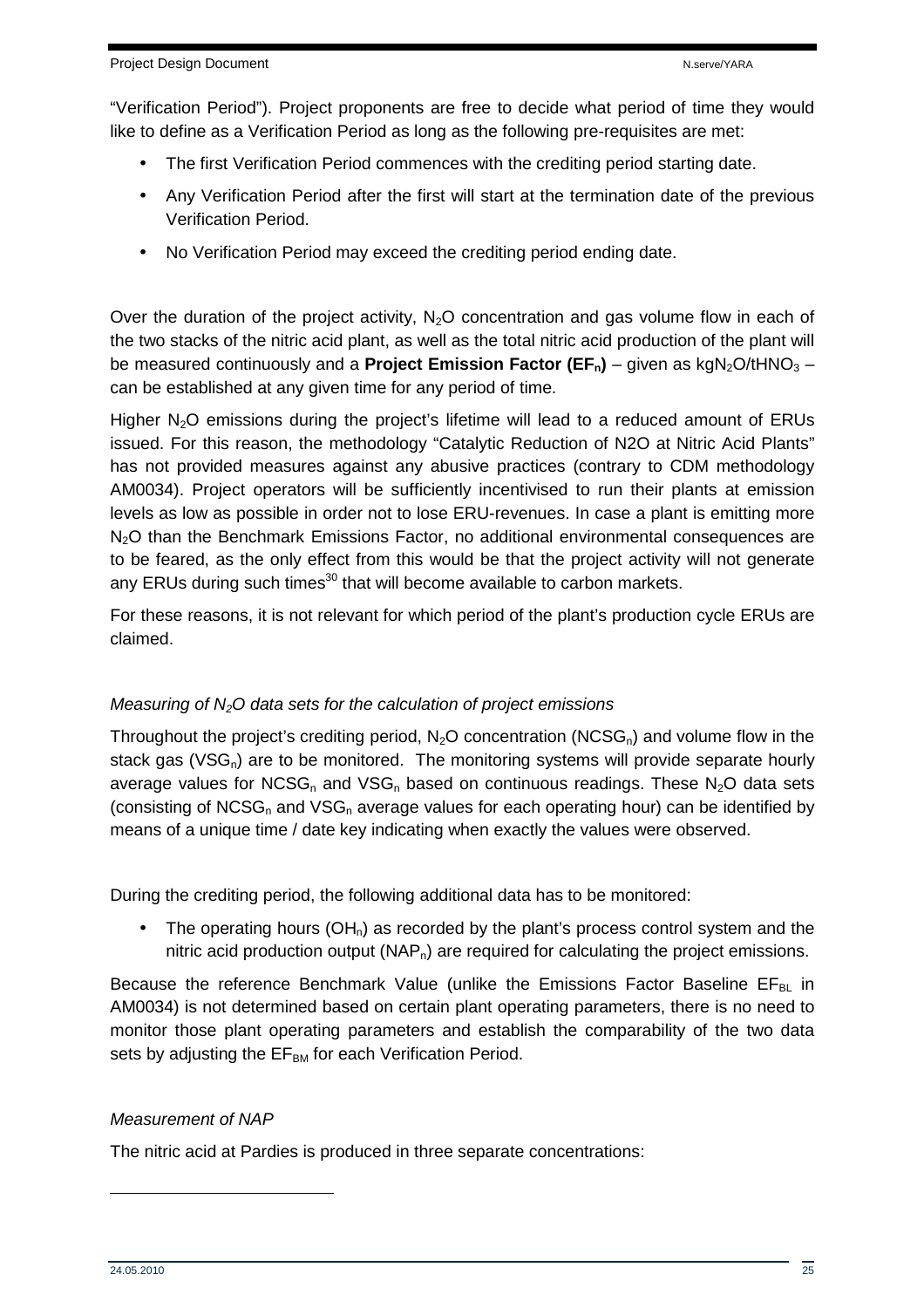"Verification Period"). Project proponents are free to decide what period of time they would like to define as a Verification Period as long as the following pre-requisites are met:

- The first Verification Period commences with the crediting period starting date.
- Any Verification Period after the first will start at the termination date of the previous Verification Period.
- No Verification Period may exceed the crediting period ending date.

Over the duration of the project activity,  $N<sub>2</sub>O$  concentration and gas volume flow in each of the two stacks of the nitric acid plant, as well as the total nitric acid production of the plant will be measured continuously and a **Project Emission Factor (EF<sub>n</sub>)** – given as kgN<sub>2</sub>O/tHNO<sub>3</sub> – can be established at any given time for any period of time.

Higher  $N<sub>2</sub>O$  emissions during the project's lifetime will lead to a reduced amount of ERUs issued. For this reason, the methodology "Catalytic Reduction of N2O at Nitric Acid Plants" has not provided measures against any abusive practices (contrary to CDM methodology AM0034). Project operators will be sufficiently incentivised to run their plants at emission levels as low as possible in order not to lose ERU-revenues. In case a plant is emitting more N<sub>2</sub>O than the Benchmark Emissions Factor, no additional environmental consequences are to be feared, as the only effect from this would be that the project activity will not generate any ERUs during such times<sup>30</sup> that will become available to carbon markets.

For these reasons, it is not relevant for which period of the plant's production cycle ERUs are claimed.

#### Measuring of  $N<sub>2</sub>O$  data sets for the calculation of project emissions

Throughout the project's crediting period,  $N_2O$  concentration (NCSG<sub>n</sub>) and volume flow in the stack gas ( $VSG<sub>n</sub>$ ) are to be monitored. The monitoring systems will provide separate hourly average values for NCSG<sub>n</sub> and VSG<sub>n</sub> based on continuous readings. These N<sub>2</sub>O data sets (consisting of NCSG<sub>n</sub> and VSG<sub>n</sub> average values for each operating hour) can be identified by means of a unique time / date key indicating when exactly the values were observed.

During the crediting period, the following additional data has to be monitored:

• The operating hours  $(OH_n)$  as recorded by the plant's process control system and the nitric acid production output  $(NAP_n)$  are required for calculating the project emissions.

Because the reference Benchmark Value (unlike the Emissions Factor Baseline  $EF_{BL}$  in AM0034) is not determined based on certain plant operating parameters, there is no need to monitor those plant operating parameters and establish the comparability of the two data sets by adjusting the  $EF<sub>BM</sub>$  for each Verification Period.

#### Measurement of NAP

The nitric acid at Pardies is produced in three separate concentrations:

 $\overline{a}$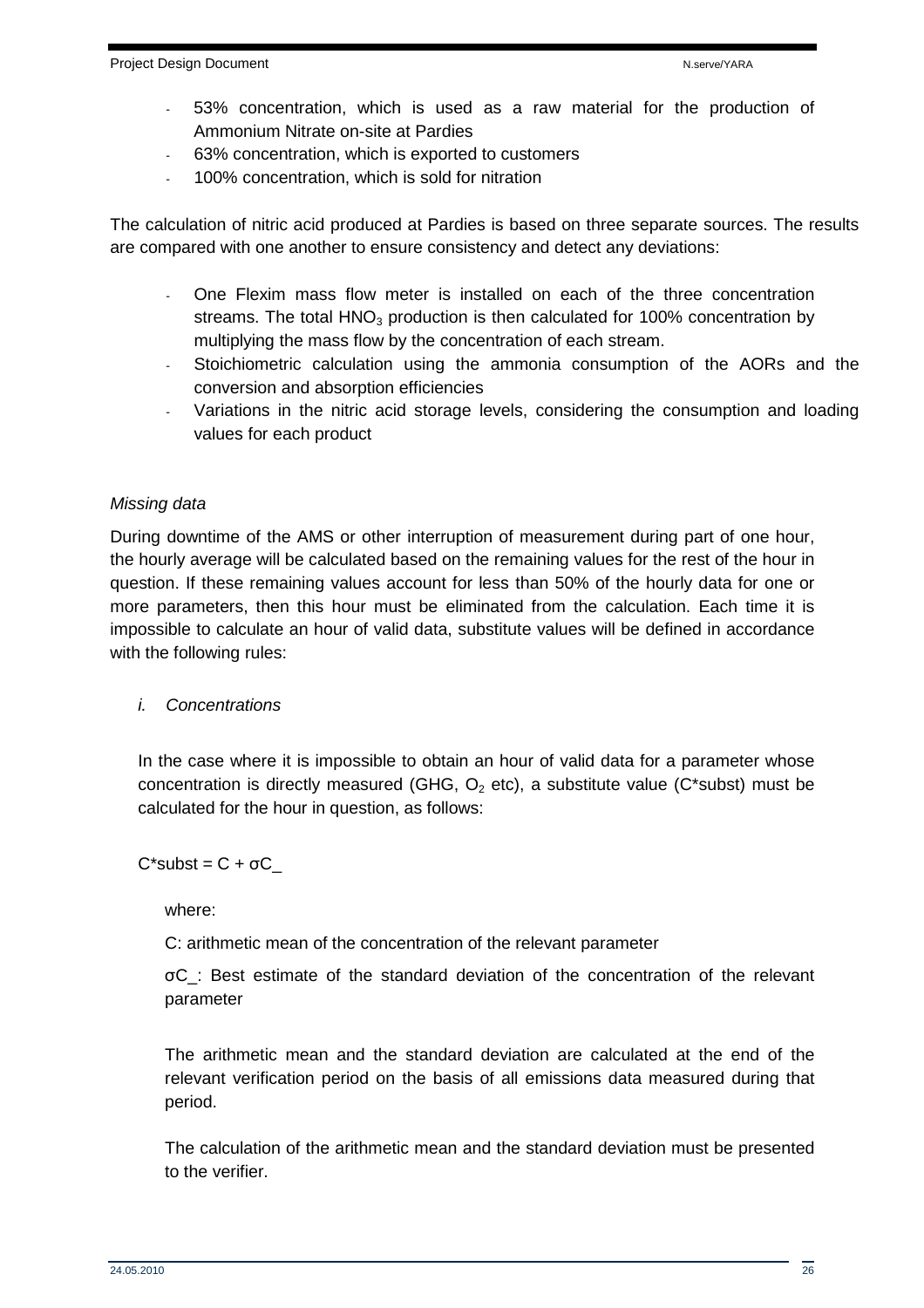- 53% concentration, which is used as a raw material for the production of Ammonium Nitrate on-site at Pardies
- 63% concentration, which is exported to customers
- 100% concentration, which is sold for nitration

The calculation of nitric acid produced at Pardies is based on three separate sources. The results are compared with one another to ensure consistency and detect any deviations:

- One Flexim mass flow meter is installed on each of the three concentration streams. The total  $HNO<sub>3</sub>$  production is then calculated for 100% concentration by multiplying the mass flow by the concentration of each stream.
- Stoichiometric calculation using the ammonia consumption of the AORs and the conversion and absorption efficiencies
- Variations in the nitric acid storage levels, considering the consumption and loading values for each product

#### Missing data

During downtime of the AMS or other interruption of measurement during part of one hour, the hourly average will be calculated based on the remaining values for the rest of the hour in question. If these remaining values account for less than 50% of the hourly data for one or more parameters, then this hour must be eliminated from the calculation. Each time it is impossible to calculate an hour of valid data, substitute values will be defined in accordance with the following rules:

#### i. Concentrations

In the case where it is impossible to obtain an hour of valid data for a parameter whose concentration is directly measured (GHG,  $O<sub>2</sub>$  etc), a substitute value (C\*subst) must be calculated for the hour in question, as follows:

 $C^*$ subst =  $C + \sigma C$ 

where:

C: arithmetic mean of the concentration of the relevant parameter

σC\_: Best estimate of the standard deviation of the concentration of the relevant parameter

The arithmetic mean and the standard deviation are calculated at the end of the relevant verification period on the basis of all emissions data measured during that period.

The calculation of the arithmetic mean and the standard deviation must be presented to the verifier.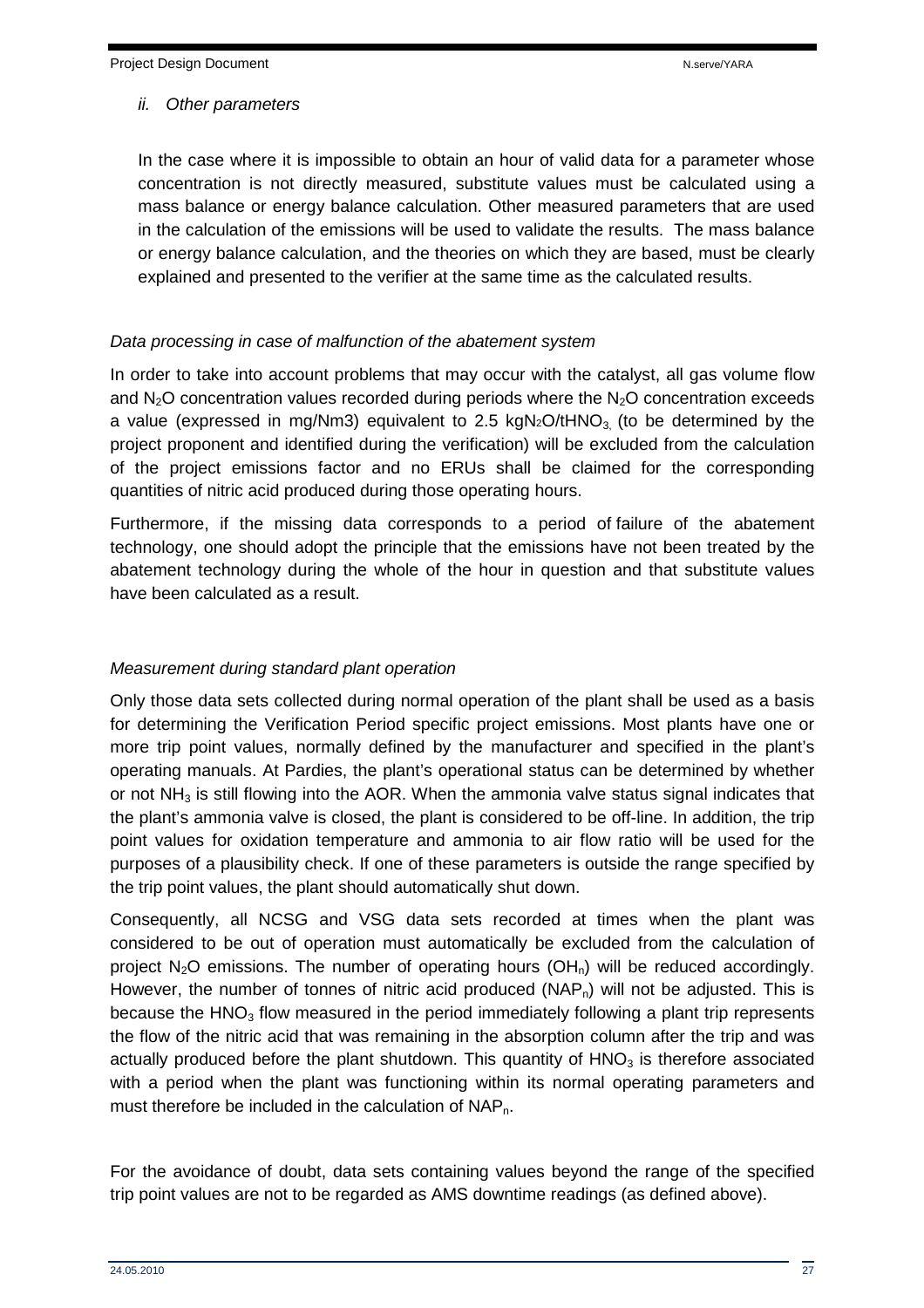#### ii. Other parameters

In the case where it is impossible to obtain an hour of valid data for a parameter whose concentration is not directly measured, substitute values must be calculated using a mass balance or energy balance calculation. Other measured parameters that are used in the calculation of the emissions will be used to validate the results. The mass balance or energy balance calculation, and the theories on which they are based, must be clearly explained and presented to the verifier at the same time as the calculated results.

#### Data processing in case of malfunction of the abatement system

In order to take into account problems that may occur with the catalyst, all gas volume flow and  $N_2O$  concentration values recorded during periods where the  $N_2O$  concentration exceeds a value (expressed in mg/Nm3) equivalent to 2.5 kgN<sub>2</sub>O/tHNO<sub>3</sub> (to be determined by the project proponent and identified during the verification) will be excluded from the calculation of the project emissions factor and no ERUs shall be claimed for the corresponding quantities of nitric acid produced during those operating hours.

Furthermore, if the missing data corresponds to a period of failure of the abatement technology, one should adopt the principle that the emissions have not been treated by the abatement technology during the whole of the hour in question and that substitute values have been calculated as a result.

#### Measurement during standard plant operation

Only those data sets collected during normal operation of the plant shall be used as a basis for determining the Verification Period specific project emissions. Most plants have one or more trip point values, normally defined by the manufacturer and specified in the plant's operating manuals. At Pardies, the plant's operational status can be determined by whether or not  $NH<sub>3</sub>$  is still flowing into the AOR. When the ammonia valve status signal indicates that the plant's ammonia valve is closed, the plant is considered to be off-line. In addition, the trip point values for oxidation temperature and ammonia to air flow ratio will be used for the purposes of a plausibility check. If one of these parameters is outside the range specified by the trip point values, the plant should automatically shut down.

Consequently, all NCSG and VSG data sets recorded at times when the plant was considered to be out of operation must automatically be excluded from the calculation of project  $N_2O$  emissions. The number of operating hours  $(OH_n)$  will be reduced accordingly. However, the number of tonnes of nitric acid produced  $(NAP<sub>n</sub>)$  will not be adjusted. This is because the  $HNO<sub>3</sub>$  flow measured in the period immediately following a plant trip represents the flow of the nitric acid that was remaining in the absorption column after the trip and was actually produced before the plant shutdown. This quantity of  $HNO<sub>3</sub>$  is therefore associated with a period when the plant was functioning within its normal operating parameters and must therefore be included in the calculation of NAP<sub>n</sub>.

For the avoidance of doubt, data sets containing values beyond the range of the specified trip point values are not to be regarded as AMS downtime readings (as defined above).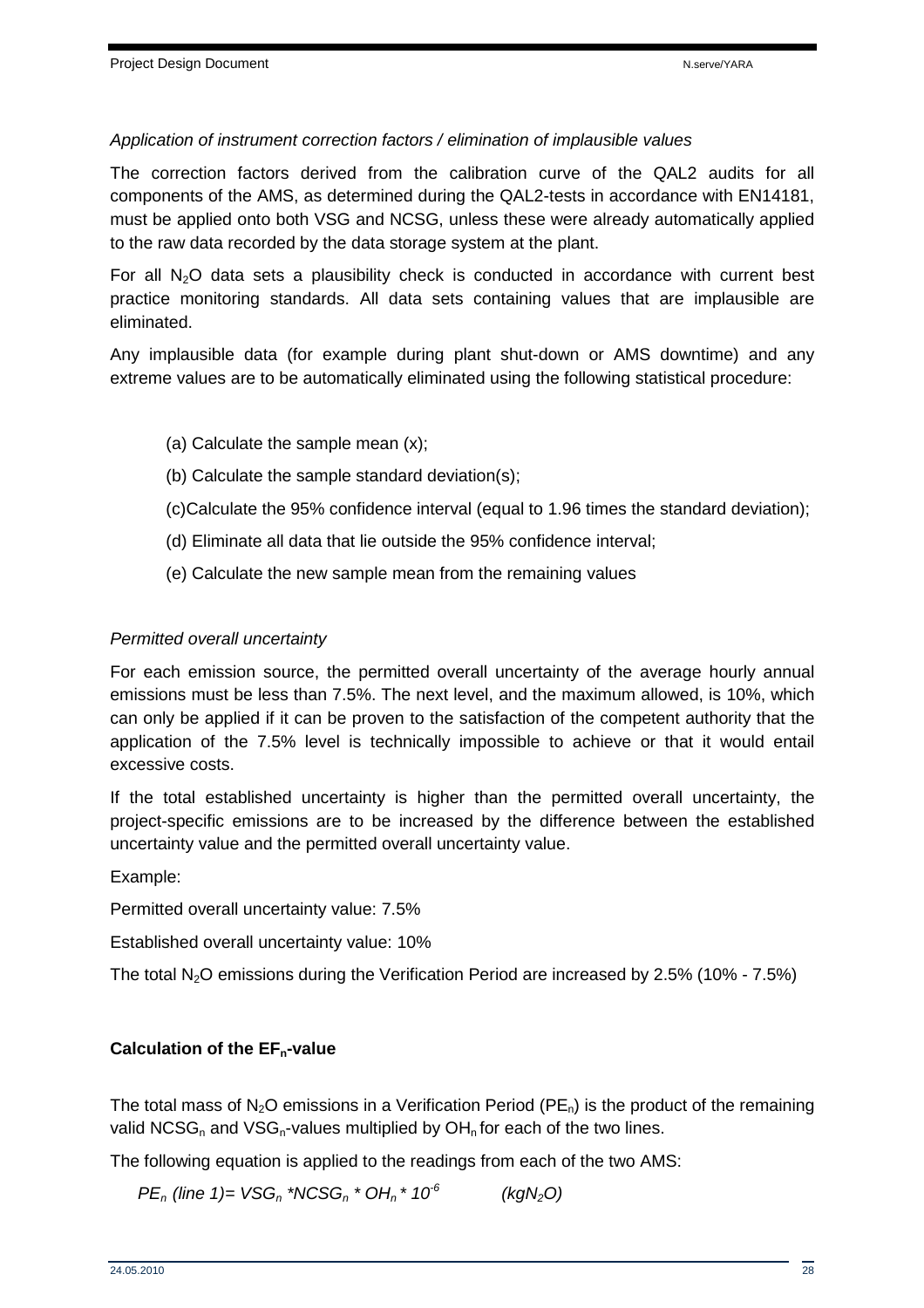#### Application of instrument correction factors / elimination of implausible values

The correction factors derived from the calibration curve of the QAL2 audits for all components of the AMS, as determined during the QAL2-tests in accordance with EN14181, must be applied onto both VSG and NCSG, unless these were already automatically applied to the raw data recorded by the data storage system at the plant.

For all  $N_2O$  data sets a plausibility check is conducted in accordance with current best practice monitoring standards. All data sets containing values that are implausible are eliminated.

Any implausible data (for example during plant shut-down or AMS downtime) and any extreme values are to be automatically eliminated using the following statistical procedure:

- (a) Calculate the sample mean (x);
- (b) Calculate the sample standard deviation(s);
- (c)Calculate the 95% confidence interval (equal to 1.96 times the standard deviation);
- (d) Eliminate all data that lie outside the 95% confidence interval;
- (e) Calculate the new sample mean from the remaining values

#### Permitted overall uncertainty

For each emission source, the permitted overall uncertainty of the average hourly annual emissions must be less than 7.5%. The next level, and the maximum allowed, is 10%, which can only be applied if it can be proven to the satisfaction of the competent authority that the application of the 7.5% level is technically impossible to achieve or that it would entail excessive costs.

If the total established uncertainty is higher than the permitted overall uncertainty, the project-specific emissions are to be increased by the difference between the established uncertainty value and the permitted overall uncertainty value.

Example:

Permitted overall uncertainty value: 7.5%

Established overall uncertainty value: 10%

The total N<sub>2</sub>O emissions during the Verification Period are increased by 2.5% (10% - 7.5%)

#### **Calculation of the EFn-value**

The total mass of N<sub>2</sub>O emissions in a Verification Period (PE<sub>n</sub>) is the product of the remaining valid NCSG<sub>n</sub> and VSG<sub>n</sub>-values multiplied by  $OH<sub>n</sub>$  for each of the two lines.

The following equation is applied to the readings from each of the two AMS:

 $PE_n$  (line 1)= VSG<sub>n</sub> \*NCSG<sub>n</sub> \* OH<sub>n</sub> \* 10<sup>-6</sup> (kgN<sub>2</sub>O)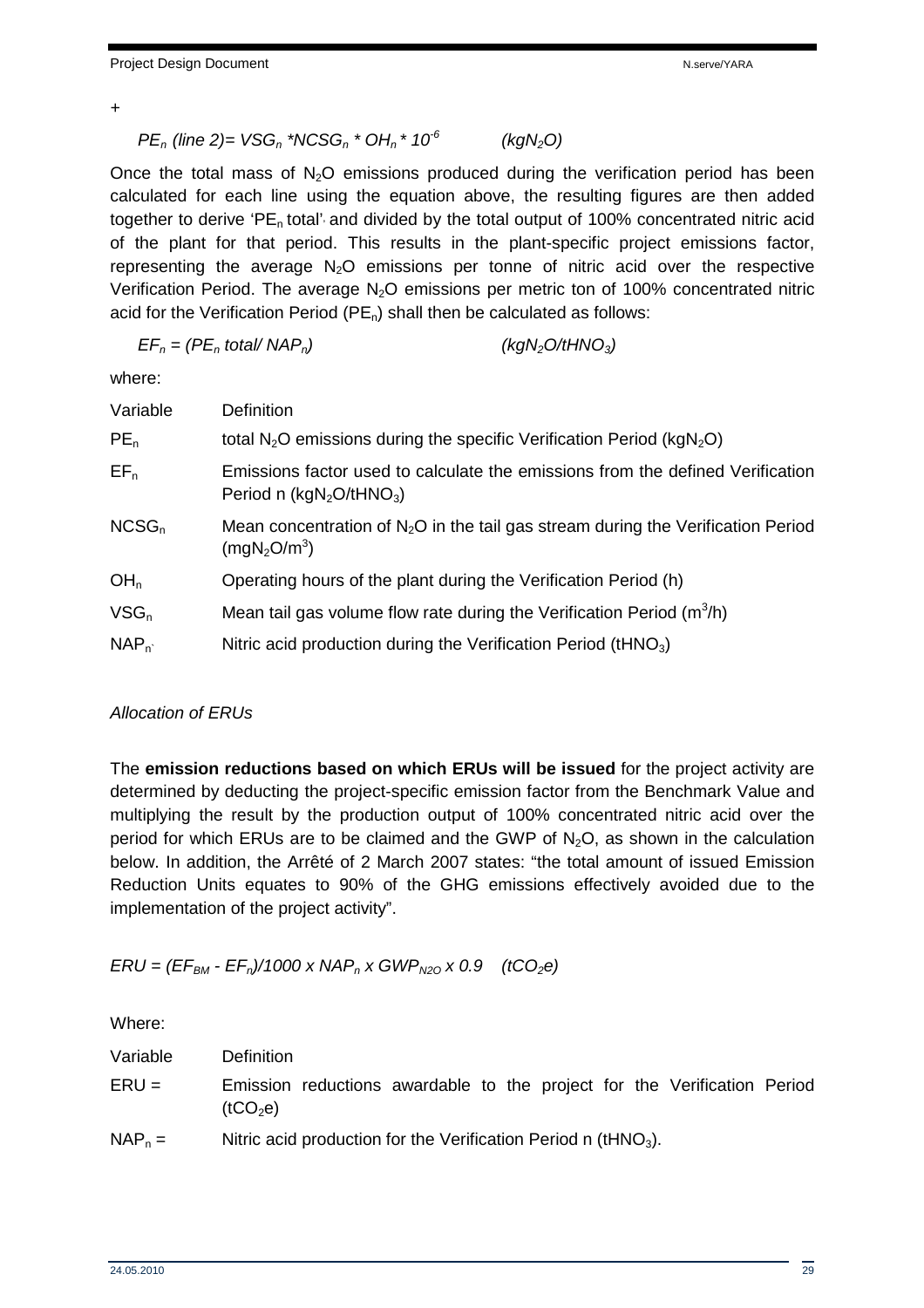+

$$
PE_n (line 2) = VSG_n * NCSG_n * OH_n * 10^6 \qquad (kgN_2O)
$$

Once the total mass of  $N_2O$  emissions produced during the verification period has been calculated for each line using the equation above, the resulting figures are then added together to derive 'PE<sub>n</sub> total' and divided by the total output of 100% concentrated nitric acid of the plant for that period. This results in the plant-specific project emissions factor, representing the average  $N_2O$  emissions per tonne of nitric acid over the respective Verification Period. The average  $N_2O$  emissions per metric ton of 100% concentrated nitric acid for the Verification Period ( $PE_n$ ) shall then be calculated as follows:

$$
EF_n = (PE_n \text{ total} / \text{NAP}_n) \qquad (kgN_2O/tHNO_3)
$$

where:

| Variable        | <b>Definition</b>                                                                                                          |
|-----------------|----------------------------------------------------------------------------------------------------------------------------|
| PE <sub>n</sub> | total $N_2O$ emissions during the specific Verification Period ( $kgN_2O$ )                                                |
| $EF_n$          | Emissions factor used to calculate the emissions from the defined Verification<br>Period n $(kgN_2O/tHNO_3)$               |
| $NCSG_n$        | Mean concentration of $N_2O$ in the tail gas stream during the Verification Period<br>(mgN <sub>2</sub> O/m <sup>3</sup> ) |
| OH <sub>n</sub> | Operating hours of the plant during the Verification Period (h)                                                            |
| $VSG_n$         | Mean tail gas volume flow rate during the Verification Period $(m^3/h)$                                                    |
| $NAP_n$         | Nitric acid production during the Verification Period (tHNO <sub>3</sub> )                                                 |

#### Allocation of ERUs

The **emission reductions based on which ERUs will be issued** for the project activity are determined by deducting the project-specific emission factor from the Benchmark Value and multiplying the result by the production output of 100% concentrated nitric acid over the period for which ERUs are to be claimed and the GWP of  $N_2O$ , as shown in the calculation below. In addition, the Arrêté of 2 March 2007 states: "the total amount of issued Emission Reduction Units equates to 90% of the GHG emissions effectively avoided due to the implementation of the project activity".

 $ERU = (EF_{BM} - EF_n)/1000 \times NAP_n \times GWP_{N20} \times 0.9$  (tCO<sub>2</sub>e)

Where:

| Variable  | <b>Definition</b>                                                                                |
|-----------|--------------------------------------------------------------------------------------------------|
| $ERU =$   | Emission reductions awardable to the project for the Verification Period<br>(tCO <sub>2</sub> e) |
| $NAP_n =$ | Nitric acid production for the Verification Period n ( $tHNO3$ ).                                |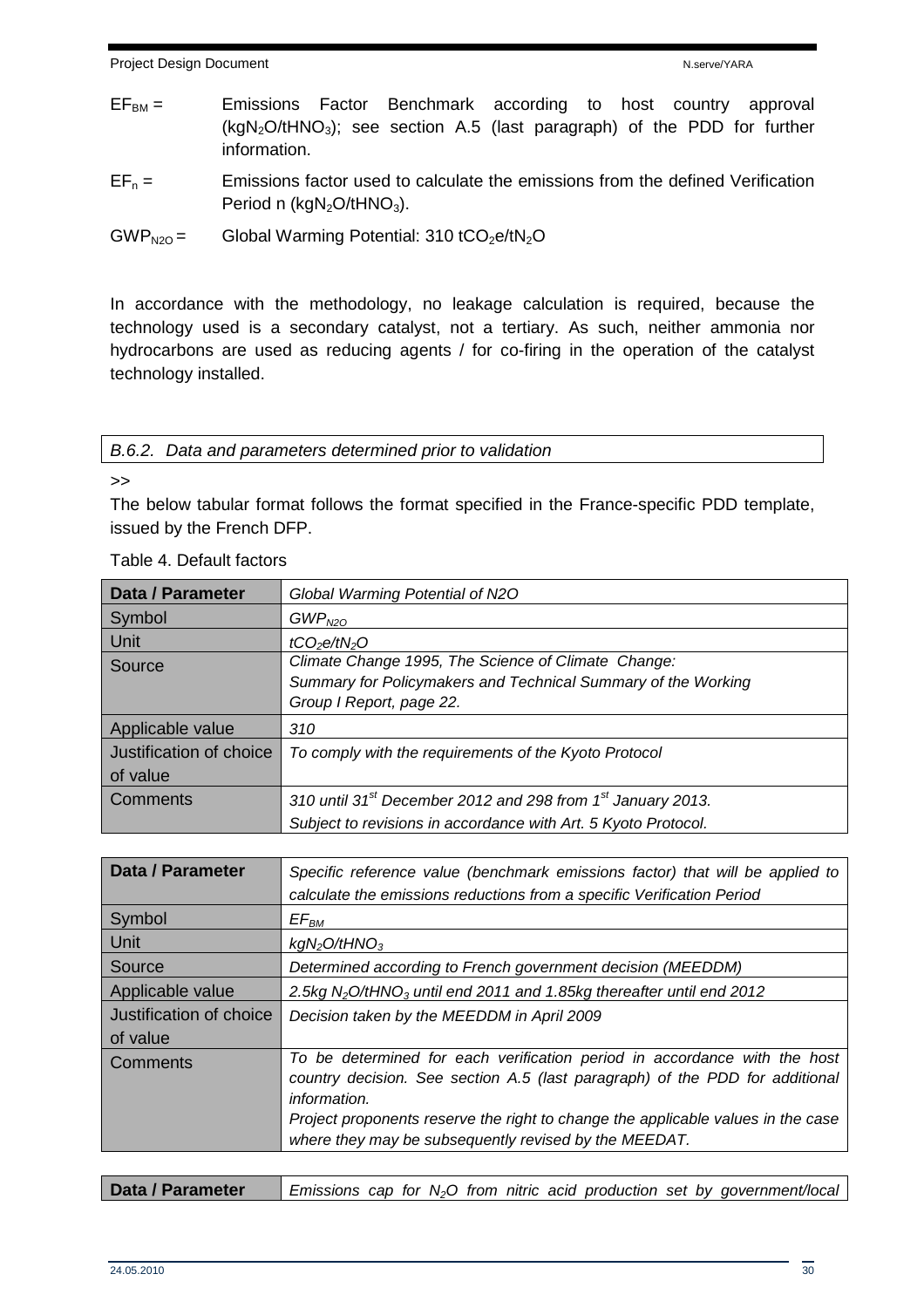- $EF<sub>BM</sub> =$  Emissions Factor Benchmark according to host country approval  $(kgN<sub>2</sub>O/tHNO<sub>3</sub>)$ ; see section A.5 (last paragraph) of the PDD for further information.
- $EF_n =$  Emissions factor used to calculate the emissions from the defined Verification Period n ( $kgN<sub>2</sub>O/tHNO<sub>3</sub>$ ).
- $GWP<sub>N2O</sub> =$  Global Warming Potential: 310 tCO<sub>2</sub>e/tN<sub>2</sub>O

In accordance with the methodology, no leakage calculation is required, because the technology used is a secondary catalyst, not a tertiary. As such, neither ammonia nor hydrocarbons are used as reducing agents / for co-firing in the operation of the catalyst technology installed.

|  | B.6.2. Data and parameters determined prior to validation |  |  |
|--|-----------------------------------------------------------|--|--|
|  |                                                           |  |  |

#### >>

The below tabular format follows the format specified in the France-specific PDD template, issued by the French DFP.

| <b>Data / Parameter</b> | Global Warming Potential of N2O                                           |
|-------------------------|---------------------------------------------------------------------------|
| Symbol                  | GWP <sub>N2O</sub>                                                        |
| Unit                    | tCO <sub>2</sub> e/tN <sub>2</sub> O                                      |
| Source                  | Climate Change 1995, The Science of Climate Change:                       |
|                         | Summary for Policymakers and Technical Summary of the Working             |
|                         | Group I Report, page 22.                                                  |
| Applicable value        | 310                                                                       |
| Justification of choice | To comply with the requirements of the Kyoto Protocol                     |
| of value                |                                                                           |
| Comments                | 310 until 31 <sup>st</sup> December 2012 and 298 from $1st$ January 2013. |
|                         | Subject to revisions in accordance with Art. 5 Kyoto Protocol.            |

Table 4. Default factors

| Data / Parameter        | Specific reference value (benchmark emissions factor) that will be applied to<br>calculate the emissions reductions from a specific Verification Period |
|-------------------------|---------------------------------------------------------------------------------------------------------------------------------------------------------|
| Symbol                  | $E\mathcal{F}_{BM}$                                                                                                                                     |
| <b>Unit</b>             | kgN <sub>2</sub> O/tHNO <sub>3</sub>                                                                                                                    |
| Source                  | Determined according to French government decision (MEEDDM)                                                                                             |
| Applicable value        | 2.5kg $N_2O/HNO_3$ until end 2011 and 1.85kg thereafter until end 2012                                                                                  |
| Justification of choice | Decision taken by the MEEDDM in April 2009                                                                                                              |
| of value                |                                                                                                                                                         |
| Comments                | To be determined for each verification period in accordance with the host                                                                               |
|                         | country decision. See section A.5 (last paragraph) of the PDD for additional                                                                            |
|                         | information.                                                                                                                                            |
|                         | Project proponents reserve the right to change the applicable values in the case                                                                        |
|                         | where they may be subsequently revised by the MEEDAT.                                                                                                   |

| Data / Parameter |  |  |  |  |  | Emissions cap for $N_2O$ from nitric acid production set by government/local |
|------------------|--|--|--|--|--|------------------------------------------------------------------------------|
|                  |  |  |  |  |  |                                                                              |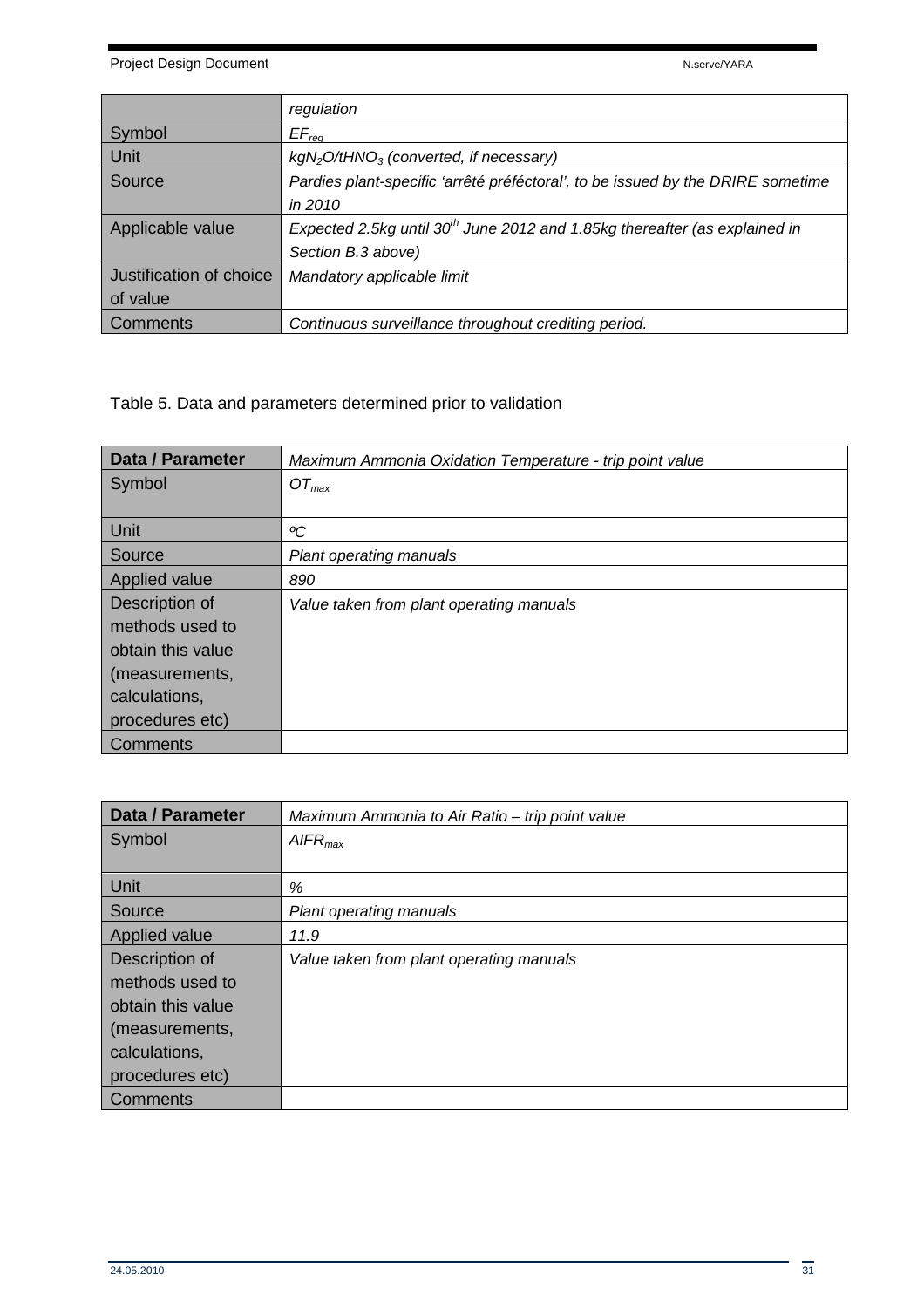Project Design Document National According to the National According National According National According National According National According National According National According National According National According N

|                         | regulation                                                                             |
|-------------------------|----------------------------------------------------------------------------------------|
| Symbol                  | $EF_{req}$                                                                             |
| Unit                    | $kgN_2O/HNO_3$ (converted, if necessary)                                               |
| Source                  | Pardies plant-specific 'arrêté préféctoral', to be issued by the DRIRE sometime        |
|                         | in 2010                                                                                |
| Applicable value        | Expected 2.5kg until 30 <sup>th</sup> June 2012 and 1.85kg thereafter (as explained in |
|                         | Section B.3 above)                                                                     |
| Justification of choice | Mandatory applicable limit                                                             |
| of value                |                                                                                        |
| Comments                | Continuous surveillance throughout crediting period.                                   |

Table 5. Data and parameters determined prior to validation

| Data / Parameter  | Maximum Ammonia Oxidation Temperature - trip point value |
|-------------------|----------------------------------------------------------|
| Symbol            | $OT_{max}$                                               |
|                   |                                                          |
| Unit              | °C                                                       |
| Source            | Plant operating manuals                                  |
| Applied value     | 890                                                      |
| Description of    | Value taken from plant operating manuals                 |
| methods used to   |                                                          |
| obtain this value |                                                          |
| (measurements,    |                                                          |
| calculations,     |                                                          |
| procedures etc)   |                                                          |
| Comments          |                                                          |

| <b>Data / Parameter</b> | Maximum Ammonia to Air Ratio - trip point value |
|-------------------------|-------------------------------------------------|
| Symbol                  | AIFR <sub>max</sub>                             |
|                         |                                                 |
| Unit                    | %                                               |
| Source                  | <b>Plant operating manuals</b>                  |
| Applied value           | 11.9                                            |
| Description of          | Value taken from plant operating manuals        |
| methods used to         |                                                 |
| obtain this value       |                                                 |
| (measurements,          |                                                 |
| calculations,           |                                                 |
| procedures etc)         |                                                 |
| Comments                |                                                 |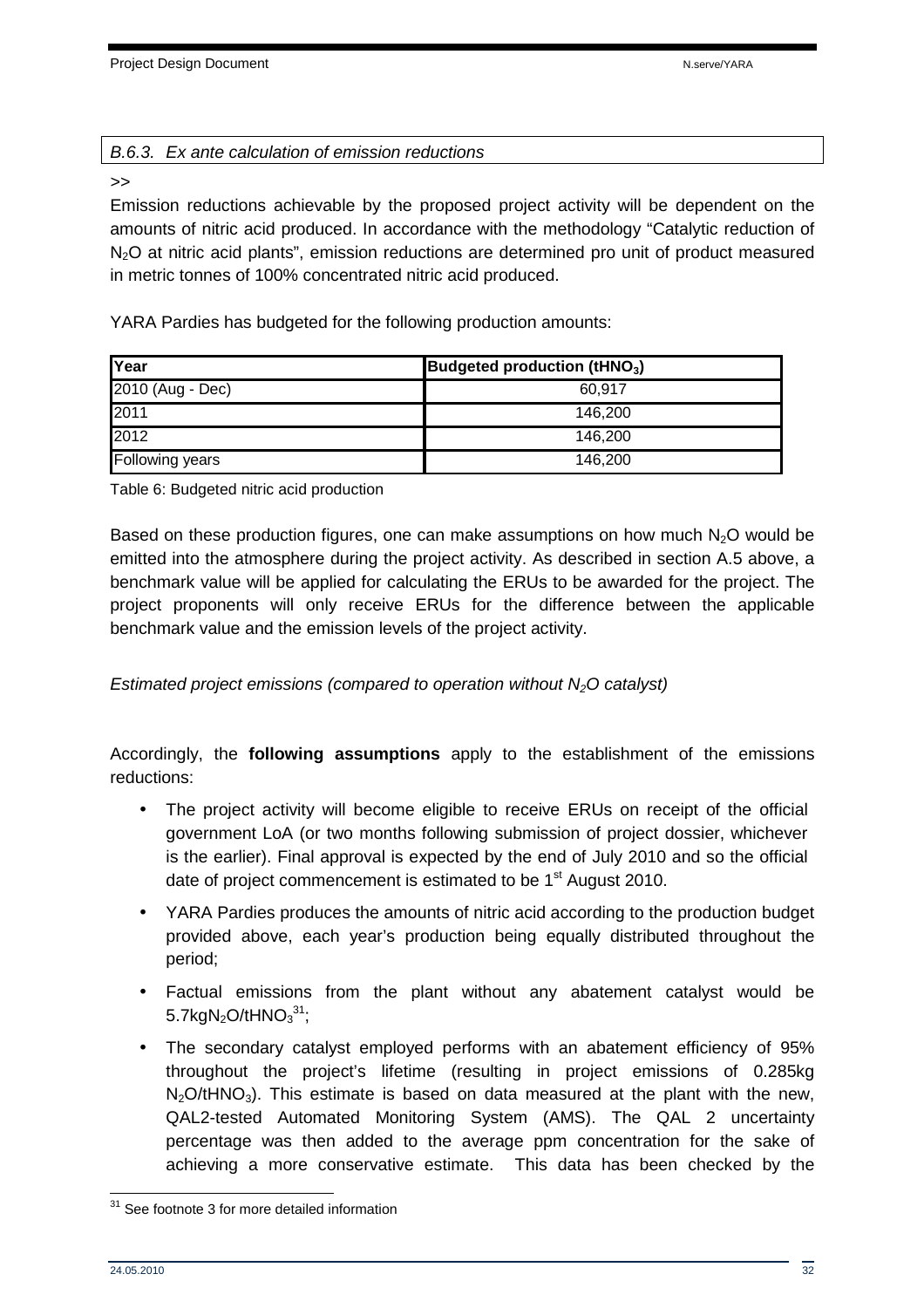#### B.6.3. Ex ante calculation of emission reductions

#### >>

Emission reductions achievable by the proposed project activity will be dependent on the amounts of nitric acid produced. In accordance with the methodology "Catalytic reduction of N<sub>2</sub>O at nitric acid plants", emission reductions are determined pro unit of product measured in metric tonnes of 100% concentrated nitric acid produced.

YARA Pardies has budgeted for the following production amounts:

| Year             | Budgeted production (tHNO <sub>3</sub> ) |
|------------------|------------------------------------------|
| 2010 (Aug - Dec) | 60.917                                   |
| 2011             | 146.200                                  |
| 2012             | 146.200                                  |
| Following years  | 146.200                                  |

Table 6: Budgeted nitric acid production

Based on these production figures, one can make assumptions on how much  $N_2O$  would be emitted into the atmosphere during the project activity. As described in section A.5 above, a benchmark value will be applied for calculating the ERUs to be awarded for the project. The project proponents will only receive ERUs for the difference between the applicable benchmark value and the emission levels of the project activity.

Estimated project emissions (compared to operation without  $N_2O$  catalyst)

Accordingly, the **following assumptions** apply to the establishment of the emissions reductions:

- The project activity will become eligible to receive ERUs on receipt of the official government LoA (or two months following submission of project dossier, whichever is the earlier). Final approval is expected by the end of July 2010 and so the official date of project commencement is estimated to be 1<sup>st</sup> August 2010.
- YARA Pardies produces the amounts of nitric acid according to the production budget provided above, each year's production being equally distributed throughout the period;
- Factual emissions from the plant without any abatement catalyst would be 5.7kg $N_2$ O/tHNO $_3^{31}$ ;
- The secondary catalyst employed performs with an abatement efficiency of 95% throughout the project's lifetime (resulting in project emissions of 0.285kg  $N_2O$ /tHNO<sub>3</sub>). This estimate is based on data measured at the plant with the new, QAL2-tested Automated Monitoring System (AMS). The QAL 2 uncertainty percentage was then added to the average ppm concentration for the sake of achieving a more conservative estimate. This data has been checked by the

 $\overline{a}$ <sup>31</sup> See footnote 3 for more detailed information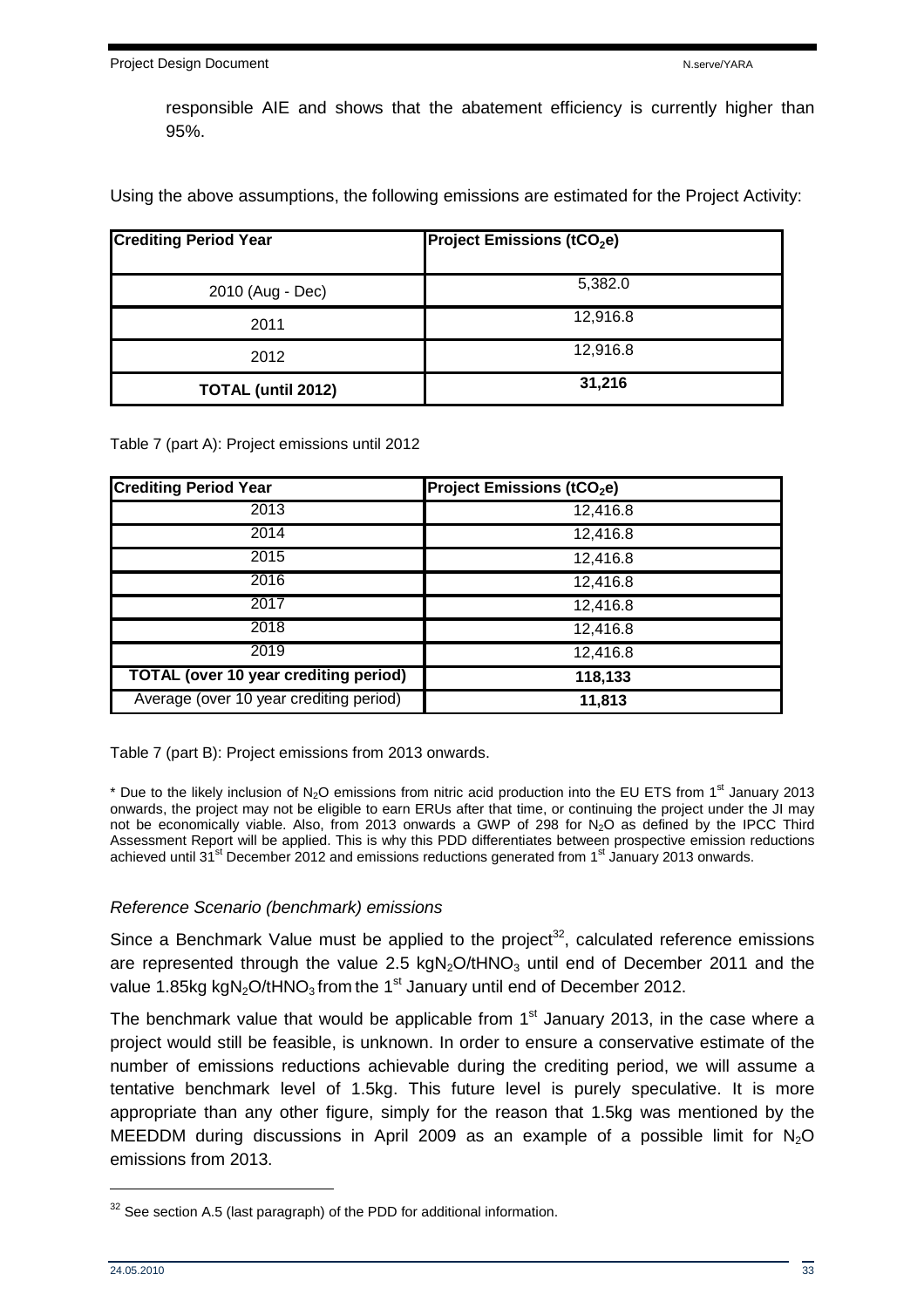responsible AIE and shows that the abatement efficiency is currently higher than 95%.

Using the above assumptions, the following emissions are estimated for the Project Activity:

| <b>Crediting Period Year</b> | <b>Project Emissions (tCO<sub>2</sub>e)</b> |
|------------------------------|---------------------------------------------|
| 2010 (Aug - Dec)             | 5,382.0                                     |
| 2011                         | 12,916.8                                    |
| 2012                         | 12,916.8                                    |
| <b>TOTAL (until 2012)</b>    | 31,216                                      |

Table 7 (part A): Project emissions until 2012

| <b>Crediting Period Year</b>                 | <b>Project Emissions (tCO<sub>2</sub>e)</b> |
|----------------------------------------------|---------------------------------------------|
| 2013                                         | 12,416.8                                    |
| 2014                                         | 12,416.8                                    |
| 2015                                         | 12,416.8                                    |
| 2016                                         | 12,416.8                                    |
| 2017                                         | 12,416.8                                    |
| 2018                                         | 12,416.8                                    |
| 2019                                         | 12,416.8                                    |
| <b>TOTAL (over 10 year crediting period)</b> | 118,133                                     |
| Average (over 10 year crediting period)      | 11,813                                      |

Table 7 (part B): Project emissions from 2013 onwards.

\* Due to the likely inclusion of N<sub>2</sub>O emissions from nitric acid production into the EU ETS from 1<sup>st</sup> January 2013 onwards, the project may not be eligible to earn ERUs after that time, or continuing the project under the JI may not be economically viable. Also, from 2013 onwards a GWP of 298 for N2O as defined by the IPCC Third Assessment Report will be applied. This is why this PDD differentiates between prospective emission reductions achieved until 31<sup>st</sup> December 2012 and emissions reductions generated from 1<sup>st</sup> January 2013 onwards.

#### Reference Scenario (benchmark) emissions

Since a Benchmark Value must be applied to the project<sup>32</sup>, calculated reference emissions are represented through the value 2.5 kgN<sub>2</sub>O/tHNO<sub>3</sub> until end of December 2011 and the value 1.85kg kgN<sub>2</sub>O/tHNO<sub>3</sub> from the 1<sup>st</sup> January until end of December 2012.

The benchmark value that would be applicable from  $1<sup>st</sup>$  January 2013, in the case where a project would still be feasible, is unknown. In order to ensure a conservative estimate of the number of emissions reductions achievable during the crediting period, we will assume a tentative benchmark level of 1.5kg. This future level is purely speculative. It is more appropriate than any other figure, simply for the reason that 1.5kg was mentioned by the MEEDDM during discussions in April 2009 as an example of a possible limit for  $N_2O$ emissions from 2013.

 $32$  See section A.5 (last paragraph) of the PDD for additional information.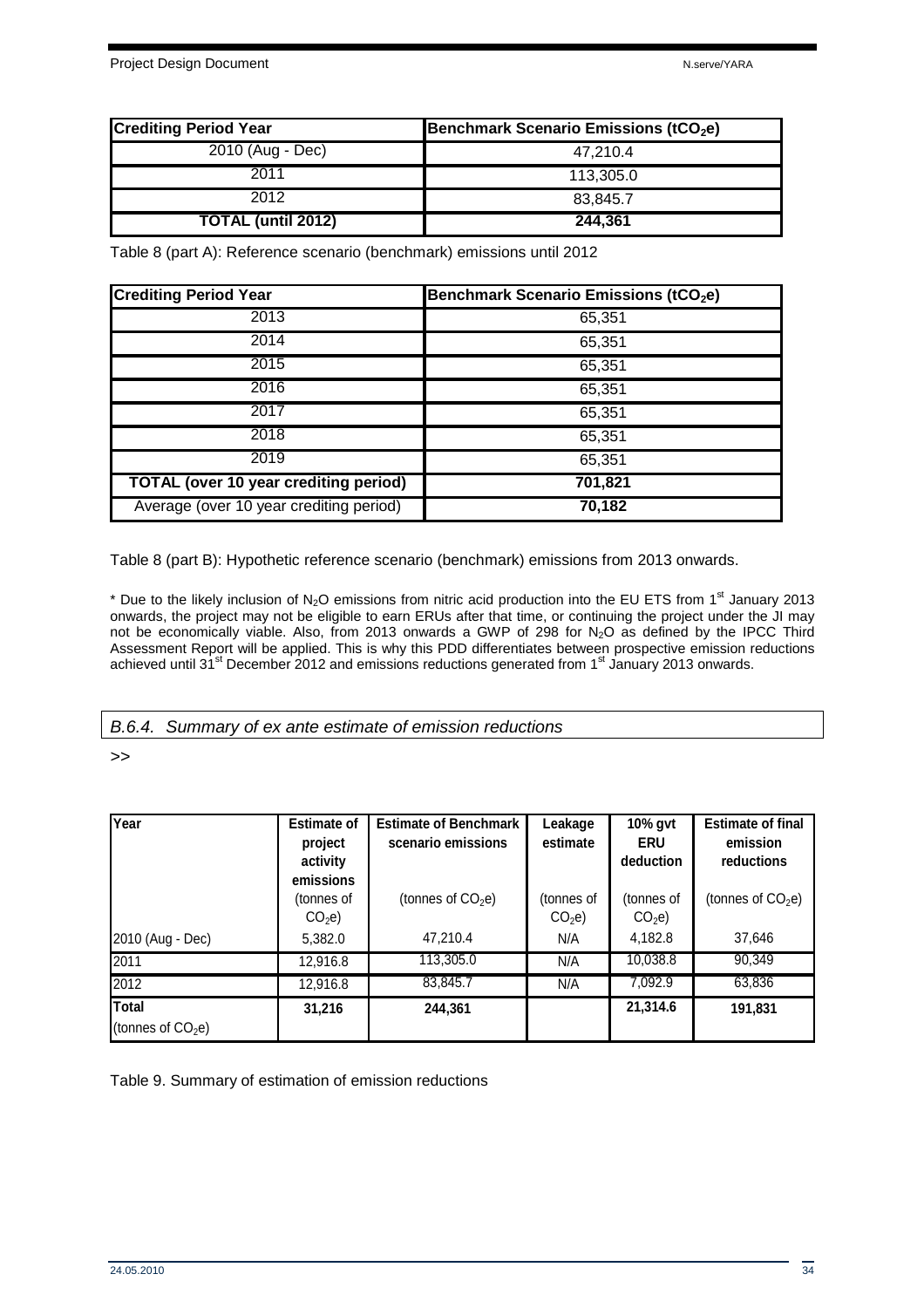| <b>Crediting Period Year</b> | Benchmark Scenario Emissions (tCO <sub>2</sub> e) |
|------------------------------|---------------------------------------------------|
| 2010 (Aug - Dec)             | 47.210.4                                          |
| 2011                         | 113.305.0                                         |
| 2012                         | 83.845.7                                          |
| <b>TOTAL (until 2012)</b>    | 244.361                                           |

Table 8 (part A): Reference scenario (benchmark) emissions until 2012

| <b>Crediting Period Year</b>                 | Benchmark Scenario Emissions (tCO <sub>2</sub> e) |
|----------------------------------------------|---------------------------------------------------|
| 2013                                         | 65,351                                            |
| 2014                                         | 65,351                                            |
| 2015                                         | 65,351                                            |
| 2016                                         | 65,351                                            |
| 2017                                         | 65,351                                            |
| 2018                                         | 65,351                                            |
| 2019                                         | 65,351                                            |
| <b>TOTAL (over 10 year crediting period)</b> | 701,821                                           |
| Average (over 10 year crediting period)      | 70,182                                            |

Table 8 (part B): Hypothetic reference scenario (benchmark) emissions from 2013 onwards.

\* Due to the likely inclusion of N<sub>2</sub>O emissions from nitric acid production into the EU ETS from 1<sup>st</sup> January 2013 onwards, the project may not be eligible to earn ERUs after that time, or continuing the project under the JI may not be economically viable. Also, from 2013 onwards a GWP of 298 for N<sub>2</sub>O as defined by the IPCC Third Assessment Report will be applied. This is why this PDD differentiates between prospective emission reductions achieved until 31<sup>st</sup> December 2012 and emissions reductions generated from 1<sup>st</sup> January 2013 onwards.

B.6.4. Summary of ex ante estimate of emission reductions

>>

| Year                                | <b>Estimate of</b><br>project<br>activity    | <b>Estimate of Benchmark</b><br>scenario emissions | Leakage<br>estimate             | 10% gvt<br><b>ERU</b><br>deduction | <b>Estimate of final</b><br>emission<br>reductions |
|-------------------------------------|----------------------------------------------|----------------------------------------------------|---------------------------------|------------------------------------|----------------------------------------------------|
|                                     | emissions<br>(tonnes of<br>CO <sub>2</sub> e | (tonnes of $CO2e$ )                                | (tonnes of<br>CO <sub>2</sub> e | (tonnes of<br>CO <sub>2</sub> e    | (tonnes of $CO2e$ )                                |
| 2010 (Aug - Dec)                    | 5,382.0                                      | 47,210.4                                           | N/A                             | 4,182.8                            | 37,646                                             |
| 2011                                | 12,916.8                                     | 113,305.0                                          | N/A                             | 10,038.8                           | 90,349                                             |
| 2012                                | 12,916.8                                     | 83,845.7                                           | N/A                             | 7,092.9                            | 63,836                                             |
| <b>Total</b><br>(tonnes of $CO2e$ ) | 31,216                                       | 244,361                                            |                                 | 21,314.6                           | 191,831                                            |

Table 9. Summary of estimation of emission reductions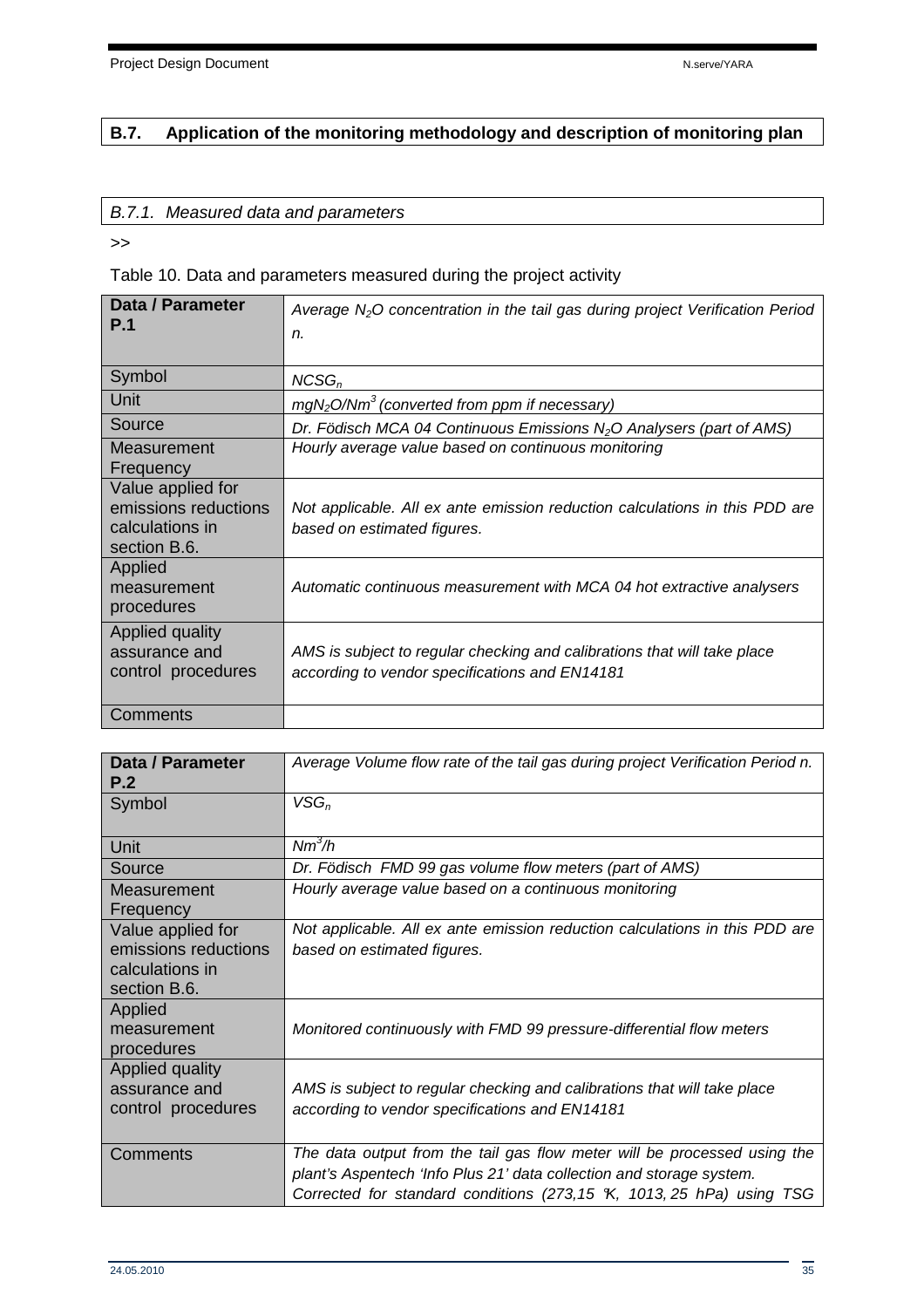## **B.7. Application of the monitoring methodology and description of monitoring plan**

#### B.7.1. Measured data and parameters

>>

Table 10. Data and parameters measured during the project activity

| Data / Parameter<br>P.1                                                      | Average $N2O$ concentration in the tail gas during project Verification Period<br>n.                                       |
|------------------------------------------------------------------------------|----------------------------------------------------------------------------------------------------------------------------|
| Symbol                                                                       | $NCSG_n$                                                                                                                   |
| Unit                                                                         | $mgN2O/Nm3$ (converted from ppm if necessary)                                                                              |
| Source                                                                       | Dr. Födisch MCA 04 Continuous Emissions $N_2O$ Analysers (part of AMS)                                                     |
| Measurement<br>Frequency                                                     | Hourly average value based on continuous monitoring                                                                        |
| Value applied for<br>emissions reductions<br>calculations in<br>section B.6. | Not applicable. All ex ante emission reduction calculations in this PDD are<br>based on estimated figures.                 |
| Applied<br>measurement<br>procedures                                         | Automatic continuous measurement with MCA 04 hot extractive analysers                                                      |
| Applied quality<br>assurance and<br>control procedures                       | AMS is subject to regular checking and calibrations that will take place<br>according to vendor specifications and EN14181 |
| Comments                                                                     |                                                                                                                            |

| Data / Parameter<br>P.2                                                      | Average Volume flow rate of the tail gas during project Verification Period n.                                                                                                                                           |
|------------------------------------------------------------------------------|--------------------------------------------------------------------------------------------------------------------------------------------------------------------------------------------------------------------------|
| Symbol                                                                       | $VSG_n$                                                                                                                                                                                                                  |
| Unit                                                                         | $Nm^3/h$                                                                                                                                                                                                                 |
| Source                                                                       | Dr. Födisch FMD 99 gas volume flow meters (part of AMS)                                                                                                                                                                  |
| Measurement<br>Frequency                                                     | Hourly average value based on a continuous monitoring                                                                                                                                                                    |
| Value applied for<br>emissions reductions<br>calculations in<br>section B.6. | Not applicable. All ex ante emission reduction calculations in this PDD are<br>based on estimated figures.                                                                                                               |
| Applied<br>measurement<br>procedures                                         | Monitored continuously with FMD 99 pressure-differential flow meters                                                                                                                                                     |
| Applied quality<br>assurance and<br>control procedures                       | AMS is subject to regular checking and calibrations that will take place<br>according to vendor specifications and EN14181                                                                                               |
| Comments                                                                     | The data output from the tail gas flow meter will be processed using the<br>plant's Aspentech 'Info Plus 21' data collection and storage system.<br>Corrected for standard conditions (273,15 K, 1013, 25 hPa) using TSG |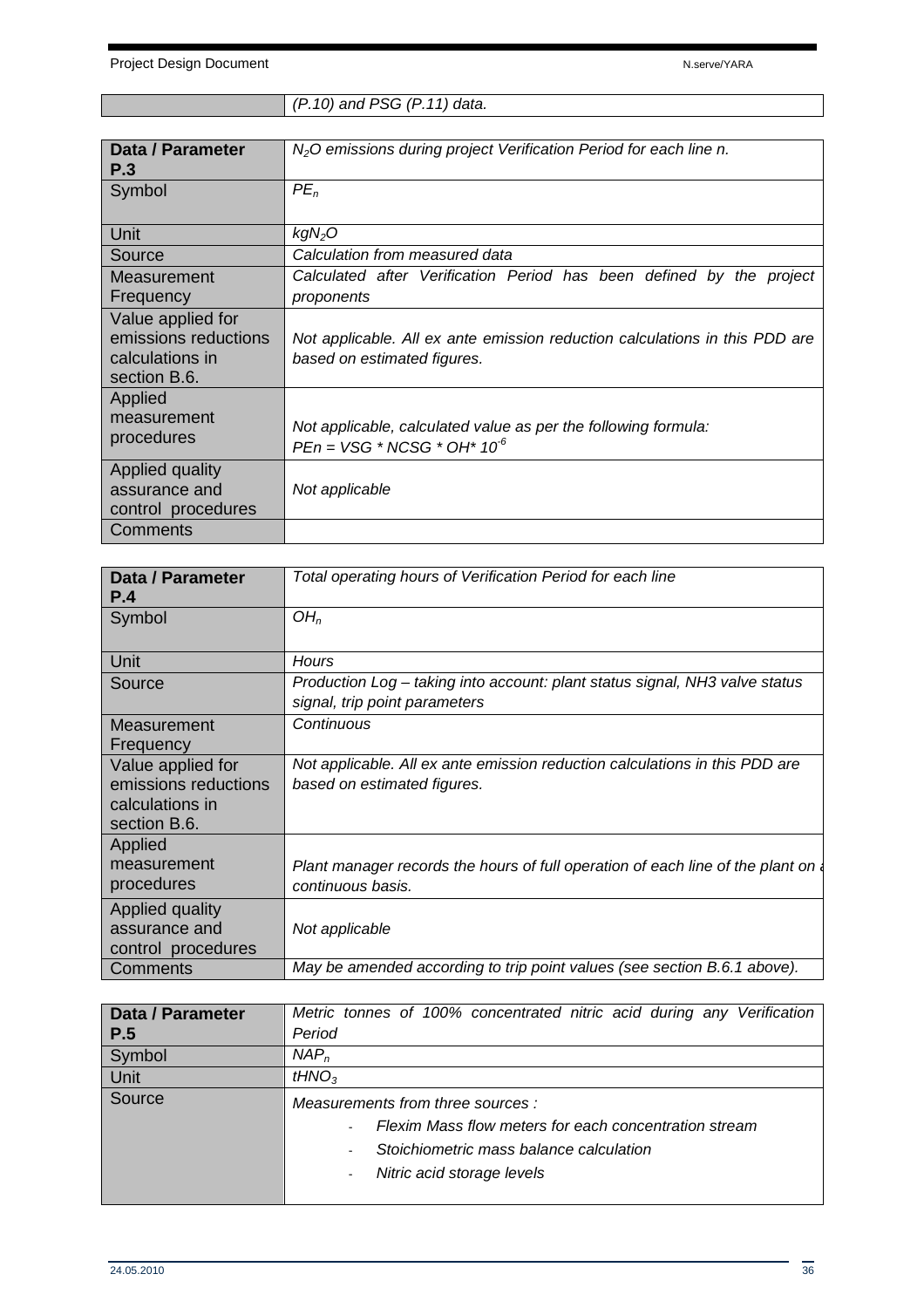## (P.10) and PSG (P.11) data.

| <b>Data / Parameter</b><br>P.3                                               | $N2O$ emissions during project Verification Period for each line n.                                        |
|------------------------------------------------------------------------------|------------------------------------------------------------------------------------------------------------|
| Symbol                                                                       | $PE_n$                                                                                                     |
| Unit                                                                         | kgN <sub>2</sub> O                                                                                         |
| Source                                                                       | Calculation from measured data                                                                             |
| Measurement                                                                  | Calculated after Verification Period has been defined by the project                                       |
| Frequency                                                                    | proponents                                                                                                 |
| Value applied for<br>emissions reductions<br>calculations in<br>section B.6. | Not applicable. All ex ante emission reduction calculations in this PDD are<br>based on estimated figures. |
| Applied<br>measurement<br>procedures                                         | Not applicable, calculated value as per the following formula:<br>$PEn = VSG * NCSG * OH* 10-6$            |
| Applied quality<br>assurance and<br>control procedures                       | Not applicable                                                                                             |
| Comments                                                                     |                                                                                                            |

| Data / Parameter<br>P.4                                                      | Total operating hours of Verification Period for each line                                                   |
|------------------------------------------------------------------------------|--------------------------------------------------------------------------------------------------------------|
| Symbol                                                                       | OH <sub>n</sub>                                                                                              |
| Unit                                                                         | Hours                                                                                                        |
| Source                                                                       | Production Log - taking into account: plant status signal, NH3 valve status<br>signal, trip point parameters |
| Measurement<br>Frequency                                                     | Continuous                                                                                                   |
| Value applied for<br>emissions reductions<br>calculations in<br>section B.6. | Not applicable. All ex ante emission reduction calculations in this PDD are<br>based on estimated figures.   |
| Applied<br>measurement<br>procedures                                         | Plant manager records the hours of full operation of each line of the plant on<br>continuous basis.          |
| Applied quality<br>assurance and<br>control procedures                       | Not applicable                                                                                               |
| Comments                                                                     | May be amended according to trip point values (see section B.6.1 above).                                     |

| <b>Data / Parameter</b> | Metric tonnes of 100% concentrated nitric acid during any Verification |
|-------------------------|------------------------------------------------------------------------|
| P.5                     | Period                                                                 |
| Symbol                  | $NAP_n$                                                                |
| <b>Unit</b>             | tHNO <sub>3</sub>                                                      |
| Source                  | Measurements from three sources :                                      |
|                         | Flexim Mass flow meters for each concentration stream<br>$\sim$        |
|                         | Stoichiometric mass balance calculation<br>$\blacksquare$              |
|                         | Nitric acid storage levels<br>$\sim$                                   |
|                         |                                                                        |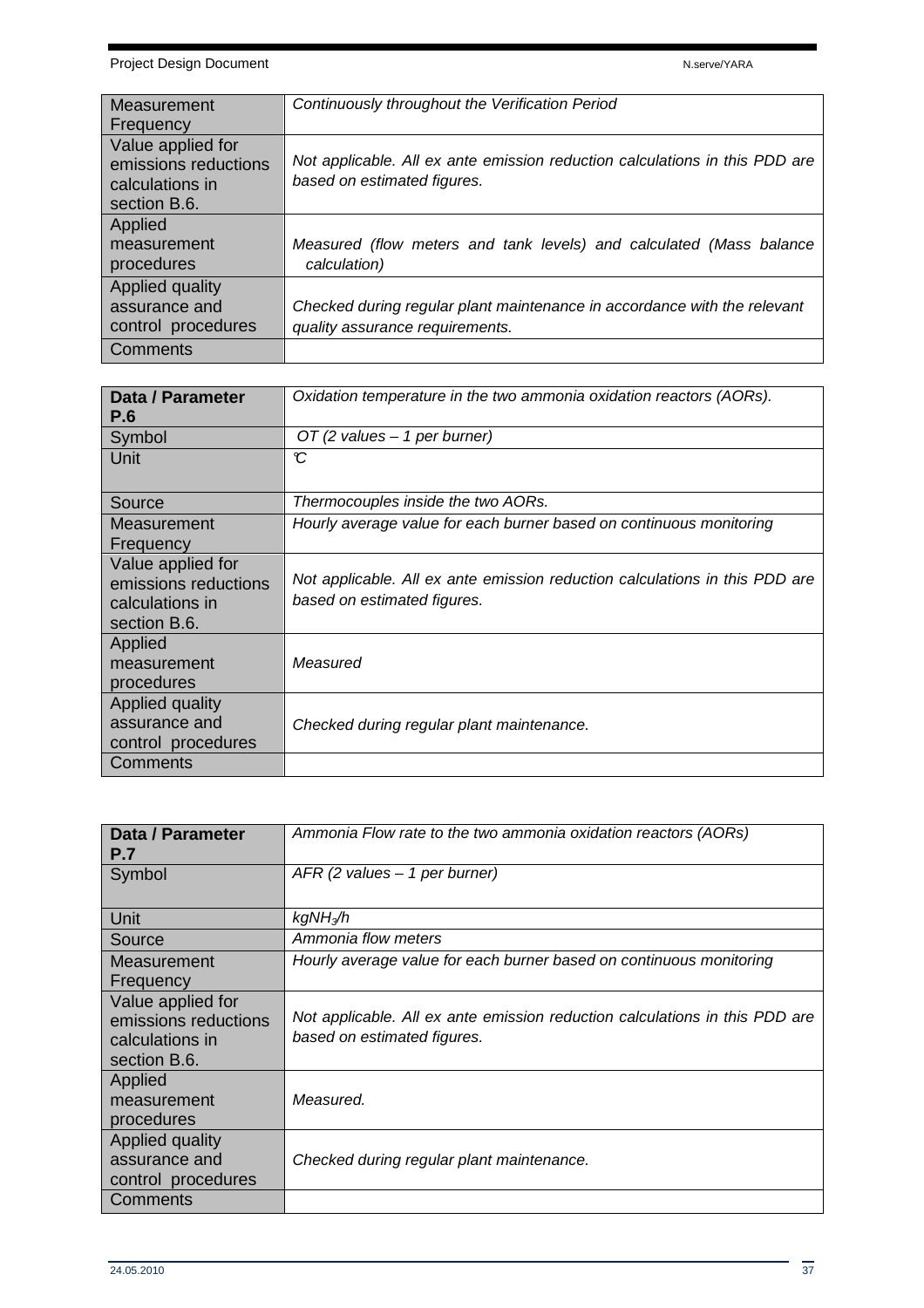| Measurement          | Continuously throughout the Verification Period                             |
|----------------------|-----------------------------------------------------------------------------|
| Frequency            |                                                                             |
|                      |                                                                             |
| Value applied for    |                                                                             |
| emissions reductions | Not applicable. All ex ante emission reduction calculations in this PDD are |
| calculations in      | based on estimated figures.                                                 |
|                      |                                                                             |
| section B.6.         |                                                                             |
| Applied              |                                                                             |
| measurement          | Measured (flow meters and tank levels) and calculated (Mass balance         |
| procedures           | calculation)                                                                |
|                      |                                                                             |
| Applied quality      |                                                                             |
| assurance and        | Checked during regular plant maintenance in accordance with the relevant    |
| control procedures   | quality assurance requirements.                                             |
|                      |                                                                             |
| Comments             |                                                                             |

| Data / Parameter<br><b>P.6</b>  | Oxidation temperature in the two ammonia oxidation reactors (AORs).         |
|---------------------------------|-----------------------------------------------------------------------------|
| Symbol                          | OT (2 values $-1$ per burner)                                               |
| Unit                            | C                                                                           |
| Source                          | Thermocouples inside the two AORs.                                          |
| Measurement                     | Hourly average value for each burner based on continuous monitoring         |
| Frequency                       |                                                                             |
| Value applied for               | Not applicable. All ex ante emission reduction calculations in this PDD are |
| emissions reductions            | based on estimated figures.                                                 |
| calculations in<br>section B.6. |                                                                             |
| Applied                         |                                                                             |
| measurement                     | Measured                                                                    |
| procedures                      |                                                                             |
| Applied quality                 |                                                                             |
| assurance and                   | Checked during regular plant maintenance.                                   |
| control procedures              |                                                                             |
| Comments                        |                                                                             |

| Data / Parameter<br><b>P.7</b>                                               | Ammonia Flow rate to the two ammonia oxidation reactors (AORs)                                             |
|------------------------------------------------------------------------------|------------------------------------------------------------------------------------------------------------|
| Symbol                                                                       | $AFR$ (2 values $-1$ per burner)                                                                           |
| Unit                                                                         | kgNH <sub>3</sub> ∕h                                                                                       |
| Source                                                                       | Ammonia flow meters                                                                                        |
| Measurement<br>Frequency                                                     | Hourly average value for each burner based on continuous monitoring                                        |
| Value applied for<br>emissions reductions<br>calculations in<br>section B.6. | Not applicable. All ex ante emission reduction calculations in this PDD are<br>based on estimated figures. |
| Applied<br>measurement<br>procedures                                         | Measured.                                                                                                  |
| Applied quality<br>assurance and<br>control procedures                       | Checked during regular plant maintenance.                                                                  |
| Comments                                                                     |                                                                                                            |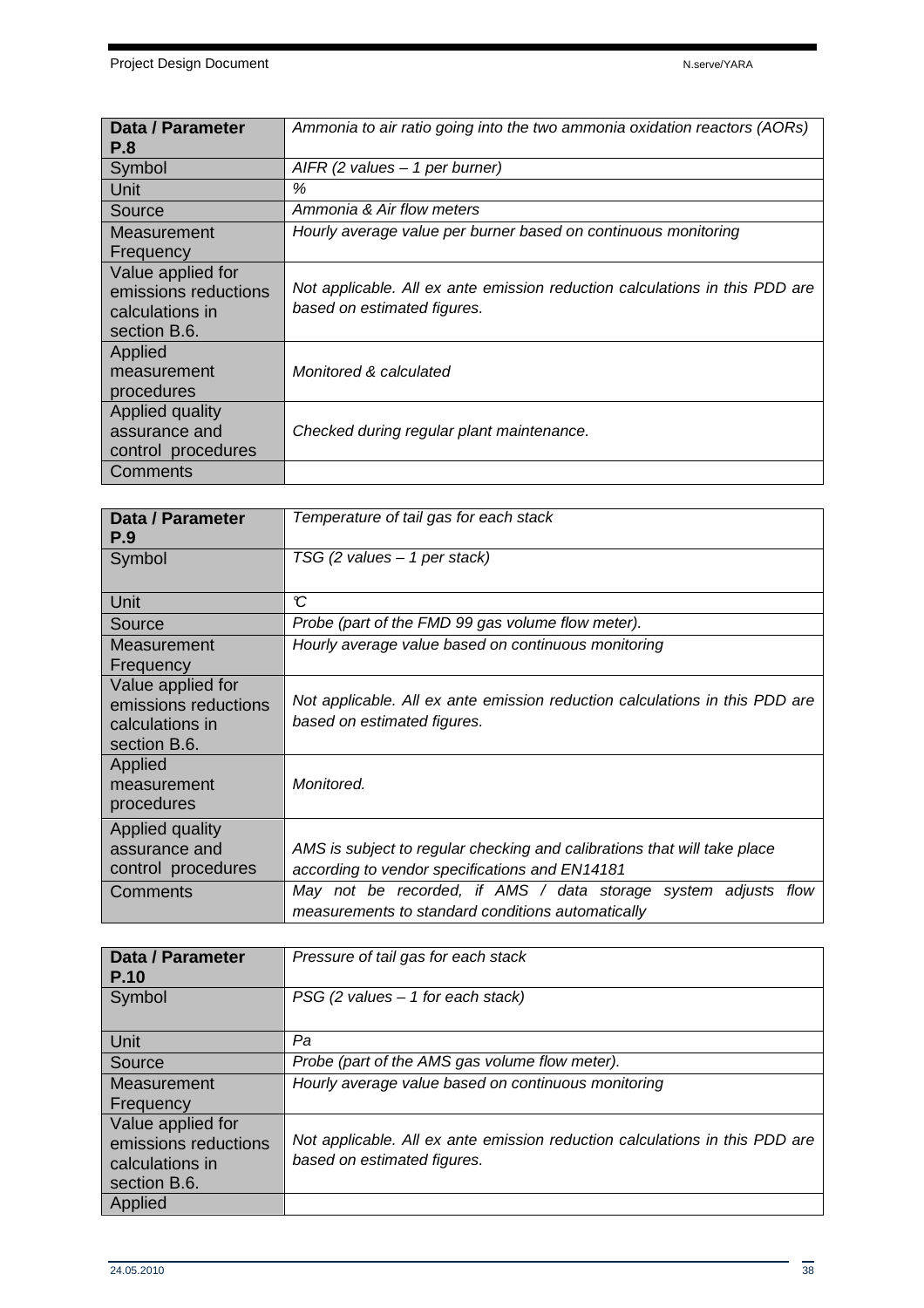| Data / Parameter     | Ammonia to air ratio going into the two ammonia oxidation reactors (AORs)   |
|----------------------|-----------------------------------------------------------------------------|
| <b>P.8</b>           |                                                                             |
| Symbol               | AIFR (2 values $-1$ per burner)                                             |
| Unit                 | ℅                                                                           |
| Source               | Ammonia & Air flow meters                                                   |
| Measurement          | Hourly average value per burner based on continuous monitoring              |
| Frequency            |                                                                             |
| Value applied for    |                                                                             |
| emissions reductions | Not applicable. All ex ante emission reduction calculations in this PDD are |
| calculations in      | based on estimated figures.                                                 |
| section B.6.         |                                                                             |
| Applied              |                                                                             |
| measurement          | Monitored & calculated                                                      |
| procedures           |                                                                             |
| Applied quality      |                                                                             |
| assurance and        | Checked during regular plant maintenance.                                   |
| control procedures   |                                                                             |
| Comments             |                                                                             |

| Data / Parameter<br>P.9                                                      | Temperature of tail gas for each stack                                                                                     |
|------------------------------------------------------------------------------|----------------------------------------------------------------------------------------------------------------------------|
| Symbol                                                                       | TSG (2 values $-1$ per stack)                                                                                              |
| Unit                                                                         | C                                                                                                                          |
| Source                                                                       | Probe (part of the FMD 99 gas volume flow meter).                                                                          |
| Measurement                                                                  | Hourly average value based on continuous monitoring                                                                        |
| Frequency                                                                    |                                                                                                                            |
| Value applied for<br>emissions reductions<br>calculations in<br>section B.6. | Not applicable. All ex ante emission reduction calculations in this PDD are<br>based on estimated figures.                 |
| Applied<br>measurement<br>procedures                                         | Monitored.                                                                                                                 |
| Applied quality<br>assurance and<br>control procedures                       | AMS is subject to regular checking and calibrations that will take place<br>according to vendor specifications and EN14181 |
| <b>Comments</b>                                                              | May not be recorded, if AMS / data storage system adjusts<br>flow<br>measurements to standard conditions automatically     |

| Data / Parameter<br>P.10                                                     | Pressure of tail gas for each stack                                                                        |
|------------------------------------------------------------------------------|------------------------------------------------------------------------------------------------------------|
| Symbol                                                                       | $PSG$ (2 values $-1$ for each stack)                                                                       |
| <b>Unit</b>                                                                  | Pa                                                                                                         |
| Source                                                                       | Probe (part of the AMS gas volume flow meter).                                                             |
| Measurement                                                                  | Hourly average value based on continuous monitoring                                                        |
| Frequency                                                                    |                                                                                                            |
| Value applied for<br>emissions reductions<br>calculations in<br>section B.6. | Not applicable. All ex ante emission reduction calculations in this PDD are<br>based on estimated figures. |
| Applied                                                                      |                                                                                                            |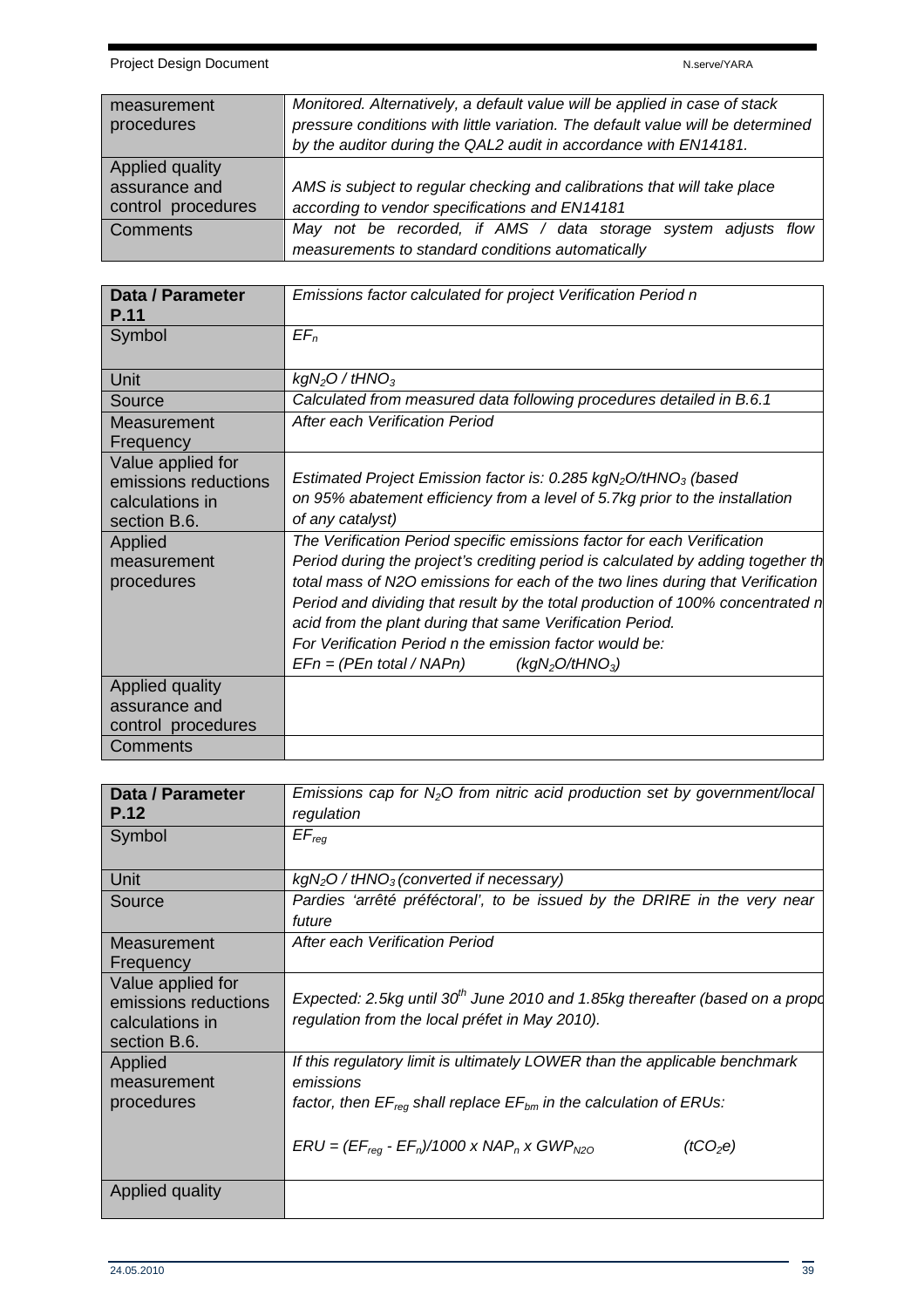| measurement<br>procedures                              | Monitored. Alternatively, a default value will be applied in case of stack<br>pressure conditions with little variation. The default value will be determined<br>by the auditor during the QAL2 audit in accordance with EN14181. |
|--------------------------------------------------------|-----------------------------------------------------------------------------------------------------------------------------------------------------------------------------------------------------------------------------------|
| Applied quality<br>assurance and<br>control procedures | AMS is subject to regular checking and calibrations that will take place<br>according to vendor specifications and EN14181                                                                                                        |
| <b>Comments</b>                                        | May not be recorded, if AMS / data storage system adjusts flow<br>measurements to standard conditions automatically                                                                                                               |

| Data / Parameter<br>P.11                                                     | Emissions factor calculated for project Verification Period n                                                                                                                                                                                                                   |
|------------------------------------------------------------------------------|---------------------------------------------------------------------------------------------------------------------------------------------------------------------------------------------------------------------------------------------------------------------------------|
| Symbol                                                                       | $EF_n$                                                                                                                                                                                                                                                                          |
| Unit                                                                         | $kgN2O$ / tHNO <sub>3</sub>                                                                                                                                                                                                                                                     |
| Source                                                                       | Calculated from measured data following procedures detailed in B.6.1                                                                                                                                                                                                            |
| Measurement<br>Frequency                                                     | After each Verification Period                                                                                                                                                                                                                                                  |
| Value applied for<br>emissions reductions<br>calculations in<br>section B.6. | Estimated Project Emission factor is: 0.285 $kgN_2O/HNO_3$ (based<br>on 95% abatement efficiency from a level of 5.7kg prior to the installation<br>of any catalyst)                                                                                                            |
| Applied                                                                      | The Verification Period specific emissions factor for each Verification                                                                                                                                                                                                         |
| measurement<br>procedures                                                    | Period during the project's crediting period is calculated by adding together th<br>total mass of N2O emissions for each of the two lines during that Verification                                                                                                              |
|                                                                              | Period and dividing that result by the total production of 100% concentrated n<br>acid from the plant during that same Verification Period.<br>For Verification Period n the emission factor would be:<br>$EFn = (PEn total / NAPn)$<br>(kgN <sub>2</sub> O/tHNO <sub>3</sub> ) |
| Applied quality<br>assurance and                                             |                                                                                                                                                                                                                                                                                 |
| control procedures<br>Comments                                               |                                                                                                                                                                                                                                                                                 |

| Data / Parameter<br>P.12        | Emissions cap for $N_2O$ from nitric acid production set by government/local<br>regulation |
|---------------------------------|--------------------------------------------------------------------------------------------|
| Symbol                          | $EF_{req}$                                                                                 |
| Unit                            | $kgN2O / tHNO3$ (converted if necessary)                                                   |
| Source                          | Pardies 'arrêté préféctoral', to be issued by the DRIRE in the very near                   |
|                                 | future                                                                                     |
| Measurement                     | After each Verification Period                                                             |
| Frequency                       |                                                                                            |
| Value applied for               |                                                                                            |
| emissions reductions            | Expected: 2.5kg until 30 <sup>th</sup> June 2010 and 1.85kg thereafter (based on a propo   |
| calculations in<br>section B.6. | regulation from the local préfet in May 2010).                                             |
| Applied<br>measurement          | If this regulatory limit is ultimately LOWER than the applicable benchmark<br>emissions    |
| procedures                      | factor, then $EF_{req}$ shall replace $EF_{bm}$ in the calculation of ERUs:                |
|                                 | $ERU = (EF_{req} - EF_n)/1000 \times NAP_n \times GWP_{N20}$<br>(tCO <sub>2</sub> e)       |
| Applied quality                 |                                                                                            |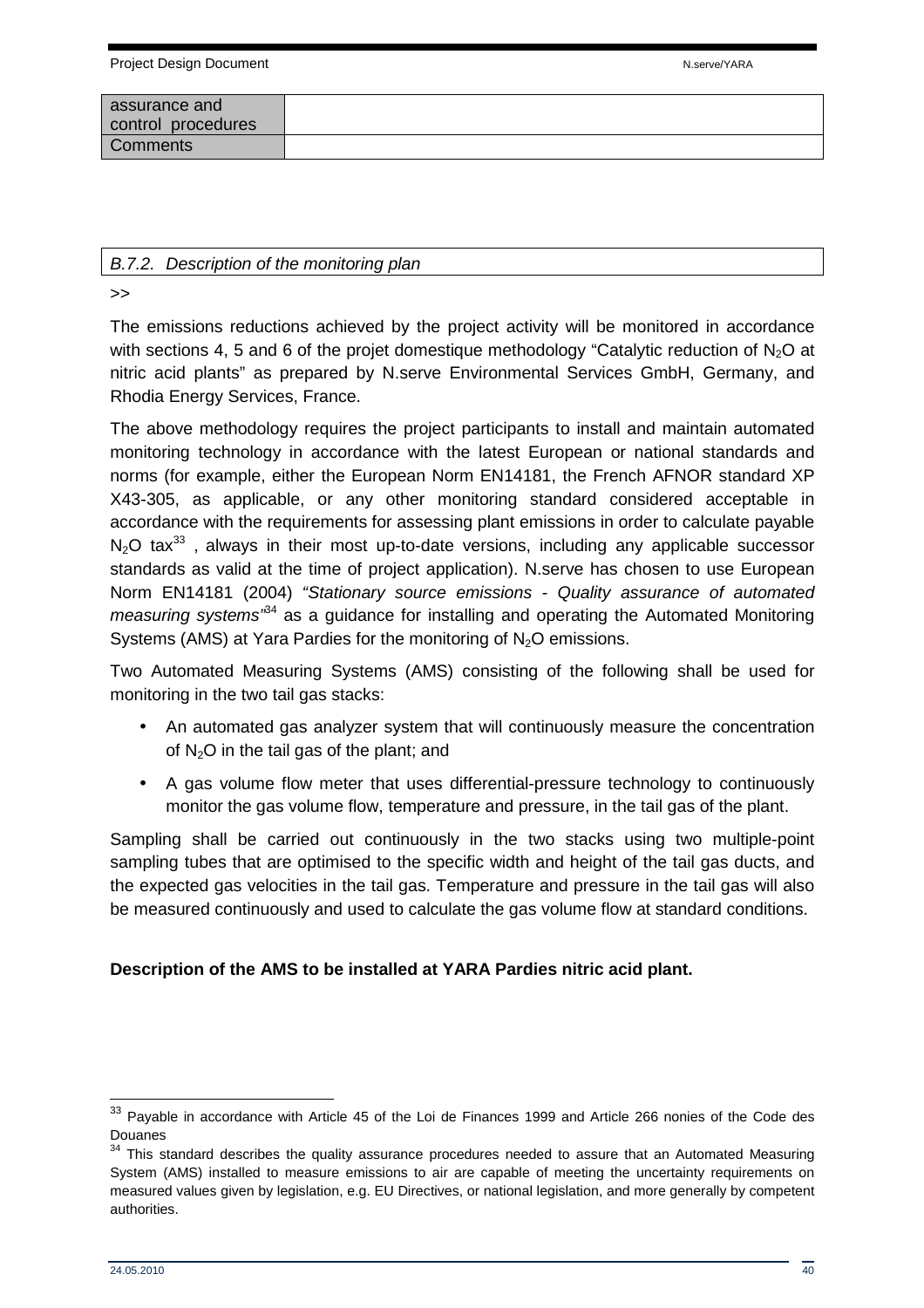| assurance and<br>control procedures |  |
|-------------------------------------|--|
| Comments                            |  |

#### B.7.2. Description of the monitoring plan

>>

The emissions reductions achieved by the project activity will be monitored in accordance with sections 4, 5 and 6 of the projet domestique methodology "Catalytic reduction of  $N_2O$  at nitric acid plants" as prepared by N.serve Environmental Services GmbH, Germany, and Rhodia Energy Services, France.

The above methodology requires the project participants to install and maintain automated monitoring technology in accordance with the latest European or national standards and norms (for example, either the European Norm EN14181, the French AFNOR standard XP X43-305, as applicable, or any other monitoring standard considered acceptable in accordance with the requirements for assessing plant emissions in order to calculate payable  $N_2$ O tax<sup>33</sup>, always in their most up-to-date versions, including any applicable successor standards as valid at the time of project application). N.serve has chosen to use European Norm EN14181 (2004) "Stationary source emissions - Quality assurance of automated *measuring systems*<sup> $34$ </sup> as a guidance for installing and operating the Automated Monitoring Systems (AMS) at Yara Pardies for the monitoring of  $N_2O$  emissions.

Two Automated Measuring Systems (AMS) consisting of the following shall be used for monitoring in the two tail gas stacks:

- An automated gas analyzer system that will continuously measure the concentration of  $N_2O$  in the tail gas of the plant; and
- A gas volume flow meter that uses differential-pressure technology to continuously monitor the gas volume flow, temperature and pressure, in the tail gas of the plant.

Sampling shall be carried out continuously in the two stacks using two multiple-point sampling tubes that are optimised to the specific width and height of the tail gas ducts, and the expected gas velocities in the tail gas. Temperature and pressure in the tail gas will also be measured continuously and used to calculate the gas volume flow at standard conditions.

#### **Description of the AMS to be installed at YARA Pardies nitric acid plant.**

  $33$  Payable in accordance with Article 45 of the Loi de Finances 1999 and Article 266 nonies of the Code des Douanes

<sup>&</sup>lt;sup>34</sup> This standard describes the quality assurance procedures needed to assure that an Automated Measuring System (AMS) installed to measure emissions to air are capable of meeting the uncertainty requirements on measured values given by legislation, e.g. EU Directives, or national legislation, and more generally by competent authorities.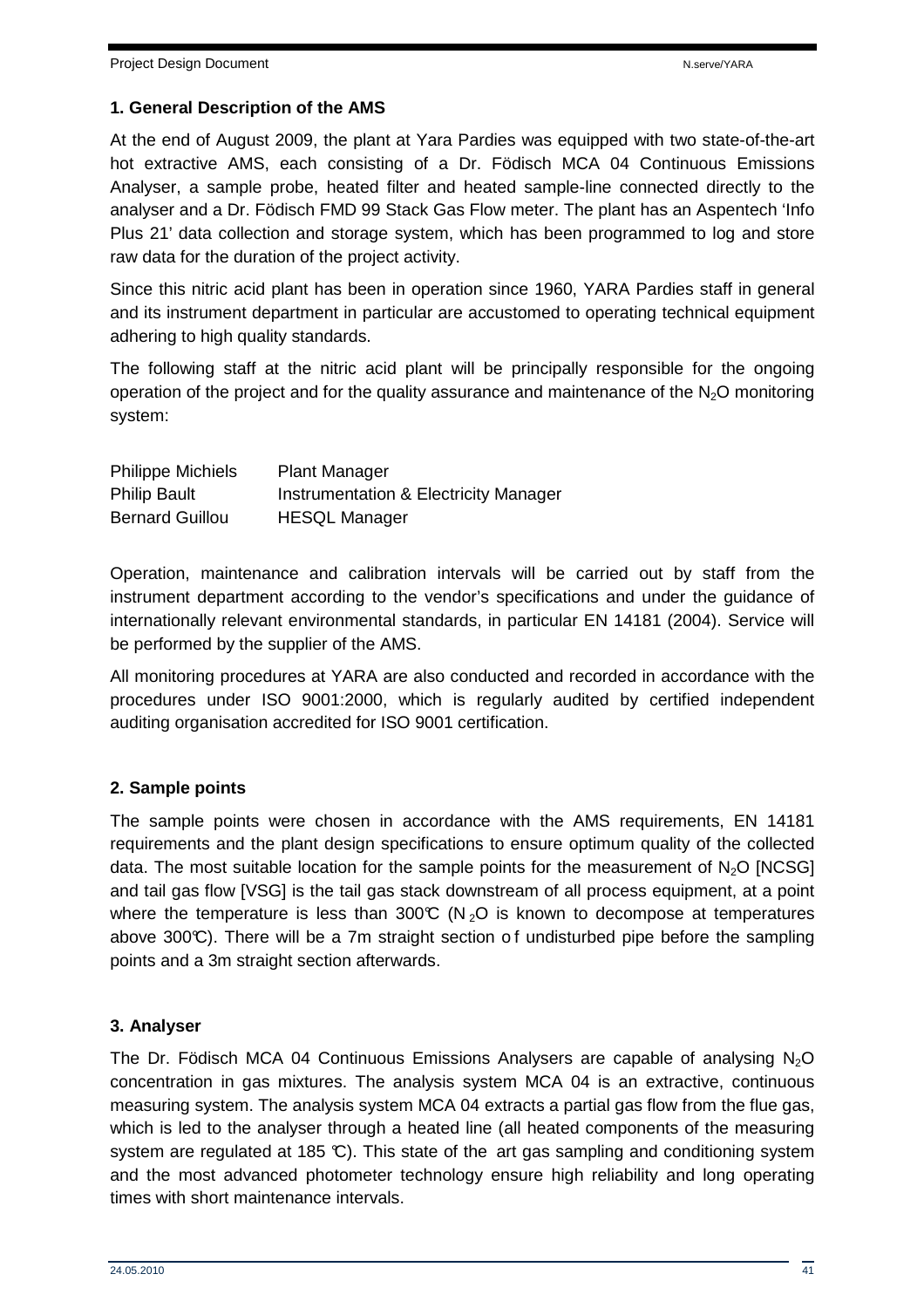#### **1. General Description of the AMS**

At the end of August 2009, the plant at Yara Pardies was equipped with two state-of-the-art hot extractive AMS, each consisting of a Dr. Födisch MCA 04 Continuous Emissions Analyser, a sample probe, heated filter and heated sample-line connected directly to the analyser and a Dr. Födisch FMD 99 Stack Gas Flow meter. The plant has an Aspentech 'Info Plus 21' data collection and storage system, which has been programmed to log and store raw data for the duration of the project activity.

Since this nitric acid plant has been in operation since 1960, YARA Pardies staff in general and its instrument department in particular are accustomed to operating technical equipment adhering to high quality standards.

The following staff at the nitric acid plant will be principally responsible for the ongoing operation of the project and for the quality assurance and maintenance of the  $N_2O$  monitoring system:

| <b>Philippe Michiels</b> | <b>Plant Manager</b>                  |
|--------------------------|---------------------------------------|
| <b>Philip Bault</b>      | Instrumentation & Electricity Manager |
| <b>Bernard Guillou</b>   | <b>HESQL Manager</b>                  |

Operation, maintenance and calibration intervals will be carried out by staff from the instrument department according to the vendor's specifications and under the guidance of internationally relevant environmental standards, in particular EN 14181 (2004). Service will be performed by the supplier of the AMS.

All monitoring procedures at YARA are also conducted and recorded in accordance with the procedures under ISO 9001:2000, which is regularly audited by certified independent auditing organisation accredited for ISO 9001 certification.

#### **2. Sample points**

The sample points were chosen in accordance with the AMS requirements, EN 14181 requirements and the plant design specifications to ensure optimum quality of the collected data. The most suitable location for the sample points for the measurement of  $N_2O$  [NCSG] and tail gas flow [VSG] is the tail gas stack downstream of all process equipment, at a point where the temperature is less than 300°C (N<sub>2</sub>O is known to decompose at temperatures above 300 $\mathbb{C}$ ). There will be a 7m straight section of undisturbed pipe before the sampling points and a 3m straight section afterwards.

#### **3. Analyser**

The Dr. Födisch MCA 04 Continuous Emissions Analysers are capable of analysing  $N<sub>2</sub>O$ concentration in gas mixtures. The analysis system MCA 04 is an extractive, continuous measuring system. The analysis system MCA 04 extracts a partial gas flow from the flue gas, which is led to the analyser through a heated line (all heated components of the measuring system are regulated at 185 °C). This state of the art gas sampling and conditioning system and the most advanced photometer technology ensure high reliability and long operating times with short maintenance intervals.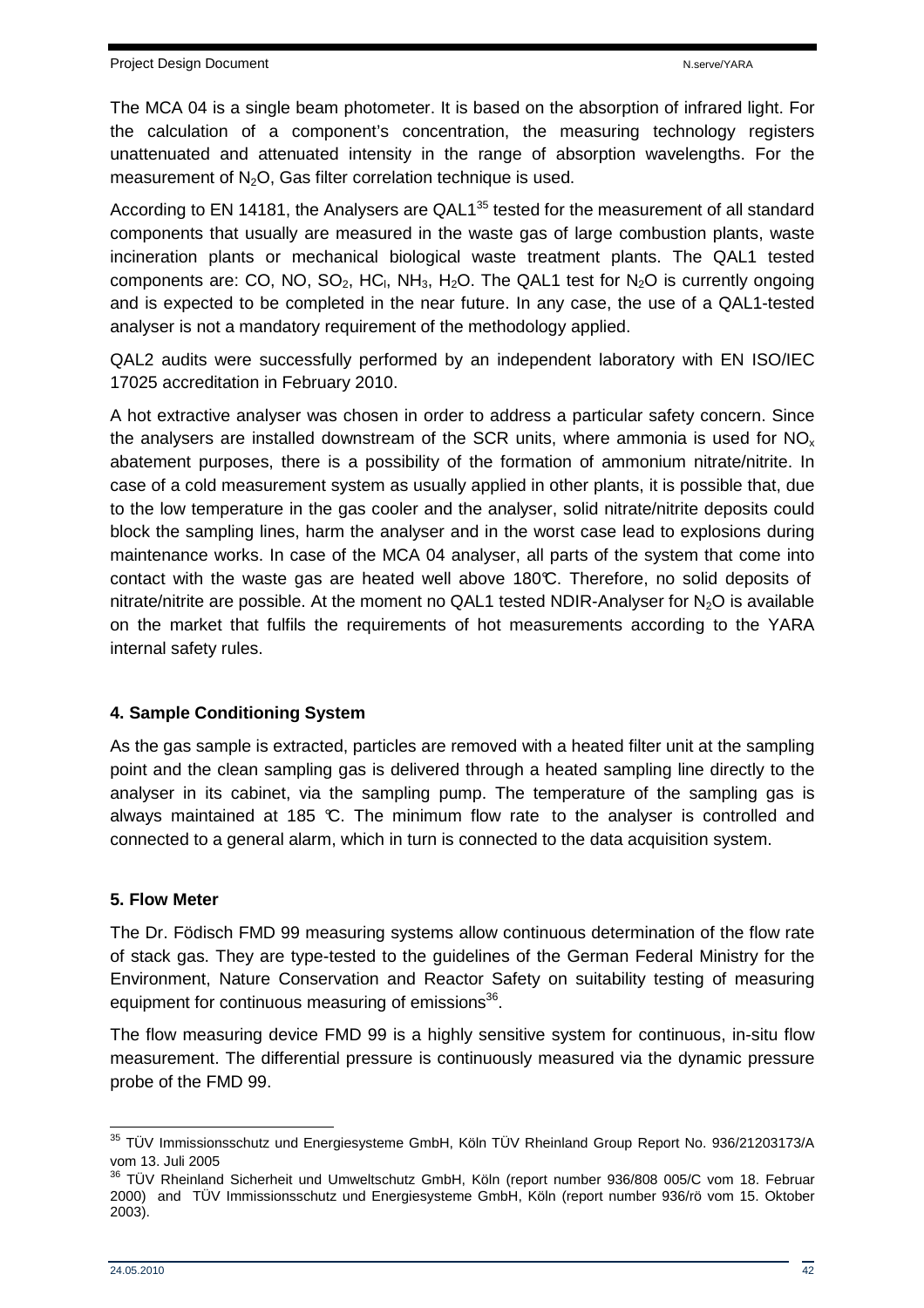The MCA 04 is a single beam photometer. It is based on the absorption of infrared light. For the calculation of a component's concentration, the measuring technology registers unattenuated and attenuated intensity in the range of absorption wavelengths. For the measurement of  $N_2O$ , Gas filter correlation technique is used.

According to EN 14181, the Analysers are QAL1<sup>35</sup> tested for the measurement of all standard components that usually are measured in the waste gas of large combustion plants, waste incineration plants or mechanical biological waste treatment plants. The QAL1 tested components are: CO, NO, SO<sub>2</sub>, HC<sub>I</sub>, NH<sub>3</sub>, H<sub>2</sub>O. The QAL1 test for N<sub>2</sub>O is currently ongoing and is expected to be completed in the near future. In any case, the use of a QAL1-tested analyser is not a mandatory requirement of the methodology applied.

QAL2 audits were successfully performed by an independent laboratory with EN ISO/IEC 17025 accreditation in February 2010.

A hot extractive analyser was chosen in order to address a particular safety concern. Since the analysers are installed downstream of the SCR units, where ammonia is used for  $NO<sub>x</sub>$ abatement purposes, there is a possibility of the formation of ammonium nitrate/nitrite. In case of a cold measurement system as usually applied in other plants, it is possible that, due to the low temperature in the gas cooler and the analyser, solid nitrate/nitrite deposits could block the sampling lines, harm the analyser and in the worst case lead to explosions during maintenance works. In case of the MCA 04 analyser, all parts of the system that come into contact with the waste gas are heated well above 180°C. Therefore, no solid deposits of nitrate/nitrite are possible. At the moment no QAL1 tested NDIR-Analyser for  $N_2O$  is available on the market that fulfils the requirements of hot measurements according to the YARA internal safety rules.

## **4. Sample Conditioning System**

As the gas sample is extracted, particles are removed with a heated filter unit at the sampling point and the clean sampling gas is delivered through a heated sampling line directly to the analyser in its cabinet, via the sampling pump. The temperature of the sampling gas is always maintained at 185  $\mathbb{C}$ . The minimum flow rate to the analyser is controlled and connected to a general alarm, which in turn is connected to the data acquisition system.

#### **5. Flow Meter**

The Dr. Födisch FMD 99 measuring systems allow continuous determination of the flow rate of stack gas. They are type-tested to the guidelines of the German Federal Ministry for the Environment, Nature Conservation and Reactor Safety on suitability testing of measuring equipment for continuous measuring of emissions<sup>36</sup>.

The flow measuring device FMD 99 is a highly sensitive system for continuous, in-situ flow measurement. The differential pressure is continuously measured via the dynamic pressure probe of the FMD 99.

 <sup>35</sup> TÜV Immissionsschutz und Energiesysteme GmbH, Köln TÜV Rheinland Group Report No. 936/21203173/A vom 13. Juli 2005

<sup>&</sup>lt;sup>36</sup> TÜV Rheinland Sicherheit und Umweltschutz GmbH, Köln (report number 936/808 005/C vom 18. Februar 2000) and TÜV Immissionsschutz und Energiesysteme GmbH, Köln (report number 936/rö vom 15. Oktober 2003).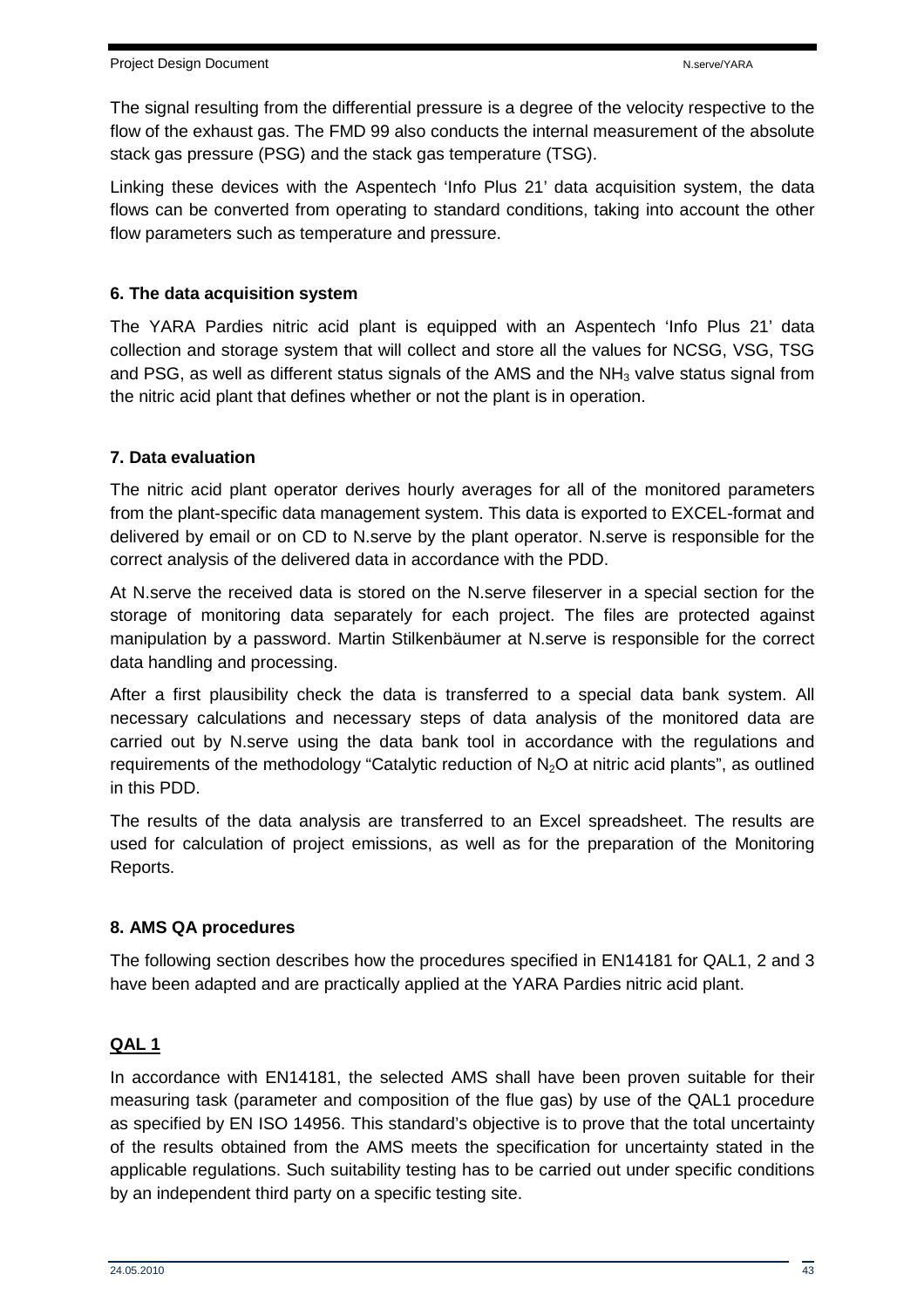The signal resulting from the differential pressure is a degree of the velocity respective to the flow of the exhaust gas. The FMD 99 also conducts the internal measurement of the absolute stack gas pressure (PSG) and the stack gas temperature (TSG).

Linking these devices with the Aspentech 'Info Plus 21' data acquisition system, the data flows can be converted from operating to standard conditions, taking into account the other flow parameters such as temperature and pressure.

#### **6. The data acquisition system**

The YARA Pardies nitric acid plant is equipped with an Aspentech 'Info Plus 21' data collection and storage system that will collect and store all the values for NCSG, VSG, TSG and PSG, as well as different status signals of the AMS and the  $NH<sub>3</sub>$  valve status signal from the nitric acid plant that defines whether or not the plant is in operation.

#### **7. Data evaluation**

The nitric acid plant operator derives hourly averages for all of the monitored parameters from the plant-specific data management system. This data is exported to EXCEL-format and delivered by email or on CD to N.serve by the plant operator. N.serve is responsible for the correct analysis of the delivered data in accordance with the PDD.

At N.serve the received data is stored on the N.serve fileserver in a special section for the storage of monitoring data separately for each project. The files are protected against manipulation by a password. Martin Stilkenbäumer at N.serve is responsible for the correct data handling and processing.

After a first plausibility check the data is transferred to a special data bank system. All necessary calculations and necessary steps of data analysis of the monitored data are carried out by N.serve using the data bank tool in accordance with the regulations and requirements of the methodology "Catalytic reduction of  $N_2O$  at nitric acid plants", as outlined in this PDD.

The results of the data analysis are transferred to an Excel spreadsheet. The results are used for calculation of project emissions, as well as for the preparation of the Monitoring Reports.

## **8. AMS QA procedures**

The following section describes how the procedures specified in EN14181 for QAL1, 2 and 3 have been adapted and are practically applied at the YARA Pardies nitric acid plant.

## **QAL 1**

In accordance with EN14181, the selected AMS shall have been proven suitable for their measuring task (parameter and composition of the flue gas) by use of the QAL1 procedure as specified by EN ISO 14956. This standard's objective is to prove that the total uncertainty of the results obtained from the AMS meets the specification for uncertainty stated in the applicable regulations. Such suitability testing has to be carried out under specific conditions by an independent third party on a specific testing site.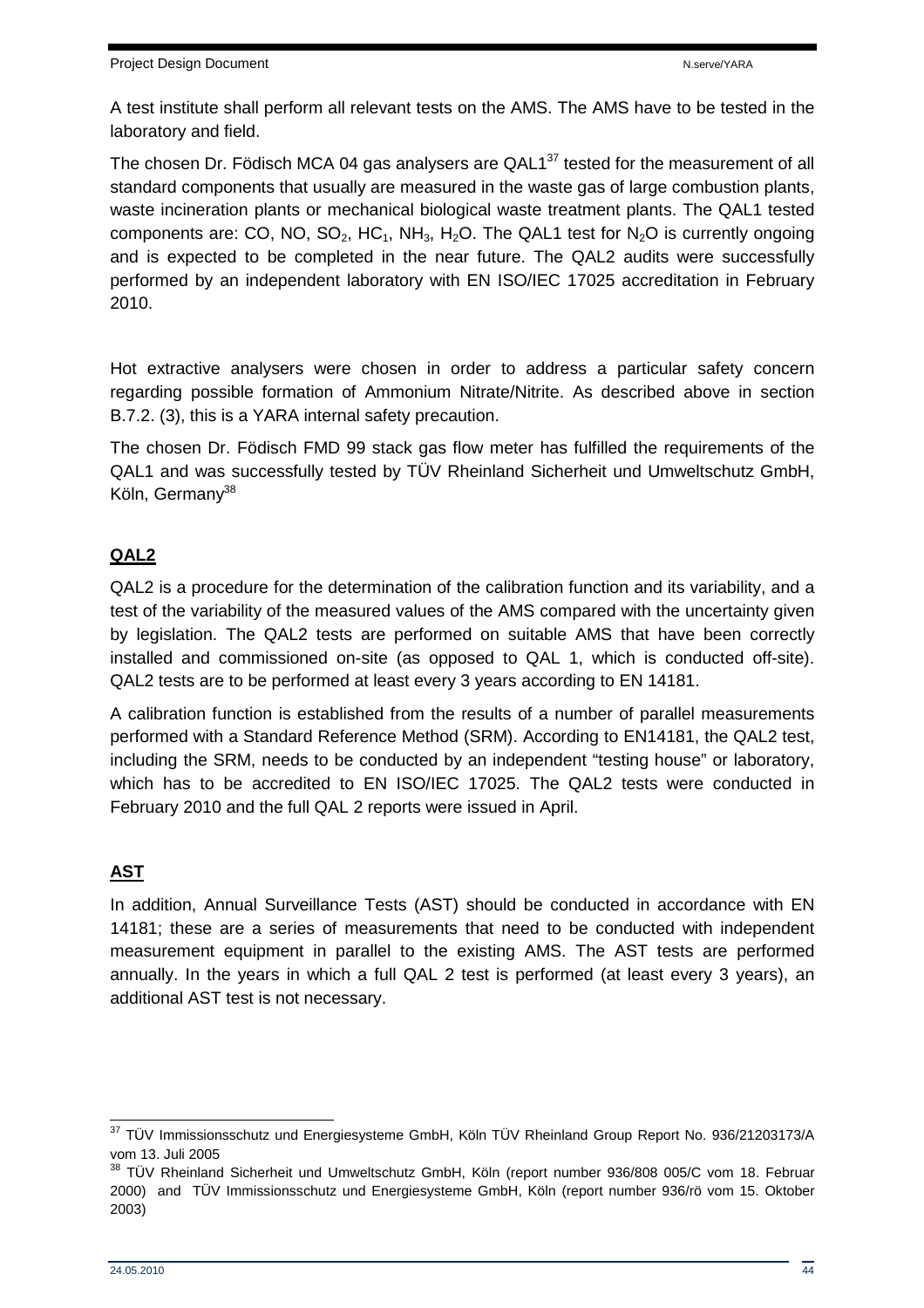A test institute shall perform all relevant tests on the AMS. The AMS have to be tested in the laboratory and field.

The chosen Dr. Födisch MCA 04 gas analysers are  $QAL1^{37}$  tested for the measurement of all standard components that usually are measured in the waste gas of large combustion plants, waste incineration plants or mechanical biological waste treatment plants. The QAL1 tested components are: CO, NO, SO<sub>2</sub>, HC<sub>1</sub>, NH<sub>3</sub>, H<sub>2</sub>O. The QAL1 test for N<sub>2</sub>O is currently ongoing and is expected to be completed in the near future. The QAL2 audits were successfully performed by an independent laboratory with EN ISO/IEC 17025 accreditation in February 2010.

Hot extractive analysers were chosen in order to address a particular safety concern regarding possible formation of Ammonium Nitrate/Nitrite. As described above in section B.7.2. (3), this is a YARA internal safety precaution.

The chosen Dr. Födisch FMD 99 stack gas flow meter has fulfilled the requirements of the QAL1 and was successfully tested by TÜV Rheinland Sicherheit und Umweltschutz GmbH, Köln, Germany<sup>38</sup>

## **QAL2**

QAL2 is a procedure for the determination of the calibration function and its variability, and a test of the variability of the measured values of the AMS compared with the uncertainty given by legislation. The QAL2 tests are performed on suitable AMS that have been correctly installed and commissioned on-site (as opposed to QAL 1, which is conducted off-site). QAL2 tests are to be performed at least every 3 years according to EN 14181.

A calibration function is established from the results of a number of parallel measurements performed with a Standard Reference Method (SRM). According to EN14181, the QAL2 test, including the SRM, needs to be conducted by an independent "testing house" or laboratory, which has to be accredited to EN ISO/IEC 17025. The QAL2 tests were conducted in February 2010 and the full QAL 2 reports were issued in April.

## **AST**

In addition, Annual Surveillance Tests (AST) should be conducted in accordance with EN 14181; these are a series of measurements that need to be conducted with independent measurement equipment in parallel to the existing AMS. The AST tests are performed annually. In the years in which a full QAL 2 test is performed (at least every 3 years), an additional AST test is not necessary.

 $\overline{a}$  $37$  TÜV Immissionsschutz und Energiesysteme GmbH, Köln TÜV Rheinland Group Report No. 936/21203173/A vom 13. Juli 2005

<sup>&</sup>lt;sup>38</sup> TÜV Rheinland Sicherheit und Umweltschutz GmbH, Köln (report number 936/808 005/C vom 18. Februar 2000) and TÜV Immissionsschutz und Energiesysteme GmbH, Köln (report number 936/rö vom 15. Oktober 2003)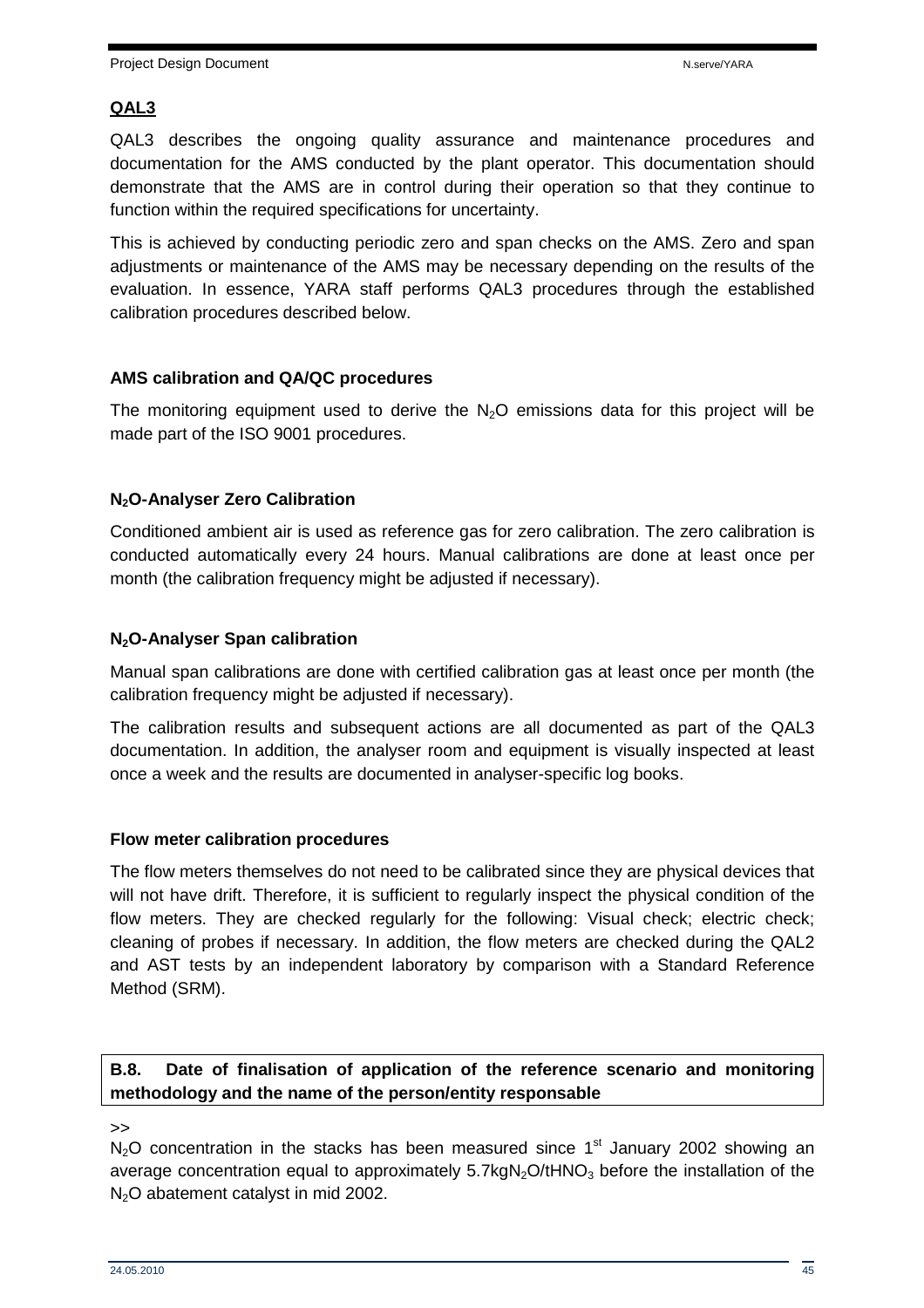#### **QAL3**

QAL3 describes the ongoing quality assurance and maintenance procedures and documentation for the AMS conducted by the plant operator. This documentation should demonstrate that the AMS are in control during their operation so that they continue to function within the required specifications for uncertainty.

This is achieved by conducting periodic zero and span checks on the AMS. Zero and span adjustments or maintenance of the AMS may be necessary depending on the results of the evaluation. In essence, YARA staff performs QAL3 procedures through the established calibration procedures described below.

#### **AMS calibration and QA/QC procedures**

The monitoring equipment used to derive the  $N_2O$  emissions data for this project will be made part of the ISO 9001 procedures.

#### **N2O-Analyser Zero Calibration**

Conditioned ambient air is used as reference gas for zero calibration. The zero calibration is conducted automatically every 24 hours. Manual calibrations are done at least once per month (the calibration frequency might be adjusted if necessary).

#### **N2O-Analyser Span calibration**

Manual span calibrations are done with certified calibration gas at least once per month (the calibration frequency might be adjusted if necessary).

The calibration results and subsequent actions are all documented as part of the QAL3 documentation. In addition, the analyser room and equipment is visually inspected at least once a week and the results are documented in analyser-specific log books.

#### **Flow meter calibration procedures**

The flow meters themselves do not need to be calibrated since they are physical devices that will not have drift. Therefore, it is sufficient to regularly inspect the physical condition of the flow meters. They are checked regularly for the following: Visual check; electric check; cleaning of probes if necessary. In addition, the flow meters are checked during the QAL2 and AST tests by an independent laboratory by comparison with a Standard Reference Method (SRM).

#### **B.8. Date of finalisation of application of the reference scenario and monitoring methodology and the name of the person/entity responsable**

 $\rightarrow$ 

 $N<sub>2</sub>O$  concentration in the stacks has been measured since 1<sup>st</sup> January 2002 showing an average concentration equal to approximately  $5.7kgN<sub>2</sub>O/tHNO<sub>3</sub>$  before the installation of the  $N<sub>2</sub>O$  abatement catalyst in mid 2002.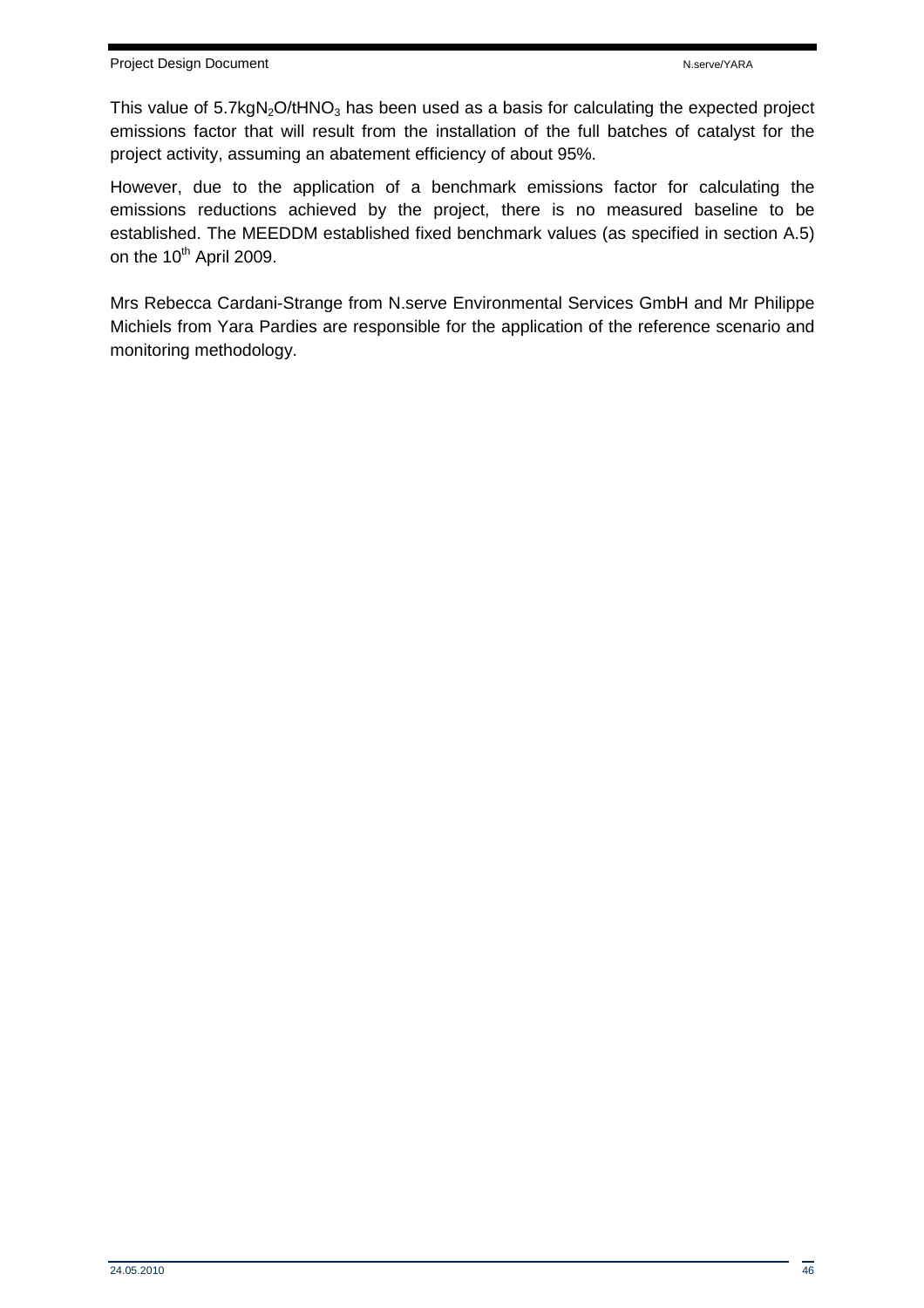This value of  $5.7kgN<sub>2</sub>O/HNO<sub>3</sub>$  has been used as a basis for calculating the expected project emissions factor that will result from the installation of the full batches of catalyst for the project activity, assuming an abatement efficiency of about 95%.

However, due to the application of a benchmark emissions factor for calculating the emissions reductions achieved by the project, there is no measured baseline to be established. The MEEDDM established fixed benchmark values (as specified in section A.5) on the  $10^{th}$  April 2009.

Mrs Rebecca Cardani-Strange from N.serve Environmental Services GmbH and Mr Philippe Michiels from Yara Pardies are responsible for the application of the reference scenario and monitoring methodology.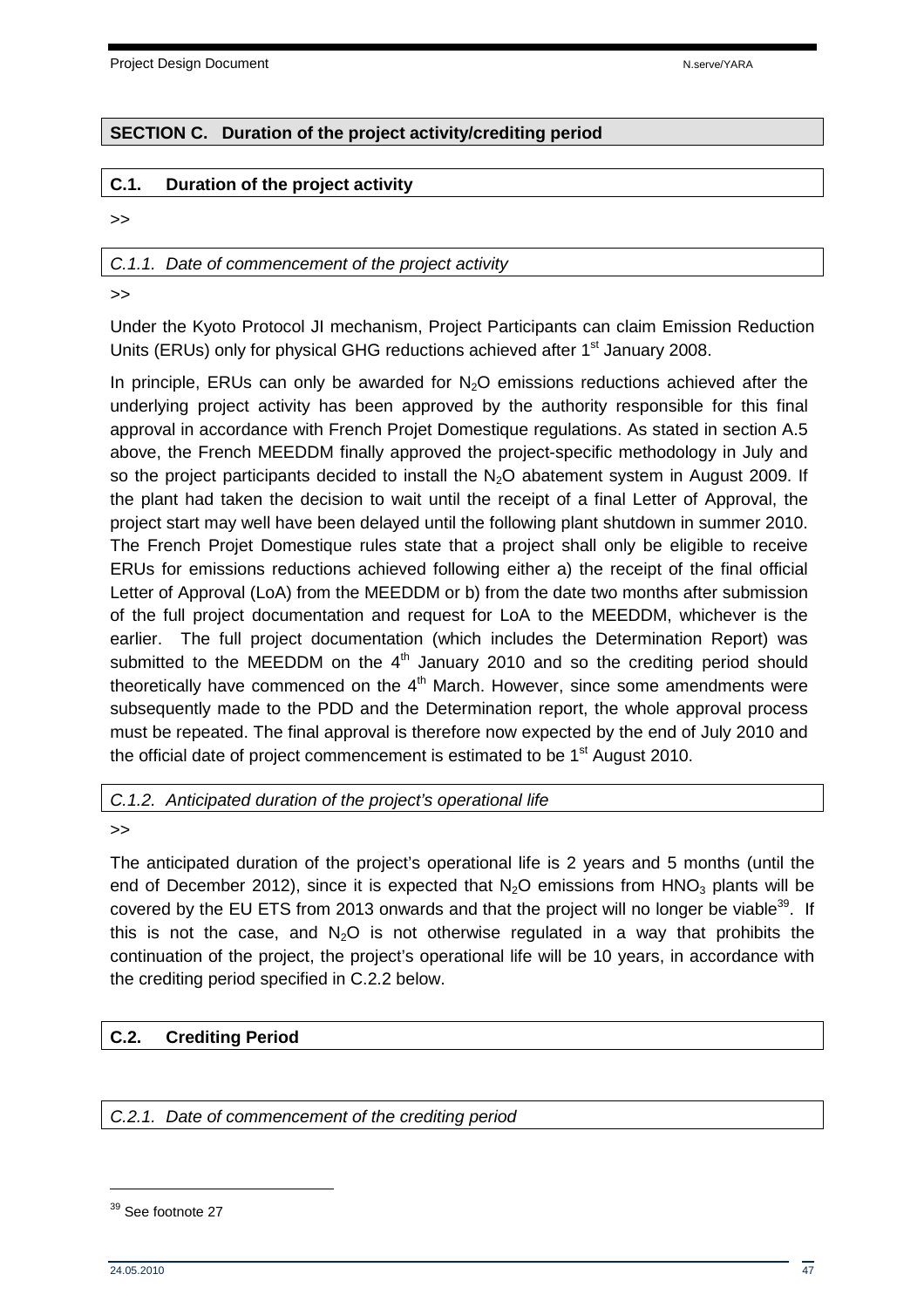Project Design Document N.serve/YARA

## **SECTION C. Duration of the project activity/crediting period**

#### **C.1. Duration of the project activity**

>>

#### C.1.1. Date of commencement of the project activity

>>

Under the Kyoto Protocol JI mechanism, Project Participants can claim Emission Reduction Units (ERUs) only for physical GHG reductions achieved after 1<sup>st</sup> January 2008.

In principle, ERUs can only be awarded for  $N<sub>2</sub>O$  emissions reductions achieved after the underlying project activity has been approved by the authority responsible for this final approval in accordance with French Projet Domestique regulations. As stated in section A.5 above, the French MEEDDM finally approved the project-specific methodology in July and so the project participants decided to install the  $N_2O$  abatement system in August 2009. If the plant had taken the decision to wait until the receipt of a final Letter of Approval, the project start may well have been delayed until the following plant shutdown in summer 2010. The French Projet Domestique rules state that a project shall only be eligible to receive ERUs for emissions reductions achieved following either a) the receipt of the final official Letter of Approval (LoA) from the MEEDDM or b) from the date two months after submission of the full project documentation and request for LoA to the MEEDDM, whichever is the earlier. The full project documentation (which includes the Determination Report) was submitted to the MEEDDM on the  $4<sup>th</sup>$  January 2010 and so the crediting period should theoretically have commenced on the  $4<sup>th</sup>$  March. However, since some amendments were subsequently made to the PDD and the Determination report, the whole approval process must be repeated. The final approval is therefore now expected by the end of July 2010 and the official date of project commencement is estimated to be  $1<sup>st</sup>$  August 2010.

C.1.2. Anticipated duration of the project's operational life

>>

The anticipated duration of the project's operational life is 2 years and 5 months (until the end of December 2012), since it is expected that  $N_2O$  emissions from  $HNO_3$  plants will be covered by the EU ETS from 2013 onwards and that the project will no longer be viable<sup>39</sup>. If this is not the case, and  $N_2O$  is not otherwise regulated in a way that prohibits the continuation of the project, the project's operational life will be 10 years, in accordance with the crediting period specified in C.2.2 below.

## **C.2. Crediting Period**

C.2.1. Date of commencement of the crediting period

<sup>&</sup>lt;sup>39</sup> See footnote 27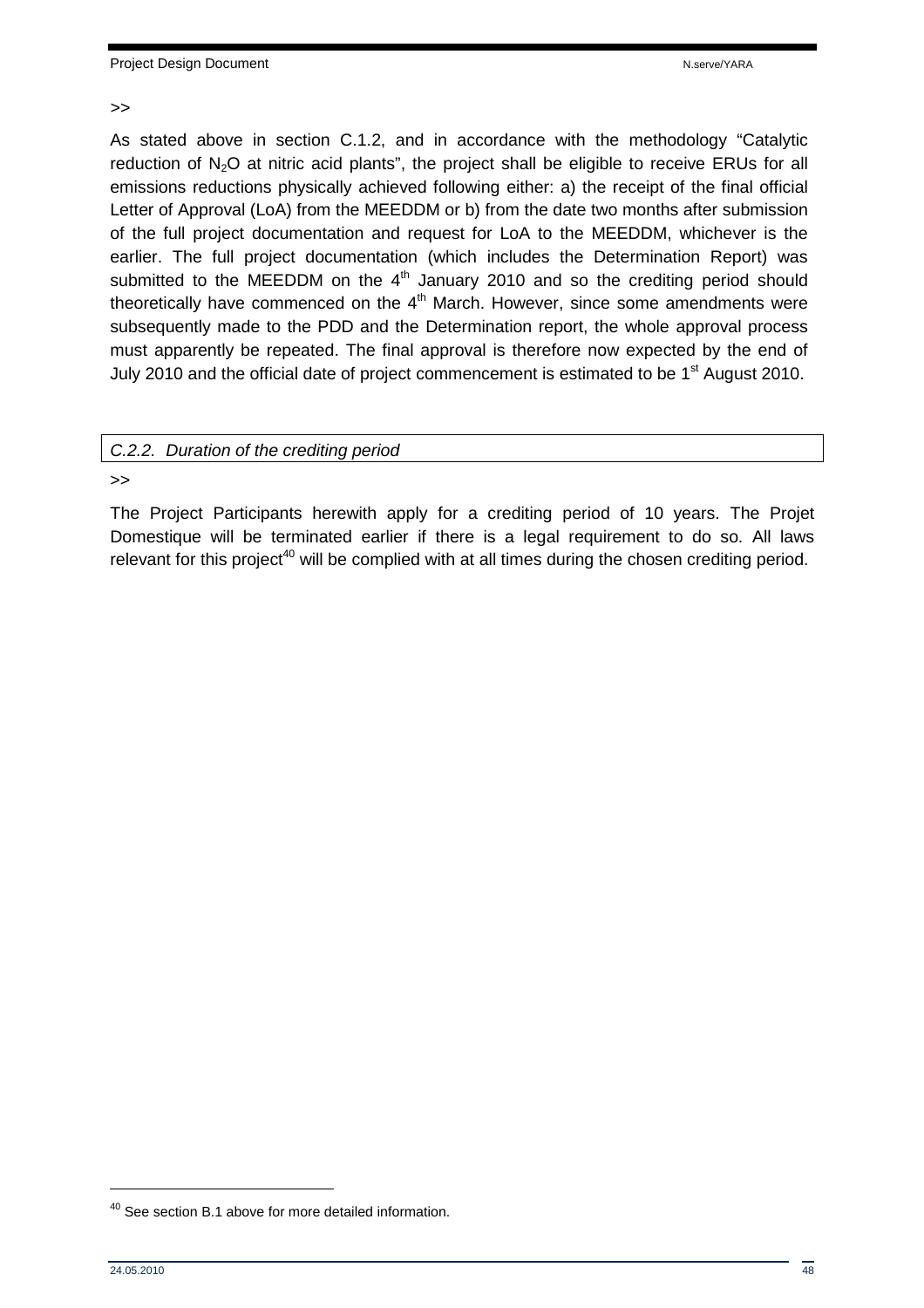#### >>

As stated above in section C.1.2, and in accordance with the methodology "Catalytic reduction of N<sub>2</sub>O at nitric acid plants", the project shall be eligible to receive ERUs for all emissions reductions physically achieved following either: a) the receipt of the final official Letter of Approval (LoA) from the MEEDDM or b) from the date two months after submission of the full project documentation and request for LoA to the MEEDDM, whichever is the earlier. The full project documentation (which includes the Determination Report) was submitted to the MEEDDM on the  $4<sup>th</sup>$  January 2010 and so the crediting period should theoretically have commenced on the  $4<sup>th</sup>$  March. However, since some amendments were subsequently made to the PDD and the Determination report, the whole approval process must apparently be repeated. The final approval is therefore now expected by the end of July 2010 and the official date of project commencement is estimated to be 1<sup>st</sup> August 2010.

#### C.2.2. Duration of the crediting period

>>

The Project Participants herewith apply for a crediting period of 10 years. The Projet Domestique will be terminated earlier if there is a legal requirement to do so. All laws relevant for this project<sup>40</sup> will be complied with at all times during the chosen crediting period.

<sup>&</sup>lt;sup>40</sup> See section B.1 above for more detailed information.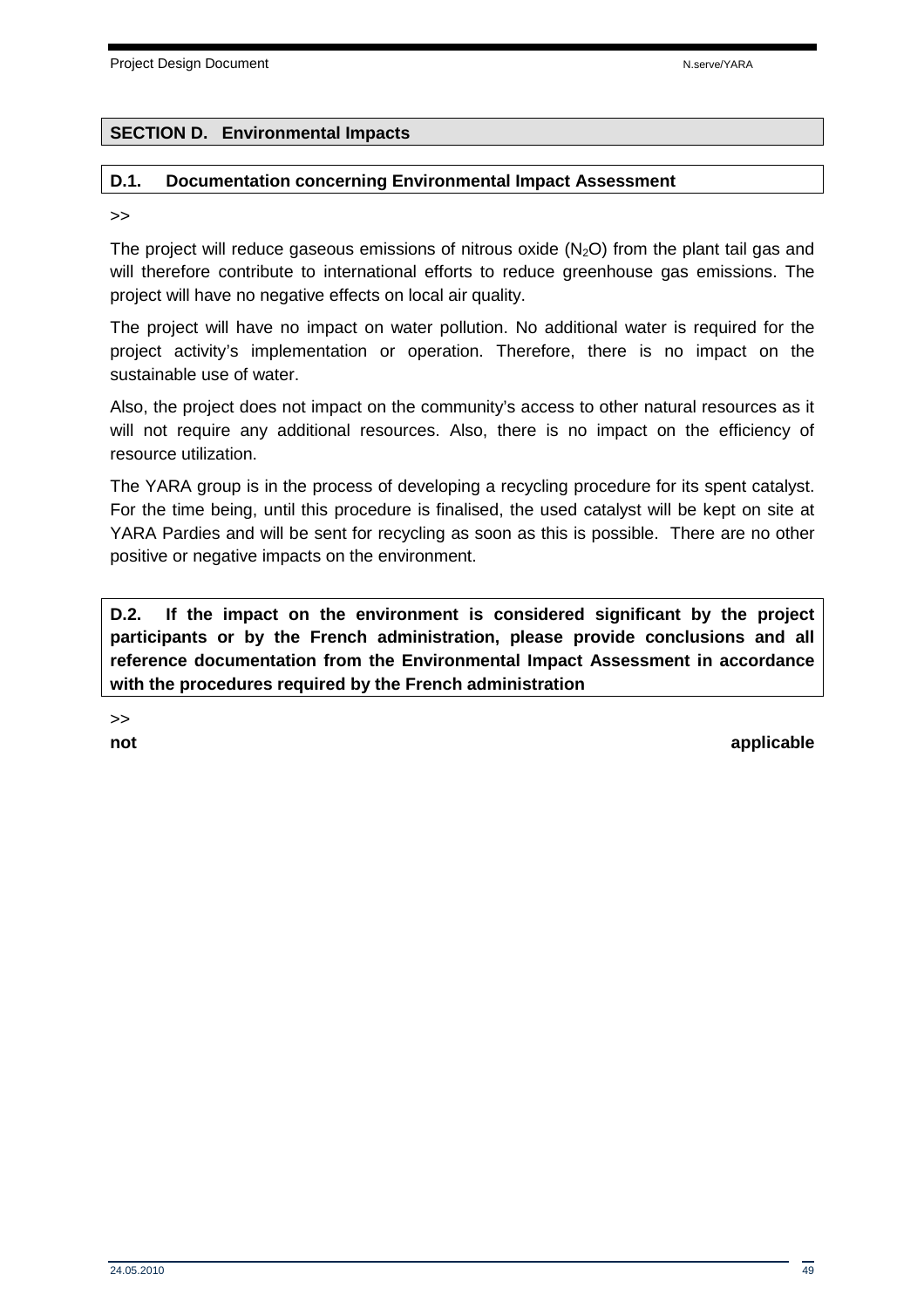#### **SECTION D. Environmental Impacts**

#### **D.1. Documentation concerning Environmental Impact Assessment**

>>

The project will reduce gaseous emissions of nitrous oxide  $(N_2O)$  from the plant tail gas and will therefore contribute to international efforts to reduce greenhouse gas emissions. The project will have no negative effects on local air quality.

The project will have no impact on water pollution. No additional water is required for the project activity's implementation or operation. Therefore, there is no impact on the sustainable use of water.

Also, the project does not impact on the community's access to other natural resources as it will not require any additional resources. Also, there is no impact on the efficiency of resource utilization.

The YARA group is in the process of developing a recycling procedure for its spent catalyst. For the time being, until this procedure is finalised, the used catalyst will be kept on site at YARA Pardies and will be sent for recycling as soon as this is possible. There are no other positive or negative impacts on the environment.

**D.2. If the impact on the environment is considered significant by the project participants or by the French administration, please provide conclusions and all reference documentation from the Environmental Impact Assessment in accordance with the procedures required by the French administration** 

>>

**not** applicable that the contract of the contract of the contract of the contract of the contract of the contract of the contract of the contract of the contract of the contract of the contract of the contract of the cont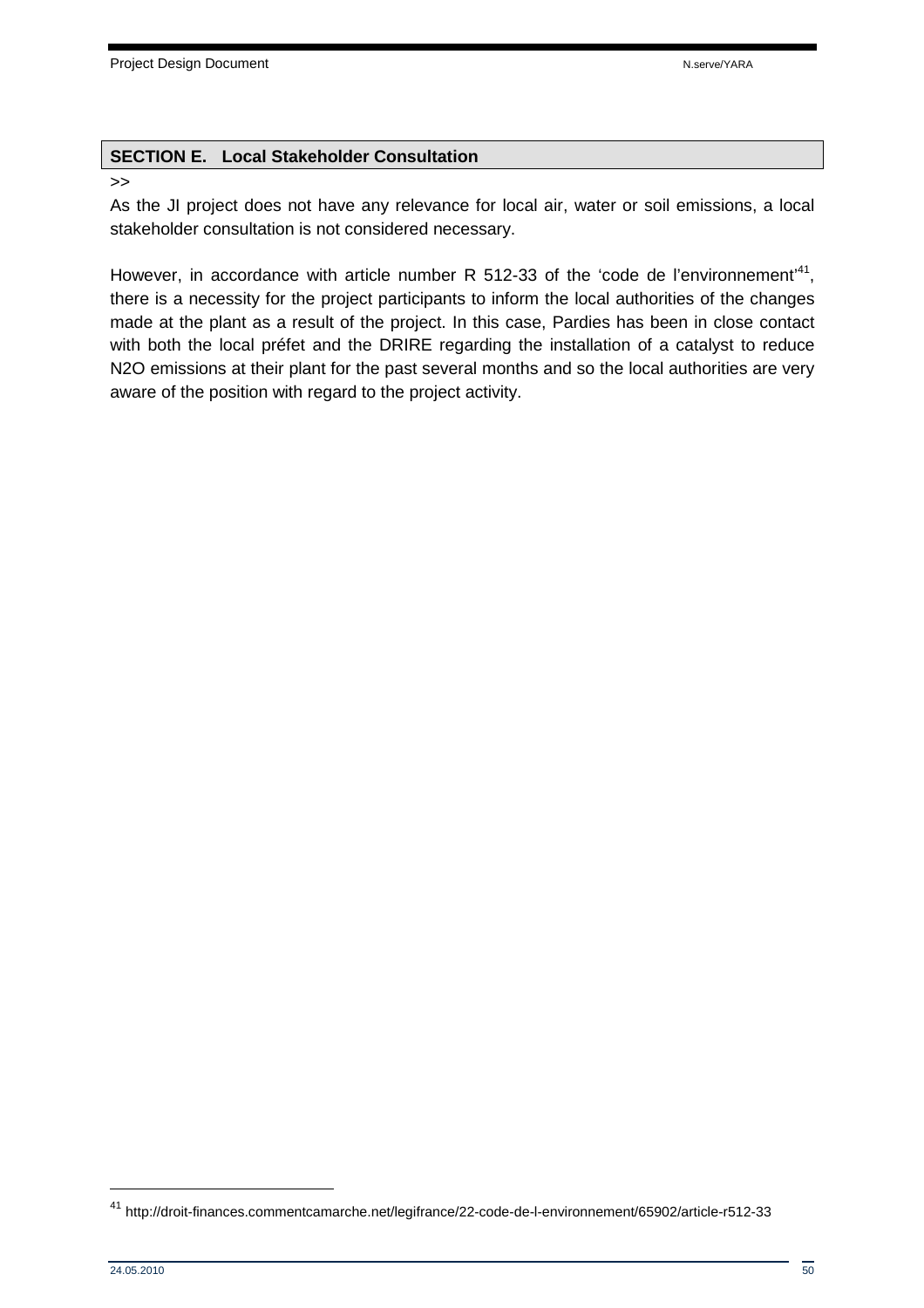#### **SECTION E. Local Stakeholder Consultation**

#### >>

As the JI project does not have any relevance for local air, water or soil emissions, a local stakeholder consultation is not considered necessary.

However, in accordance with article number R 512-33 of the 'code de l'environnement'<sup>41</sup>, there is a necessity for the project participants to inform the local authorities of the changes made at the plant as a result of the project. In this case, Pardies has been in close contact with both the local préfet and the DRIRE regarding the installation of a catalyst to reduce N2O emissions at their plant for the past several months and so the local authorities are very aware of the position with regard to the project activity.

<sup>41</sup> http://droit-finances.commentcamarche.net/legifrance/22-code-de-l-environnement/65902/article-r512-33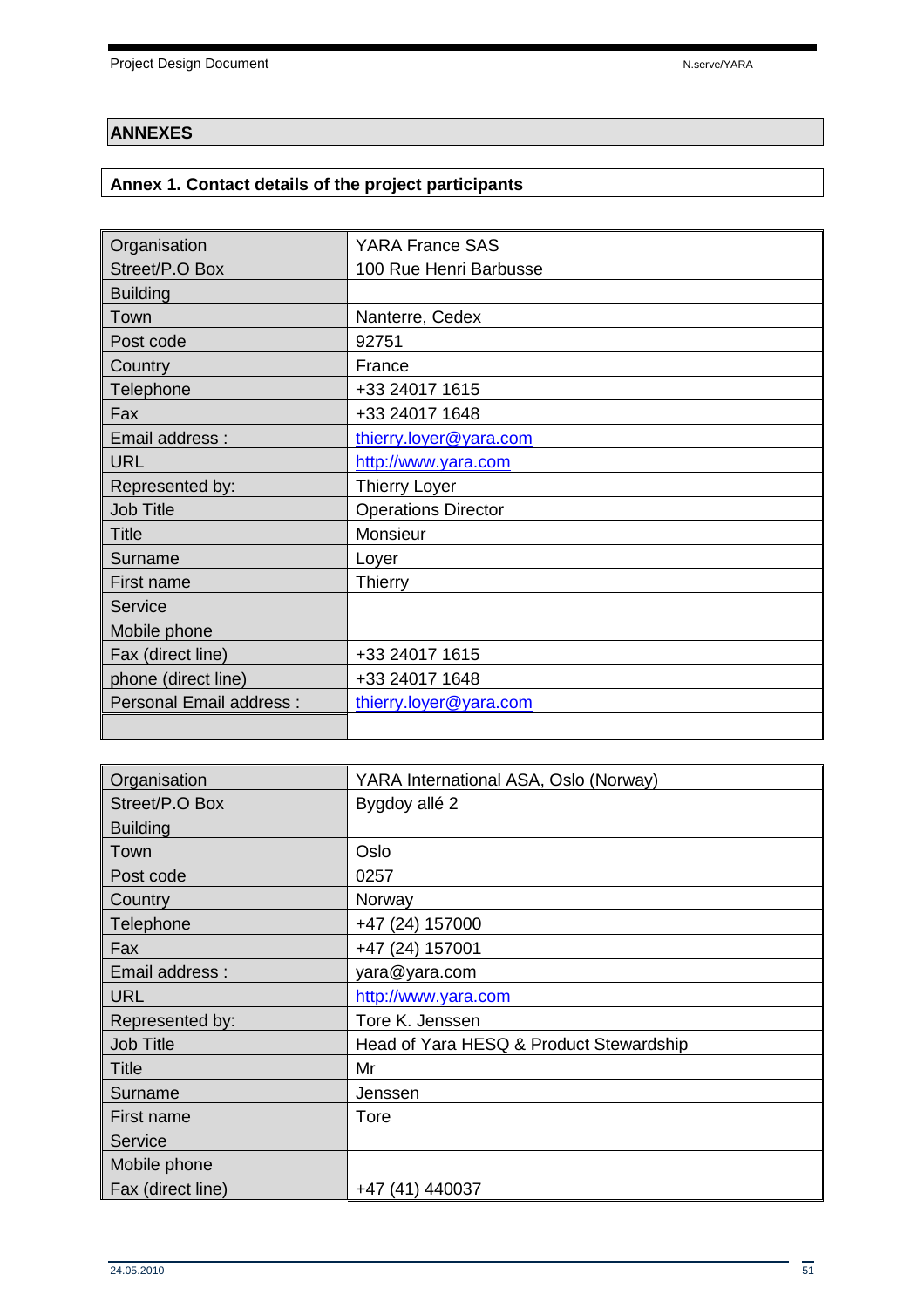## **ANNEXES**

## **Annex 1. Contact details of the project participants**

| Organisation                   | <b>YARA France SAS</b>     |
|--------------------------------|----------------------------|
| Street/P.O Box                 | 100 Rue Henri Barbusse     |
| <b>Building</b>                |                            |
| Town                           | Nanterre, Cedex            |
| Post code                      | 92751                      |
| Country                        | France                     |
| Telephone                      | +33 24017 1615             |
| Fax                            | +33 24017 1648             |
| Email address:                 | thierry.loyer@yara.com     |
| <b>URL</b>                     | http://www.yara.com        |
| Represented by:                | <b>Thierry Loyer</b>       |
| <b>Job Title</b>               | <b>Operations Director</b> |
| <b>Title</b>                   | Monsieur                   |
| Surname                        | Loyer                      |
| First name                     | Thierry                    |
| Service                        |                            |
| Mobile phone                   |                            |
| Fax (direct line)              | +33 24017 1615             |
| phone (direct line)            | +33 24017 1648             |
| <b>Personal Email address:</b> | thierry.loyer@yara.com     |
|                                |                            |

| Organisation      | YARA International ASA, Oslo (Norway)   |
|-------------------|-----------------------------------------|
| Street/P.O Box    | Bygdoy allé 2                           |
| <b>Building</b>   |                                         |
| Town              | Oslo                                    |
| Post code         | 0257                                    |
| Country           | Norway                                  |
| Telephone         | +47 (24) 157000                         |
| Fax               | +47 (24) 157001                         |
| Email address:    | yara@yara.com                           |
| <b>URL</b>        | http://www.yara.com                     |
| Represented by:   | Tore K. Jenssen                         |
| <b>Job Title</b>  | Head of Yara HESQ & Product Stewardship |
| <b>Title</b>      | Mr                                      |
| Surname           | Jenssen                                 |
| First name        | Tore                                    |
| Service           |                                         |
| Mobile phone      |                                         |
| Fax (direct line) | +47 (41) 440037                         |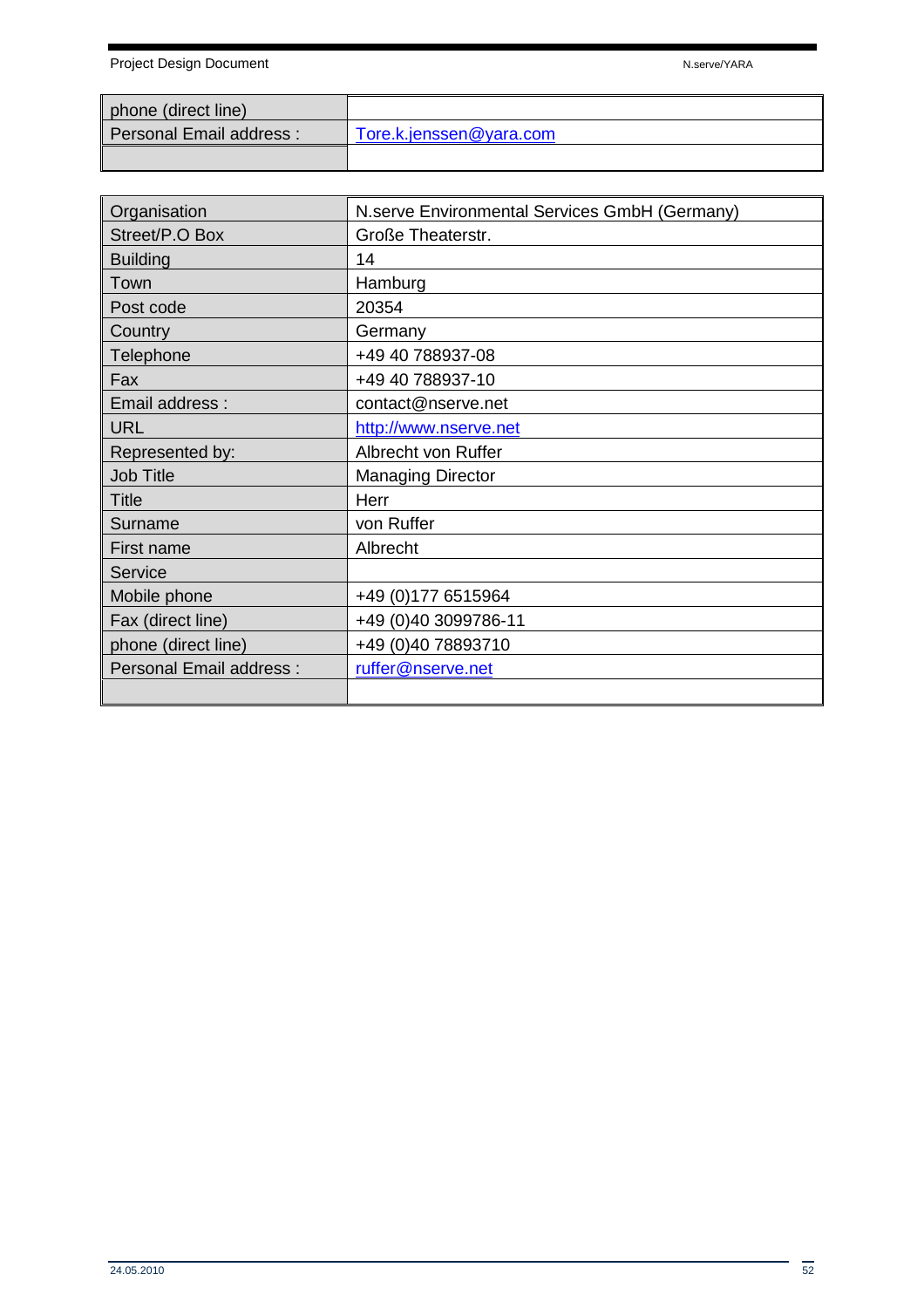Project Design Document National According to the National According National According National According National According National According National According National According National According National According N

| phone (direct line)      |                         |
|--------------------------|-------------------------|
| Personal Email address : | Tore.k.jenssen@yara.com |
|                          |                         |

| Organisation                   | N.serve Environmental Services GmbH (Germany) |
|--------------------------------|-----------------------------------------------|
| Street/P.O Box                 | Große Theaterstr.                             |
| <b>Building</b>                | 14                                            |
| Town                           | Hamburg                                       |
| Post code                      | 20354                                         |
| Country                        | Germany                                       |
| Telephone                      | +49 40 788937-08                              |
| Fax                            | +49 40 788937-10                              |
| Email address:                 | contact@nserve.net                            |
| <b>URL</b>                     | http://www.nserve.net                         |
| Represented by:                | Albrecht von Ruffer                           |
| <b>Job Title</b>               | <b>Managing Director</b>                      |
| <b>Title</b>                   | Herr                                          |
| Surname                        | von Ruffer                                    |
| First name                     | Albrecht                                      |
| Service                        |                                               |
| Mobile phone                   | +49 (0) 177 6515964                           |
| Fax (direct line)              | +49 (0)40 3099786-11                          |
| phone (direct line)            | +49 (0)40 78893710                            |
| <b>Personal Email address:</b> | ruffer@nserve.net                             |
|                                |                                               |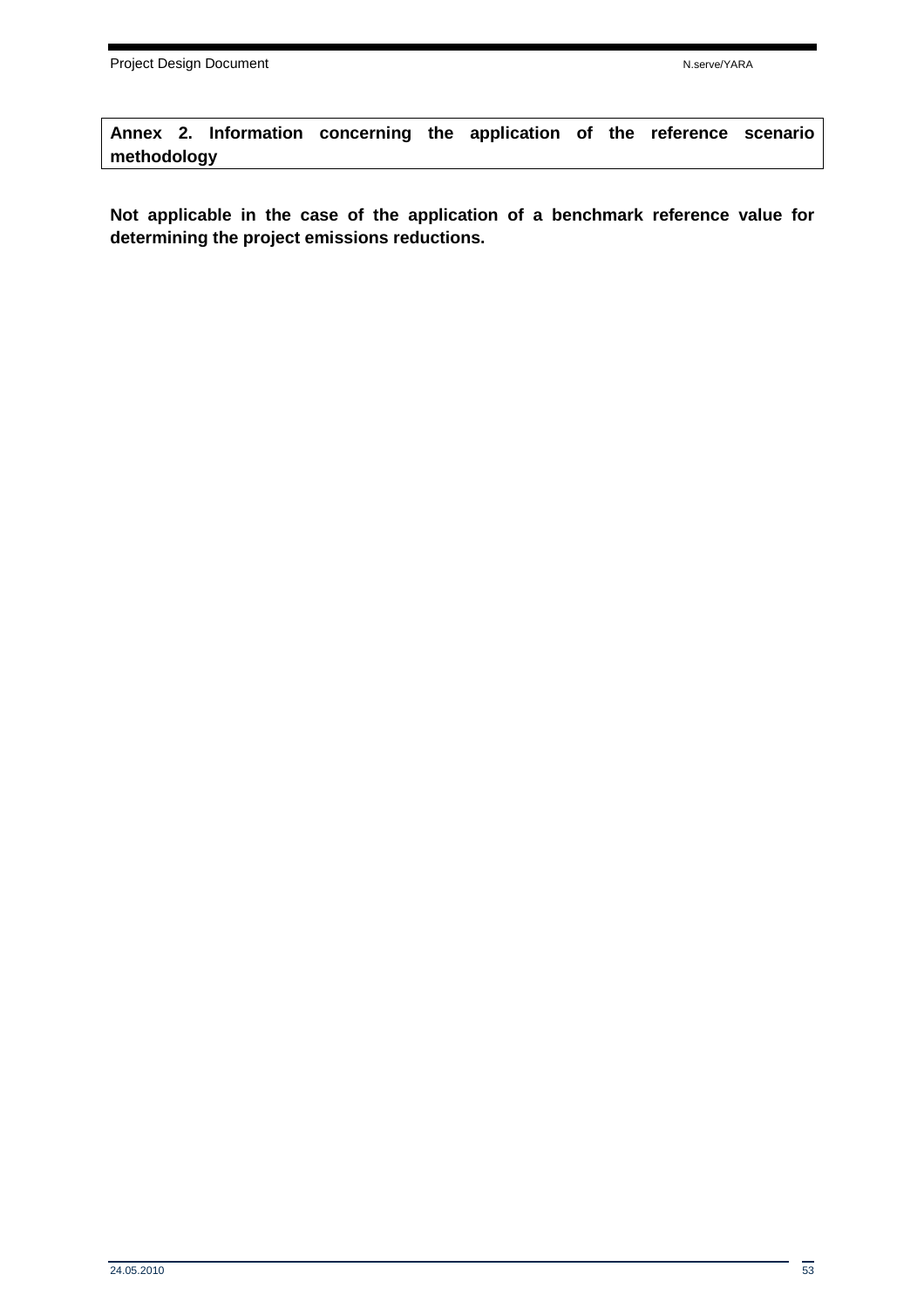**Annex 2. Information concerning the application of the reference scenario methodology** 

**Not applicable in the case of the application of a benchmark reference value for determining the project emissions reductions.**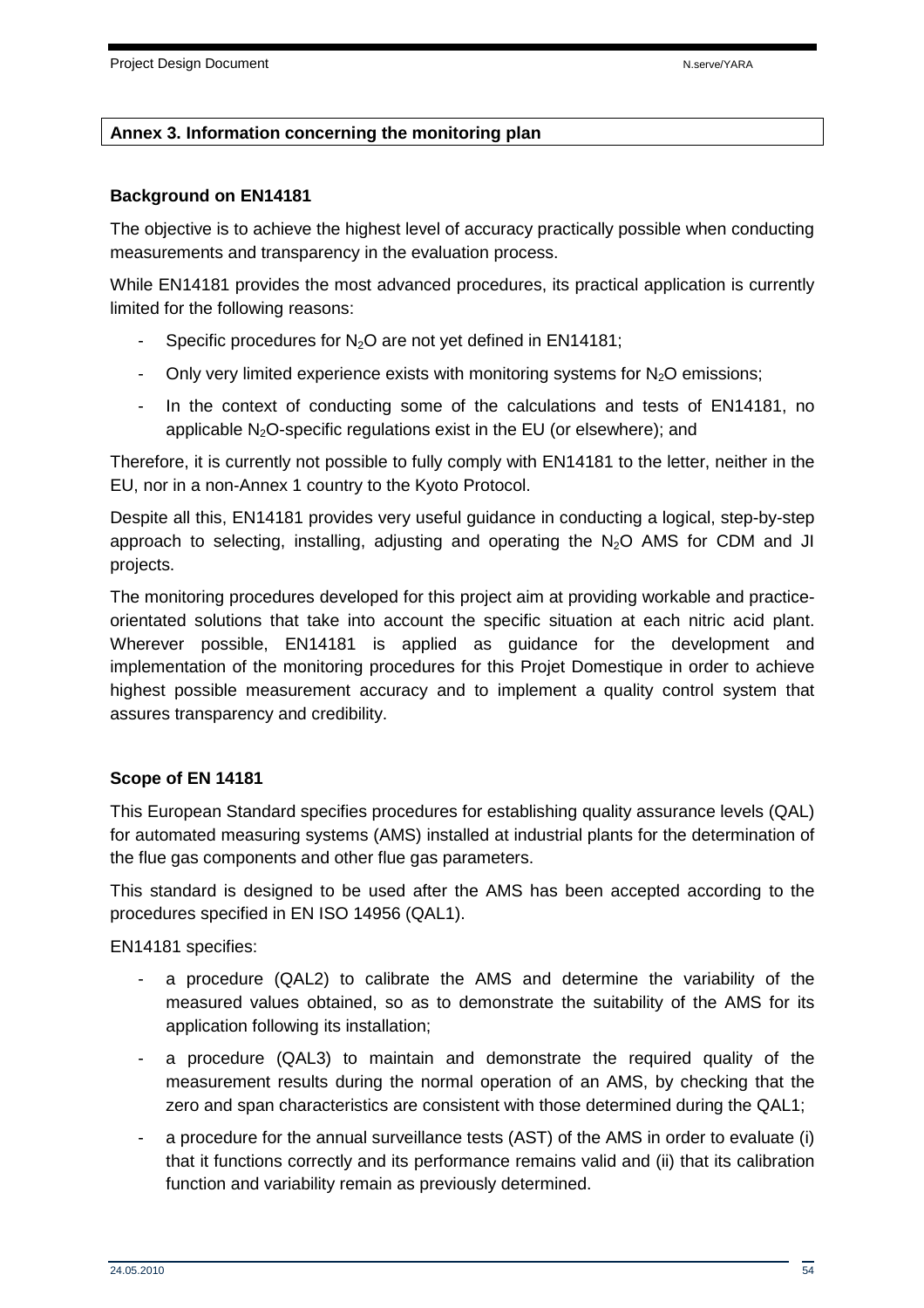#### **Annex 3. Information concerning the monitoring plan**

#### **Background on EN14181**

The objective is to achieve the highest level of accuracy practically possible when conducting measurements and transparency in the evaluation process.

While EN14181 provides the most advanced procedures, its practical application is currently limited for the following reasons:

- Specific procedures for  $N_2O$  are not yet defined in EN14181;
- Only very limited experience exists with monitoring systems for  $N_2O$  emissions;
- In the context of conducting some of the calculations and tests of EN14181, no applicable  $N_2O$ -specific regulations exist in the EU (or elsewhere); and

Therefore, it is currently not possible to fully comply with EN14181 to the letter, neither in the EU, nor in a non-Annex 1 country to the Kyoto Protocol.

Despite all this, EN14181 provides very useful guidance in conducting a logical, step-by-step approach to selecting, installing, adjusting and operating the  $N_2O$  AMS for CDM and JI projects.

The monitoring procedures developed for this project aim at providing workable and practiceorientated solutions that take into account the specific situation at each nitric acid plant. Wherever possible, EN14181 is applied as guidance for the development and implementation of the monitoring procedures for this Projet Domestique in order to achieve highest possible measurement accuracy and to implement a quality control system that assures transparency and credibility.

#### **Scope of EN 14181**

This European Standard specifies procedures for establishing quality assurance levels (QAL) for automated measuring systems (AMS) installed at industrial plants for the determination of the flue gas components and other flue gas parameters.

This standard is designed to be used after the AMS has been accepted according to the procedures specified in EN ISO 14956 (QAL1).

EN14181 specifies:

- a procedure (QAL2) to calibrate the AMS and determine the variability of the measured values obtained, so as to demonstrate the suitability of the AMS for its application following its installation;
- a procedure (QAL3) to maintain and demonstrate the required quality of the measurement results during the normal operation of an AMS, by checking that the zero and span characteristics are consistent with those determined during the QAL1;
- a procedure for the annual surveillance tests (AST) of the AMS in order to evaluate (i) that it functions correctly and its performance remains valid and (ii) that its calibration function and variability remain as previously determined.